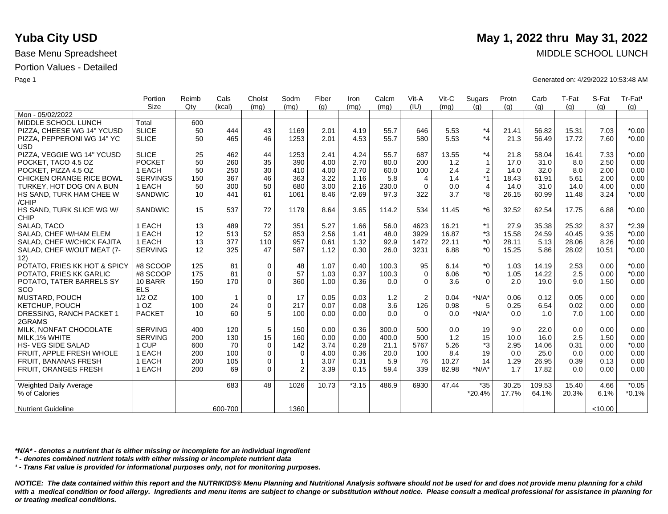|                                          | Portion         | Reimb  | Cals           | Cholst      | Sodm           | Fiber | Iron    | Calcm | Vit-A          | Vit-C | Sugars         | Protn | Carb   | T-Fat | S-Fat   | Tr-Fat <sup>1</sup> |
|------------------------------------------|-----------------|--------|----------------|-------------|----------------|-------|---------|-------|----------------|-------|----------------|-------|--------|-------|---------|---------------------|
|                                          | Size            | $Q$ ty | (kcal)         | (mg)        | (mg)           | (q)   | (mq)    | (mq)  | (IU)           | (mq)  | (q)            | (q)   | (g)    | (q)   | (q)     | (g)                 |
| Mon - 05/02/2022                         |                 |        |                |             |                |       |         |       |                |       |                |       |        |       |         |                     |
| MIDDLE SCHOOL LUNCH                      | Total           | 600    |                |             |                |       |         |       |                |       |                |       |        |       |         |                     |
| PIZZA, CHEESE WG 14" YCUSD               | <b>SLICE</b>    | 50     | 444            | 43          | 1169           | 2.01  | 4.19    | 55.7  | 646            | 5.53  | *4             | 21.41 | 56.82  | 15.31 | 7.03    | $*0.00$             |
| PIZZA, PEPPERONI WG 14" YC<br><b>USD</b> | <b>SLICE</b>    | 50     | 465            | 46          | 1253           | 2.01  | 4.53    | 55.7  | 580            | 5.53  | *4             | 21.3  | 56.49  | 17.72 | 7.60    | $*0.00$             |
| PIZZA, VEGGIE WG 14" YCUSD               | <b>SLICE</b>    | 25     | 462            | 44          | 1253           | 2.41  | 4.24    | 55.7  | 687            | 13.55 | *4             | 21.8  | 58.04  | 16.41 | 7.33    | $*0.00$             |
| POCKET, TACO 4.5 OZ                      | <b>POCKET</b>   | 50     | 260            | 35          | 390            | 4.00  | 2.70    | 80.0  | 200            | 1.2   | $\mathbf{1}$   | 17.0  | 31.0   | 8.0   | 2.50    | 0.00                |
| POCKET, PIZZA 4.5 OZ                     | 1 EACH          | 50     | 250            | 30          | 410            | 4.00  | 2.70    | 60.0  | 100            | 2.4   | $\overline{c}$ | 14.0  | 32.0   | 8.0   | 2.00    | 0.00                |
| <b>CHICKEN ORANGE RICE BOWL</b>          | <b>SERVINGS</b> | 150    | 367            | 46          | 363            | 3.22  | 1.16    | 5.8   | 4              | 1.4   | $*1$           | 18.43 | 61.91  | 5.61  | 2.00    | 0.00                |
| TURKEY, HOT DOG ON A BUN                 | 1 EACH          | 50     | 300            | 50          | 680            | 3.00  | 2.16    | 230.0 | 0              | 0.0   | $\overline{4}$ | 14.0  | 31.0   | 14.0  | 4.00    | 0.00                |
| HS SAND, TURK HAM CHEE W<br>/CHIP        | <b>SANDWIC</b>  | 10     | 441            | 61          | 1061           | 8.46  | $*2.69$ | 97.3  | 322            | 3.7   | *8             | 26.15 | 60.99  | 11.48 | 3.24    | $*0.00$             |
| HS SAND, TURK SLICE WG W/<br><b>CHIP</b> | <b>SANDWIC</b>  | 15     | 537            | 72          | 1179           | 8.64  | 3.65    | 114.2 | 534            | 11.45 | *6             | 32.52 | 62.54  | 17.75 | 6.88    | $*0.00$             |
| SALAD, TACO                              | 1 EACH          | 13     | 489            | 72          | 351            | 5.27  | 1.66    | 56.0  | 4623           | 16.21 | $*1$           | 27.9  | 35.38  | 25.32 | 8.37    | $*2.39$             |
| SALAD, CHEF W/HAM ELEM                   | 1 EACH          | 12     | 513            | 52          | 853            | 2.56  | 1.41    | 48.0  | 3929           | 16.87 | *3             | 15.58 | 24.59  | 40.45 | 9.35    | $*0.00$             |
| SALAD, CHEF W/CHICK FAJITA               | 1 EACH          | 13     | 377            | 110         | 957            | 0.61  | 1.32    | 92.9  | 1472           | 22.11 | *0             | 28.11 | 5.13   | 28.06 | 8.26    | $*0.00$             |
| SALAD, CHEF W/OUT MEAT (7-<br>12)        | <b>SERVING</b>  | 12     | 325            | 47          | 587            | 1.12  | 0.30    | 26.0  | 3231           | 6.88  | $*_{0}$        | 15.25 | 5.86   | 28.02 | 10.51   | $*0.00$             |
| POTATO, FRIES KK HOT & SPICY             | #8 SCOOP        | 125    | 81             | 0           | 48             | 1.07  | 0.40    | 100.3 | 95             | 6.14  | *0             | 1.03  | 14.19  | 2.53  | 0.00    | $*0.00$             |
| POTATO, FRIES KK GARLIC                  | #8 SCOOP        | 175    | 81             | 0           | 57             | 1.03  | 0.37    | 100.3 | $\Omega$       | 6.06  | $^*$ 0         | 1.05  | 14.22  | 2.5   | 0.00    | $*0.00$             |
| POTATO, TATER BARRELS SY                 | 10 BARR         | 150    | 170            | $\Omega$    | 360            | 1.00  | 0.36    | 0.0   | $\Omega$       | 3.6   | $\Omega$       | 2.0   | 19.0   | 9.0   | 1.50    | 0.00                |
| SCO                                      | <b>ELS</b>      |        |                |             |                |       |         |       |                |       |                |       |        |       |         |                     |
| <b>MUSTARD, POUCH</b>                    | $1/2$ OZ        | 100    | $\overline{1}$ | 0           | 17             | 0.05  | 0.03    | 1.2   | $\overline{2}$ | 0.04  | $*N/A*$        | 0.06  | 0.12   | 0.05  | 0.00    | 0.00                |
| KETCHUP, POUCH                           | 1 <sub>OZ</sub> | 100    | 24             | $\mathbf 0$ | 217            | 0.07  | 0.08    | 3.6   | 126            | 0.98  | 5              | 0.25  | 6.54   | 0.02  | 0.00    | 0.00                |
| DRESSING, RANCH PACKET 1                 | <b>PACKET</b>   | 10     | 60             | 5           | 100            | 0.00  | 0.00    | 0.0   | $\Omega$       | 0.0   | $*N/A*$        | 0.0   | 1.0    | 7.0   | 1.00    | 0.00                |
| 2GRAMS                                   |                 |        |                |             |                |       |         |       |                |       |                |       |        |       |         |                     |
| MILK. NONFAT CHOCOLATE                   | <b>SERVING</b>  | 400    | 120            | 5           | 150            | 0.00  | 0.36    | 300.0 | 500            | 0.0   | 19             | 9.0   | 22.0   | 0.0   | 0.00    | 0.00                |
| MILK, 1% WHITE                           | <b>SERVING</b>  | 200    | 130            | 15          | 160            | 0.00  | 0.00    | 400.0 | 500            | 1.2   | 15             | 10.0  | 16.0   | 2.5   | 1.50    | 0.00                |
| HS- VEG SIDE SALAD                       | 1 CUP           | 600    | 70             | $\mathbf 0$ | 142            | 3.74  | 0.28    | 21.1  | 5767           | 5.26  | *3             | 2.95  | 14.06  | 0.31  | 0.00    | $*0.00$             |
| FRUIT, APPLE FRESH WHOLE                 | 1 EACH          | 200    | 100            | 0           | $\mathbf 0$    | 4.00  | 0.36    | 20.0  | 100            | 8.4   | 19             | 0.0   | 25.0   | 0.0   | 0.00    | 0.00                |
| <b>FRUIT, BANANAS FRESH</b>              | 1 EACH          | 200    | 105            | 0           | $\mathbf{1}$   | 3.07  | 0.31    | 5.9   | 76             | 10.27 | 14             | 1.29  | 26.95  | 0.39  | 0.13    | 0.00                |
| FRUIT, ORANGES FRESH                     | 1 EACH          | 200    | 69             | $\Omega$    | $\overline{2}$ | 3.39  | 0.15    | 59.4  | 339            | 82.98 | $*N/A*$        | 1.7   | 17.82  | 0.0   | 0.00    | 0.00                |
| <b>Weighted Daily Average</b>            |                 |        | 683            | 48          | 1026           | 10.73 | $*3.15$ | 486.9 | 6930           | 47.44 | $*35$          | 30.25 | 109.53 | 15.40 | 4.66    | $*0.05$             |
| % of Calories                            |                 |        |                |             |                |       |         |       |                |       | *20.4%         | 17.7% | 64.1%  | 20.3% | 6.1%    | $*0.1%$             |
| <b>Nutrient Guideline</b>                |                 |        | 600-700        |             | 1360           |       |         |       |                |       |                |       |        |       | < 10.00 |                     |

*\*N/A\* - denotes a nutrient that is either missing or incomplete for an individual ingredient*

*\* - denotes combined nutrient totals with either missing or incomplete nutrient data*

*¹ - Trans Fat value is provided for informational purposes only, not for monitoring purposes.*

*NOTICE: The data contained within this report and the NUTRIKIDS® Menu Planning and Nutritional Analysis software should not be used for and does not provide menu planning for a child*  with a medical condition or food allergy. Ingredients and menu items are subject to change or substitution without notice. Please consult a medical professional for assistance in planning for *or treating medical conditions.*

## **Yuba City USD** May 1, 2022 thru May 31, 2022

Base Menu Spreadsheet MIDDLE SCHOOL LUNCH

Page 1 Generated on: 4/29/2022 10:53:48 AM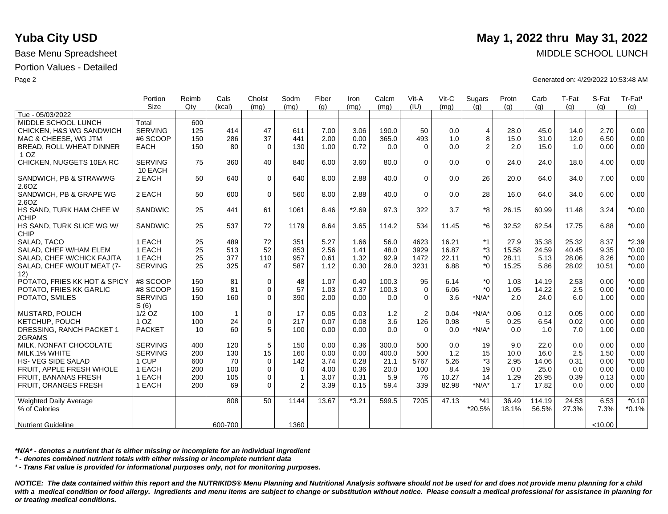|                                          | Portion                   | Reimb | Cals         | Cholst      | Sodm           | Fiber | Iron    | Calcm | Vit-A    | Vit-C | Sugars                  | Protn | Carb   | T-Fat | S-Fat   | Tr-Fat <sup>1</sup> |
|------------------------------------------|---------------------------|-------|--------------|-------------|----------------|-------|---------|-------|----------|-------|-------------------------|-------|--------|-------|---------|---------------------|
|                                          | <b>Size</b>               | Qtv   | (kcal)       | (mq)        | (mq)           | (q)   | (mg)    | (mq)  | (IU)     | (mq)  | (q)                     | (q)   | (q)    | (q)   | (q)     | (g)                 |
| Tue - 05/03/2022                         |                           |       |              |             |                |       |         |       |          |       |                         |       |        |       |         |                     |
| MIDDLE SCHOOL LUNCH                      | Total                     | 600   |              |             |                |       |         |       |          |       |                         |       |        |       |         |                     |
| CHICKEN, H&S WG SANDWICH                 | <b>SERVING</b>            | 125   | 414          | 47          | 611            | 7.00  | 3.06    | 190.0 | 50       | 0.0   | $\overline{\mathbf{4}}$ | 28.0  | 45.0   | 14.0  | 2.70    | 0.00                |
| MAC & CHEESE, WG JTM                     | #6 SCOOP                  | 150   | 286          | 37          | 441            | 2.00  | 0.00    | 365.0 | 493      | 1.0   | 8                       | 15.0  | 31.0   | 12.0  | 6.50    | 0.00                |
| BREAD, ROLL WHEAT DINNER<br>1 OZ         | <b>EACH</b>               | 150   | 80           | $\Omega$    | 130            | 1.00  | 0.72    | 0.0   | $\Omega$ | 0.0   | 2                       | 2.0   | 15.0   | 1.0   | 0.00    | 0.00                |
| CHICKEN, NUGGETS 10EA RC                 | <b>SERVING</b><br>10 EACH | 75    | 360          | 40          | 840            | 6.00  | 3.60    | 80.0  | $\Omega$ | 0.0   | $\Omega$                | 24.0  | 24.0   | 18.0  | 4.00    | 0.00                |
| SANDWICH, PB & STRAWWG<br>2.6OZ          | 2 EACH                    | 50    | 640          | $\mathbf 0$ | 640            | 8.00  | 2.88    | 40.0  | $\Omega$ | 0.0   | 26                      | 20.0  | 64.0   | 34.0  | 7.00    | 0.00                |
| SANDWICH, PB & GRAPE WG<br>2.6OZ         | 2 EACH                    | 50    | 600          | $\mathbf 0$ | 560            | 8.00  | 2.88    | 40.0  | $\Omega$ | 0.0   | 28                      | 16.0  | 64.0   | 34.0  | 6.00    | 0.00                |
| HS SAND, TURK HAM CHEE W<br>/CHIP        | <b>SANDWIC</b>            | 25    | 441          | 61          | 1061           | 8.46  | $*2.69$ | 97.3  | 322      | 3.7   | *8                      | 26.15 | 60.99  | 11.48 | 3.24    | $*0.00$             |
| HS SAND, TURK SLICE WG W/<br><b>CHIP</b> | <b>SANDWIC</b>            | 25    | 537          | 72          | 1179           | 8.64  | 3.65    | 114.2 | 534      | 11.45 | $*6$                    | 32.52 | 62.54  | 17.75 | 6.88    | $*0.00$             |
| SALAD, TACO                              | 1 EACH                    | 25    | 489          | 72          | 351            | 5.27  | 1.66    | 56.0  | 4623     | 16.21 | *1                      | 27.9  | 35.38  | 25.32 | 8.37    | $*2.39$             |
| SALAD. CHEF W/HAM ELEM                   | 1 EACH                    | 25    | 513          | 52          | 853            | 2.56  | 1.41    | 48.0  | 3929     | 16.87 | *3                      | 15.58 | 24.59  | 40.45 | 9.35    | $*0.00$             |
| SALAD, CHEF W/CHICK FAJITA               | 1 EACH                    | 25    | 377          | 110         | 957            | 0.61  | 1.32    | 92.9  | 1472     | 22.11 | $^*0$                   | 28.11 | 5.13   | 28.06 | 8.26    | $*0.00$             |
| SALAD, CHEF W/OUT MEAT (7-<br>12)        | <b>SERVING</b>            | 25    | 325          | 47          | 587            | 1.12  | 0.30    | 26.0  | 3231     | 6.88  | $^*0$                   | 15.25 | 5.86   | 28.02 | 10.51   | $*0.00$             |
| POTATO, FRIES KK HOT & SPICY             | #8 SCOOP                  | 150   | 81           | $\mathbf 0$ | 48             | 1.07  | 0.40    | 100.3 | 95       | 6.14  | $*_{0}$                 | 1.03  | 14.19  | 2.53  | 0.00    | $*0.00$             |
| POTATO, FRIES KK GARLIC                  | #8 SCOOP                  | 150   | 81           | $\Omega$    | 57             | 1.03  | 0.37    | 100.3 | $\Omega$ | 6.06  | $*$ $\Omega$            | 1.05  | 14.22  | 2.5   | 0.00    | $*0.00$             |
| POTATO, SMILES                           | <b>SERVING</b><br>S(6)    | 150   | 160          | $\Omega$    | 390            | 2.00  | 0.00    | 0.0   | $\Omega$ | 3.6   | $*N/A*$                 | 2.0   | 24.0   | 6.0   | 1.00    | 0.00                |
| <b>MUSTARD, POUCH</b>                    | $1/2$ OZ                  | 100   | $\mathbf{1}$ | $\mathbf 0$ | 17             | 0.05  | 0.03    | 1.2   | 2        | 0.04  | $*N/A*$                 | 0.06  | 0.12   | 0.05  | 0.00    | 0.00                |
| KETCHUP, POUCH                           | 1 <sub>OZ</sub>           | 100   | 24           | $\mathbf 0$ | 217            | 0.07  | 0.08    | 3.6   | 126      | 0.98  | 5                       | 0.25  | 6.54   | 0.02  | 0.00    | 0.00                |
| DRESSING, RANCH PACKET 1<br>2GRAMS       | <b>PACKET</b>             | 10    | 60           | 5           | 100            | 0.00  | 0.00    | 0.0   | $\Omega$ | 0.0   | $*N/A*$                 | 0.0   | 1.0    | 7.0   | 1.00    | 0.00                |
| MILK, NONFAT CHOCOLATE                   | <b>SERVING</b>            | 400   | 120          | 5           | 150            | 0.00  | 0.36    | 300.0 | 500      | 0.0   | 19                      | 9.0   | 22.0   | 0.0   | 0.00    | 0.00                |
| MILK.1% WHITE                            | <b>SERVING</b>            | 200   | 130          | 15          | 160            | 0.00  | 0.00    | 400.0 | 500      | 1.2   | 15                      | 10.0  | 16.0   | 2.5   | 1.50    | 0.00                |
| <b>HS-VEG SIDE SALAD</b>                 | 1 CUP                     | 600   | 70           | $\mathbf 0$ | 142            | 3.74  | 0.28    | 21.1  | 5767     | 5.26  | *3                      | 2.95  | 14.06  | 0.31  | 0.00    | $*0.00$             |
| FRUIT. APPLE FRESH WHOLE                 | 1 EACH                    | 200   | 100          | $\mathbf 0$ | $\mathbf 0$    | 4.00  | 0.36    | 20.0  | 100      | 8.4   | 19                      | 0.0   | 25.0   | 0.0   | 0.00    | 0.00                |
| <b>FRUIT, BANANAS FRESH</b>              | 1 EACH                    | 200   | 105          | $\mathbf 0$ | $\mathbf{1}$   | 3.07  | 0.31    | 5.9   | 76       | 10.27 | 14                      | 1.29  | 26.95  | 0.39  | 0.13    | 0.00                |
| <b>FRUIT, ORANGES FRESH</b>              | 1 EACH                    | 200   | 69           | $\Omega$    | $\overline{2}$ | 3.39  | 0.15    | 59.4  | 339      | 82.98 | $*N/A*$                 | 1.7   | 17.82  | 0.0   | 0.00    | 0.00                |
| <b>Weighted Daily Average</b>            |                           |       | 808          | 50          | 1144           | 13.67 | $*3.21$ | 599.5 | 7205     | 47.13 | $*41$                   | 36.49 | 114.19 | 24.53 | 6.53    | $*0.10$             |
| % of Calories                            |                           |       |              |             |                |       |         |       |          |       | *20.5%                  | 18.1% | 56.5%  | 27.3% | 7.3%    | $*0.1%$             |
| <b>Nutrient Guideline</b>                |                           |       | 600-700      |             | 1360           |       |         |       |          |       |                         |       |        |       | < 10.00 |                     |

*\*N/A\* - denotes a nutrient that is either missing or incomplete for an individual ingredient*

*\* - denotes combined nutrient totals with either missing or incomplete nutrient data*

*¹ - Trans Fat value is provided for informational purposes only, not for monitoring purposes.*

*NOTICE: The data contained within this report and the NUTRIKIDS® Menu Planning and Nutritional Analysis software should not be used for and does not provide menu planning for a child*  with a medical condition or food allergy. Ingredients and menu items are subject to change or substitution without notice. Please consult a medical professional for assistance in planning for *or treating medical conditions.*

# **Yuba City USD** May 1, 2022 thru May 31, 2022

Base Menu Spreadsheet MIDDLE SCHOOL LUNCH

Page 2 Generated on: 4/29/2022 10:53:48 AM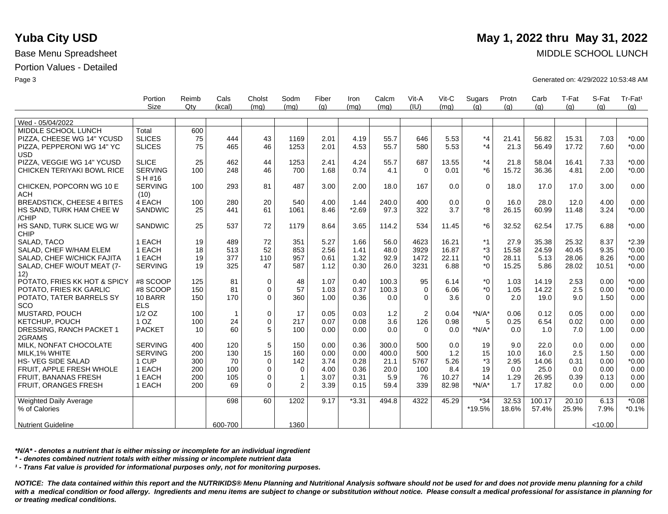|                                   | Portion<br>Size | Reimb<br>$Q$ ty | Cals<br>(kcal) | Cholst<br>(mq) | Sodm<br>(mq) | Fiber<br>(q) | Iron<br>(mq) | Calcm<br>(mq) | Vit-A<br>(IU) | Vit-C<br>(mq) | Sugars<br>(q) | Protn<br>(g) | Carb<br>(g) | T-Fat<br>(q) | S-Fat<br>(q) | Tr-Fat <sup>1</sup><br>(q) |
|-----------------------------------|-----------------|-----------------|----------------|----------------|--------------|--------------|--------------|---------------|---------------|---------------|---------------|--------------|-------------|--------------|--------------|----------------------------|
|                                   |                 |                 |                |                |              |              |              |               |               |               |               |              |             |              |              |                            |
| Wed - 05/04/2022                  |                 |                 |                |                |              |              |              |               |               |               |               |              |             |              |              |                            |
| MIDDLE SCHOOL LUNCH               | Total           | 600             |                |                |              |              |              |               |               |               |               |              |             |              |              |                            |
| PIZZA, CHEESE WG 14" YCUSD        | <b>SLICES</b>   | 75              | 444            | 43             | 1169         | 2.01         | 4.19         | 55.7          | 646           | 5.53          | $*_{4}$       | 21.41        | 56.82       | 15.31        | 7.03         | $*0.00$                    |
|                                   | <b>SLICES</b>   | 75              | 465            | 46             | 1253         | 2.01         | 4.53         | 55.7          | 580           | 5.53          | $*_{4}$       | 21.3         | 56.49       | 17.72        | 7.60         | $*0.00$                    |
| PIZZA, PEPPERONI WG 14" YC        |                 |                 |                |                |              |              |              |               |               |               |               |              |             |              |              |                            |
| <b>USD</b>                        |                 |                 |                |                |              |              |              |               |               |               | $*_{4}$       |              |             |              |              |                            |
| PIZZA, VEGGIE WG 14" YCUSD        | <b>SLICE</b>    | 25              | 462            | 44             | 1253         | 2.41         | 4.24         | 55.7          | 687           | 13.55         |               | 21.8         | 58.04       | 16.41        | 7.33         | $*0.00$                    |
| CHICKEN TERIYAKI BOWL RICE        | <b>SERVING</b>  | 100             | 248            | 46             | 700          | 1.68         | 0.74         | 4.1           | $\Omega$      | 0.01          | $*6$          | 15.72        | 36.36       | 4.81         | 2.00         | $*0.00$                    |
|                                   | S H #16         |                 |                |                |              |              |              |               |               |               |               |              |             |              |              |                            |
| CHICKEN, POPCORN WG 10 E          | <b>SERVING</b>  | 100             | 293            | 81             | 487          | 3.00         | 2.00         | 18.0          | 167           | 0.0           | $\Omega$      | 18.0         | 17.0        | 17.0         | 3.00         | 0.00                       |
| <b>ACH</b>                        | (10)            |                 |                |                |              |              |              |               |               |               |               |              |             |              |              |                            |
| <b>BREADSTICK, CHEESE 4 BITES</b> | 4 EACH          | 100             | 280            | 20             | 540          | 4.00         | 1.44         | 240.0         | 400           | 0.0           | $\mathbf 0$   | 16.0         | 28.0        | 12.0         | 4.00         | 0.00                       |
| HS SAND, TURK HAM CHEE W          | <b>SANDWIC</b>  | 25              | 441            | 61             | 1061         | 8.46         | $*2.69$      | 97.3          | 322           | 3.7           | *8            | 26.15        | 60.99       | 11.48        | 3.24         | $*0.00$                    |
| /CHIP                             |                 |                 |                |                |              |              |              |               |               |               |               |              |             |              |              |                            |
| HS SAND, TURK SLICE WG W/         | <b>SANDWIC</b>  | 25              | 537            | 72             | 1179         | 8.64         | 3.65         | 114.2         | 534           | 11.45         | $*6$          | 32.52        | 62.54       | 17.75        | 6.88         | $*0.00$                    |
| <b>CHIP</b>                       |                 |                 |                |                |              |              |              |               |               |               |               |              |             |              |              |                            |
| SALAD, TACO                       | 1 EACH          | 19              | 489            | 72             | 351          | 5.27         | 1.66         | 56.0          | 4623          | 16.21         | $*1$          | 27.9         | 35.38       | 25.32        | 8.37         | $*2.39$                    |
| SALAD, CHEF W/HAM ELEM            | 1 EACH          | 18              | 513            | 52             | 853          | 2.56         | 1.41         | 48.0          | 3929          | 16.87         | *3            | 15.58        | 24.59       | 40.45        | 9.35         | $*0.00$                    |
| SALAD, CHEF W/CHICK FAJITA        | 1 EACH          | 19              | 377            | 110            | 957          | 0.61         | 1.32         | 92.9          | 1472          | 22.11         | $*_{0}$       | 28.11        | 5.13        | 28.06        | 8.26         | $*0.00$                    |
| SALAD, CHEF W/OUT MEAT (7-        | <b>SERVING</b>  | 19              | 325            | 47             | 587          | 1.12         | 0.30         | 26.0          | 3231          | 6.88          | $*_{0}$       | 15.25        | 5.86        | 28.02        | 10.51        | $*0.00$                    |
| 12)                               |                 |                 |                |                |              |              |              |               |               |               |               |              |             |              |              |                            |
| POTATO, FRIES KK HOT & SPICY      | #8 SCOOP        | 125             | 81             | $\mathbf 0$    | 48           | 1.07         | 0.40         | 100.3         | 95            | 6.14          | $*_{0}$       | 1.03         | 14.19       | 2.53         | 0.00         | $*0.00$                    |
| POTATO, FRIES KK GARLIC           | #8 SCOOP        | 150             | 81             | $\pmb{0}$      | 57           | 1.03         | 0.37         | 100.3         | $\mathbf 0$   | 6.06          | $*_{0}$       | 1.05         | 14.22       | 2.5          | 0.00         | $*0.00$                    |
| POTATO, TATER BARRELS SY          | 10 BARR         | 150             | 170            | $\Omega$       | 360          | 1.00         | 0.36         | 0.0           | 0             | 3.6           | $\Omega$      | 2.0          | 19.0        | 9.0          | 1.50         | 0.00                       |
| SCO                               | <b>ELS</b>      |                 |                |                |              |              |              |               |               |               |               |              |             |              |              |                            |
| <b>MUSTARD, POUCH</b>             | $1/2$ OZ        | 100             | $\mathbf{1}$   | $\mathbf 0$    | 17           | 0.05         | 0.03         | 1.2           | 2             | 0.04          | $*N/A*$       | 0.06         | 0.12        | 0.05         | 0.00         | 0.00                       |
| <b>KETCHUP, POUCH</b>             | 1 <sub>OZ</sub> | 100             | 24             | $\mathbf 0$    | 217          | 0.07         | 0.08         | 3.6           | 126           | 0.98          | 5             | 0.25         | 6.54        | 0.02         | 0.00         | 0.00                       |
| DRESSING, RANCH PACKET 1          | <b>PACKET</b>   | 10              | 60             | 5              | 100          | 0.00         | 0.00         | 0.0           | $\Omega$      | 0.0           | $*N/A*$       | 0.0          | 1.0         | 7.0          | 1.00         | 0.00                       |
| 2GRAMS                            |                 |                 |                |                |              |              |              |               |               |               |               |              |             |              |              |                            |
| MILK. NONFAT CHOCOLATE            | <b>SERVING</b>  | 400             | 120            | 5              | 150          | 0.00         | 0.36         | 300.0         | 500           | 0.0           | 19            | 9.0          | 22.0        | 0.0          | 0.00         | 0.00                       |
| MILK, 1% WHITE                    | <b>SERVING</b>  | 200             | 130            | 15             | 160          | 0.00         | 0.00         | 400.0         | 500           | 1.2           | 15            | 10.0         | 16.0        | 2.5          | 1.50         | 0.00                       |
| <b>HS- VEG SIDE SALAD</b>         | 1 CUP           | 300             | 70             | $\mathbf 0$    | 142          | 3.74         | 0.28         | 21.1          | 5767          | 5.26          | $*3$          | 2.95         | 14.06       | 0.31         | 0.00         | $*0.00$                    |
| FRUIT, APPLE FRESH WHOLE          | 1 EACH          | 200             | 100            | $\mathbf 0$    | $\mathbf 0$  | 4.00         | 0.36         | 20.0          | 100           | 8.4           | 19            | 0.0          | 25.0        | 0.0          | 0.00         | 0.00                       |
| <b>FRUIT, BANANAS FRESH</b>       | 1 EACH          | 200             | 105            | $\mathbf 0$    | 1            | 3.07         | 0.31         | 5.9           | 76            | 10.27         | 14            | 1.29         | 26.95       | 0.39         | 0.13         | 0.00                       |
| <b>FRUIT, ORANGES FRESH</b>       | 1 EACH          | 200             | 69             | $\Omega$       | 2            | 3.39         | 0.15         | 59.4          | 339           | 82.98         | $*N/A*$       | 1.7          | 17.82       | 0.0          | 0.00         | 0.00                       |
|                                   |                 |                 |                |                |              |              |              |               |               |               |               |              |             |              |              |                            |
| Weighted Daily Average            |                 |                 | 698            | 60             | 1202         | 9.17         | $*3.31$      | 494.8         | 4322          | 45.29         | $*34$         | 32.53        | 100.17      | 20.10        | 6.13         | $*0.08$                    |
| % of Calories                     |                 |                 |                |                |              |              |              |               |               |               | *19.5%        | 18.6%        | 57.4%       | 25.9%        | 7.9%         | $*0.1%$                    |
|                                   |                 |                 |                |                |              |              |              |               |               |               |               |              |             |              |              |                            |
| <b>Nutrient Guideline</b>         |                 |                 | 600-700        |                | 1360         |              |              |               |               |               |               |              |             |              | < 10.00      |                            |
|                                   |                 |                 |                |                |              |              |              |               |               |               |               |              |             |              |              |                            |

*\*N/A\* - denotes a nutrient that is either missing or incomplete for an individual ingredient*

*\* - denotes combined nutrient totals with either missing or incomplete nutrient data*

*¹ - Trans Fat value is provided for informational purposes only, not for monitoring purposes.*

*NOTICE: The data contained within this report and the NUTRIKIDS® Menu Planning and Nutritional Analysis software should not be used for and does not provide menu planning for a child*  with a medical condition or food allergy. Ingredients and menu items are subject to change or substitution without notice. Please consult a medical professional for assistance in planning for *or treating medical conditions.*

## **Yuba City USD** May 1, 2022 thru May 31, 2022

Base Menu Spreadsheet MIDDLE SCHOOL LUNCH

Page 3 Generated on: 4/29/2022 10:53:48 AM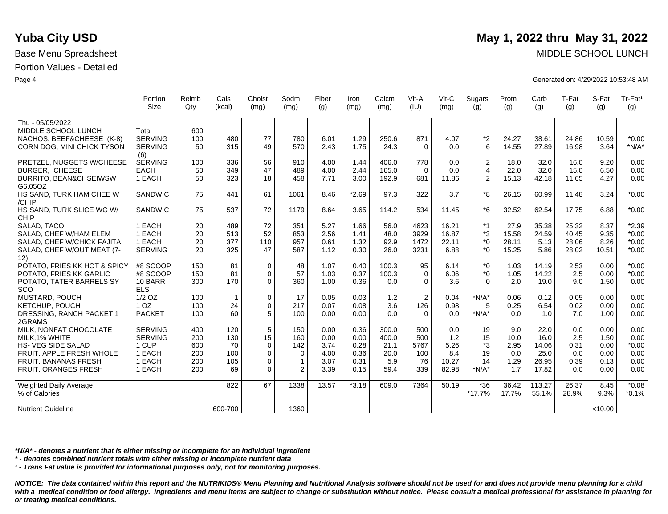|                                    | Portion               | Reimb | Cals         | Cholst      | Sodm         | Fiber | Iron    | Calcm | Vit-A          | $V$ it-C | Sugars           | Protn | Carb   | T-Fat | S-Fat   | Tr-Fat <sup>1</sup> |
|------------------------------------|-----------------------|-------|--------------|-------------|--------------|-------|---------|-------|----------------|----------|------------------|-------|--------|-------|---------|---------------------|
|                                    | <b>Size</b>           | Qty   | (kcal)       | (mq)        | (mq)         | (q)   | (mq)    | (mq)  | (IU)           | (mq)     | (q)              | (q)   | (q)    | (q)   | (q)     | (q)                 |
| Thu - 05/05/2022                   |                       |       |              |             |              |       |         |       |                |          |                  |       |        |       |         |                     |
| MIDDLE SCHOOL LUNCH                | Total                 | 600   |              |             |              |       |         |       |                |          |                  |       |        |       |         |                     |
| NACHOS, BEEF&CHEESE (K-8)          | <b>SERVING</b>        | 100   | 480          | 77          | 780          | 6.01  | 1.29    | 250.6 | 871            | 4.07     | $^{\star}2$      | 24.27 | 38.61  | 24.86 | 10.59   | $*0.00$             |
| CORN DOG, MINI CHICK TYSON         | <b>SERVING</b>        | 50    | 315          | 49          | 570          | 2.43  | 1.75    | 24.3  | $\Omega$       | 0.0      | 6                | 14.55 | 27.89  | 16.98 | 3.64    | $*N/A*$             |
|                                    |                       |       |              |             |              |       |         |       |                |          |                  |       |        |       |         |                     |
| PRETZEL, NUGGETS W/CHEESE          | (6)<br><b>SERVING</b> | 100   | 336          | 56          | 910          | 4.00  | 1.44    | 406.0 | 778            | 0.0      | $\boldsymbol{2}$ | 18.0  | 32.0   | 16.0  | 9.20    | 0.00                |
| BURGER, CHEESE                     | <b>EACH</b>           | 50    | 349          | 47          | 489          | 4.00  | 2.44    | 165.0 | $\Omega$       | 0.0      | $\overline{4}$   | 22.0  | 32.0   | 15.0  | 6.50    | 0.00                |
| <b>BURRITO, BEAN&amp;CHSEIWSW</b>  | 1 EACH                | 50    | 323          | 18          | 458          | 7.71  | 3.00    | 192.9 | 681            | 11.86    | 2                | 15.13 | 42.18  | 11.65 | 4.27    | 0.00                |
| G6.05OZ                            |                       |       |              |             |              |       |         |       |                |          |                  |       |        |       |         |                     |
| HS SAND, TURK HAM CHEE W           | <b>SANDWIC</b>        | 75    | 441          | 61          | 1061         | 8.46  | $*2.69$ | 97.3  | 322            | 3.7      | *8               | 26.15 | 60.99  | 11.48 | 3.24    | $*0.00$             |
| /CHIP                              |                       |       |              |             |              |       |         |       |                |          |                  |       |        |       |         |                     |
| HS SAND, TURK SLICE WG W/          | <b>SANDWIC</b>        | 75    | 537          | 72          | 1179         | 8.64  | 3.65    | 114.2 | 534            | 11.45    | $*6$             | 32.52 | 62.54  | 17.75 | 6.88    | $*0.00$             |
| <b>CHIP</b>                        |                       |       |              |             |              |       |         |       |                |          |                  |       |        |       |         |                     |
| SALAD. TACO                        | 1 EACH                | 20    | 489          | 72          | 351          | 5.27  | 1.66    | 56.0  | 4623           | 16.21    | $*1$             | 27.9  | 35.38  | 25.32 | 8.37    | $*2.39$             |
| SALAD. CHEF W/HAM ELEM             | 1 EACH                | 20    | 513          | 52          | 853          | 2.56  | 1.41    | 48.0  | 3929           | 16.87    | *3               | 15.58 | 24.59  | 40.45 | 9.35    | $*0.00$             |
| SALAD, CHEF W/CHICK FAJITA         | 1 EACH                | 20    | 377          | 110         | 957          | 0.61  | 1.32    | 92.9  | 1472           | 22.11    | $*_{0}$          | 28.11 | 5.13   | 28.06 | 8.26    | $*0.00$             |
| SALAD, CHEF W/OUT MEAT (7-         | <b>SERVING</b>        | 20    | 325          | 47          | 587          | 1.12  | 0.30    | 26.0  | 3231           | 6.88     | $*_{0}$          | 15.25 | 5.86   | 28.02 | 10.51   | $*0.00$             |
| 12)                                | #8 SCOOP              | 150   | 81           |             |              | 1.07  | 0.40    | 100.3 |                | 6.14     | $*_{0}$          |       | 14.19  |       | 0.00    |                     |
| POTATO, FRIES KK HOT & SPICY       |                       |       | 81           | 0           | 48           |       |         |       | 95<br>$\Omega$ |          | $*_{0}$          | 1.03  |        | 2.53  |         | $*0.00$             |
| POTATO, FRIES KK GARLIC            | #8 SCOOP              | 150   |              | 0           | 57           | 1.03  | 0.37    | 100.3 |                | 6.06     |                  | 1.05  | 14.22  | 2.5   | 0.00    | $*0.00$             |
| POTATO, TATER BARRELS SY           | 10 BARR               | 300   | 170          | $\mathbf 0$ | 360          | 1.00  | 0.36    | 0.0   | $\mathbf 0$    | 3.6      | $\Omega$         | 2.0   | 19.0   | 9.0   | 1.50    | 0.00                |
| SCO                                | <b>ELS</b>            |       |              |             |              |       |         |       |                |          |                  |       |        |       |         |                     |
| MUSTARD, POUCH                     | $1/2$ OZ              | 100   | $\mathbf{1}$ | 0           | 17           | 0.05  | 0.03    | $1.2$ | $\overline{2}$ | 0.04     | $*N/A*$          | 0.06  | 0.12   | 0.05  | 0.00    | 0.00                |
| KETCHUP, POUCH                     | 1 <sub>OZ</sub>       | 100   | 24           | 0           | 217          | 0.07  | 0.08    | 3.6   | 126            | 0.98     | 5                | 0.25  | 6.54   | 0.02  | 0.00    | 0.00                |
| DRESSING, RANCH PACKET 1<br>2GRAMS | <b>PACKET</b>         | 100   | 60           | 5           | 100          | 0.00  | 0.00    | 0.0   | $\Omega$       | 0.0      | $*N/A*$          | 0.0   | 1.0    | 7.0   | 1.00    | 0.00                |
| MILK, NONFAT CHOCOLATE             | <b>SERVING</b>        | 400   | 120          | 5           | 150          | 0.00  | 0.36    | 300.0 | 500            | 0.0      | 19               | 9.0   | 22.0   | 0.0   | 0.00    | 0.00                |
| MILK.1% WHITE                      | <b>SERVING</b>        | 200   | 130          | 15          | 160          | 0.00  | 0.00    | 400.0 | 500            | 1.2      | 15               | 10.0  | 16.0   | 2.5   | 1.50    | 0.00                |
| HS- VEG SIDE SALAD                 | 1 CUP                 | 600   | 70           | 0           | 142          | 3.74  | 0.28    | 21.1  | 5767           | 5.26     | *3               | 2.95  | 14.06  | 0.31  | 0.00    | $*0.00$             |
| FRUIT, APPLE FRESH WHOLE           | 1 EACH                | 200   | 100          | 0           | $\mathbf 0$  | 4.00  | 0.36    | 20.0  | 100            | 8.4      | 19               | 0.0   | 25.0   | 0.0   | 0.00    | 0.00                |
| FRUIT, BANANAS FRESH               | 1 EACH                | 200   | 105          | 0           | $\mathbf{1}$ | 3.07  | 0.31    | 5.9   | 76             | 10.27    | 14               | 1.29  | 26.95  | 0.39  | 0.13    | 0.00                |
| FRUIT, ORANGES FRESH               | 1 EACH                | 200   | 69           | 0           | 2            | 3.39  | 0.15    | 59.4  | 339            | 82.98    | $*N/A*$          | 1.7   | 17.82  | 0.0   | 0.00    | 0.00                |
| <b>Weighted Daily Average</b>      |                       |       | 822          | 67          | 1338         | 13.57 | $*3.18$ | 609.0 | 7364           | 50.19    | $*36$            | 36.42 | 113.27 | 26.37 | 8.45    | $*0.08$             |
| % of Calories                      |                       |       |              |             |              |       |         |       |                |          | $*17.7%$         | 17.7% | 55.1%  | 28.9% | 9.3%    | $*0.1%$             |
|                                    |                       |       |              |             |              |       |         |       |                |          |                  |       |        |       |         |                     |
| <b>Nutrient Guideline</b>          |                       |       | 600-700      |             | 1360         |       |         |       |                |          |                  |       |        |       | < 10.00 |                     |

*\*N/A\* - denotes a nutrient that is either missing or incomplete for an individual ingredient*

*\* - denotes combined nutrient totals with either missing or incomplete nutrient data*

*¹ - Trans Fat value is provided for informational purposes only, not for monitoring purposes.*

*NOTICE: The data contained within this report and the NUTRIKIDS® Menu Planning and Nutritional Analysis software should not be used for and does not provide menu planning for a child*  with a medical condition or food allergy. Ingredients and menu items are subject to change or substitution without notice. Please consult a medical professional for assistance in planning for *or treating medical conditions.*

## **Yuba City USD** May 1, 2022 thru May 31, 2022

Base Menu Spreadsheet MIDDLE SCHOOL LUNCH

Page 4 Generated on: 4/29/2022 10:53:48 AM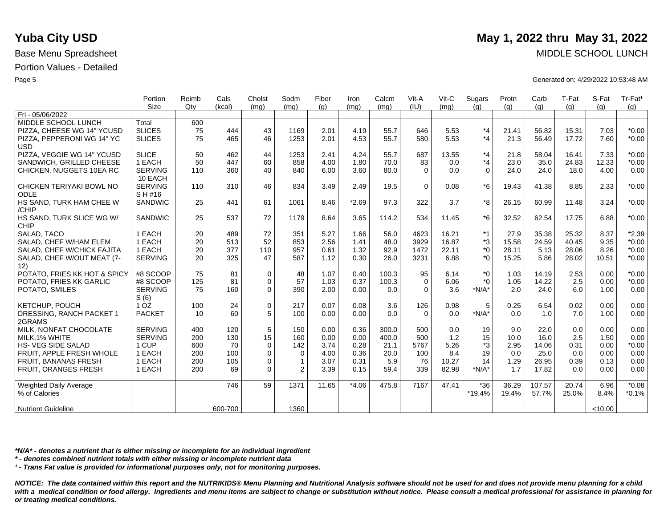|                               | Portion         | Reimb | Cals    | Cholst      | Sodm           | Fiber | Iron    | Calcm | Vit-A    | Vit-C | Sugars      | Protn | Carb   | T-Fat | S-Fat  | Tr-Fat <sup>1</sup> |
|-------------------------------|-----------------|-------|---------|-------------|----------------|-------|---------|-------|----------|-------|-------------|-------|--------|-------|--------|---------------------|
|                               | <b>Size</b>     | Qtv   | (kcal)  | (mq)        | (mq)           | (a)   | (mq)    | (mq)  | (IU)     | (mq)  | (q)         | (q)   | (q)    | (q)   | (a)    | (g)                 |
| Fri - 05/06/2022              |                 |       |         |             |                |       |         |       |          |       |             |       |        |       |        |                     |
| MIDDLE SCHOOL LUNCH           | Total           | 600   |         |             |                |       |         |       |          |       |             |       |        |       |        |                     |
| PIZZA, CHEESE WG 14" YCUSD    | <b>SLICES</b>   | 75    | 444     | 43          | 1169           | 2.01  | 4.19    | 55.7  | 646      | 5.53  | $*_{4}$     | 21.41 | 56.82  | 15.31 | 7.03   | $*0.00$             |
| PIZZA, PEPPERONI WG 14" YC    | <b>SLICES</b>   | 75    | 465     | 46          | 1253           | 2.01  | 4.53    | 55.7  | 580      | 5.53  | $*_{4}$     | 21.3  | 56.49  | 17.72 | 7.60   | $*0.00$             |
| <b>USD</b>                    |                 |       |         |             |                |       |         |       |          |       |             |       |        |       |        |                     |
| PIZZA, VEGGIE WG 14" YCUSD    | <b>SLICE</b>    | 50    | 462     | 44          | 1253           | 2.41  | 4.24    | 55.7  | 687      | 13.55 | $*_{4}$     | 21.8  | 58.04  | 16.41 | 7.33   | $*0.00$             |
| SANDWICH, GRILLED CHEESE      | 1 EACH          | 50    | 447     | 60          | 858            | 4.00  | 1.80    | 70.0  | 83       | 0.0   | $*_{4}$     | 23.0  | 35.0   | 24.83 | 12.33  | $*0.00$             |
| CHICKEN, NUGGETS 10EA RC      | <b>SERVING</b>  | 110   | 360     | 40          | 840            | 6.00  | 3.60    | 80.0  | $\Omega$ | 0.0   | $\mathbf 0$ | 24.0  | 24.0   | 18.0  | 4.00   | 0.00                |
|                               | 10 EACH         |       |         |             |                |       |         |       |          |       |             |       |        |       |        |                     |
| CHICKEN TERIYAKI BOWL NO      | <b>SERVING</b>  | 110   | 310     | 46          | 834            | 3.49  | 2.49    | 19.5  | $\Omega$ | 0.08  | $*6$        | 19.43 | 41.38  | 8.85  | 2.33   | $*0.00$             |
| ODLE                          | S H #16         |       |         |             |                |       |         |       |          |       |             |       |        |       |        |                     |
| HS SAND, TURK HAM CHEE W      | <b>SANDWIC</b>  | 25    | 441     | 61          | 1061           | 8.46  | $*2.69$ | 97.3  | 322      | 3.7   | *8          | 26.15 | 60.99  | 11.48 | 3.24   | $*0.00$             |
| /CHIP                         |                 |       |         |             |                |       |         |       |          |       |             |       |        |       |        |                     |
| HS SAND, TURK SLICE WG W/     | <b>SANDWIC</b>  | 25    | 537     | 72          | 1179           | 8.64  | 3.65    | 114.2 | 534      | 11.45 | $*6$        | 32.52 | 62.54  | 17.75 | 6.88   | $*0.00$             |
| CHIP                          |                 |       |         |             |                |       |         |       |          |       |             |       |        |       |        |                     |
| SALAD, TACO                   | 1 EACH          | 20    | 489     | 72          | 351            | 5.27  | 1.66    | 56.0  | 4623     | 16.21 | $*1$        | 27.9  | 35.38  | 25.32 | 8.37   | $*2.39$             |
| SALAD. CHEF W/HAM ELEM        | 1 EACH          | 20    | 513     | 52          | 853            | 2.56  | 1.41    | 48.0  | 3929     | 16.87 | *3          | 15.58 | 24.59  | 40.45 | 9.35   | $*0.00$             |
| SALAD, CHEF W/CHICK FAJITA    | 1 EACH          | 20    | 377     | 110         | 957            | 0.61  | 1.32    | 92.9  | 1472     | 22.11 | $*_{0}$     | 28.11 | 5.13   | 28.06 | 8.26   | $*0.00$             |
| SALAD, CHEF W/OUT MEAT (7-    | <b>SERVING</b>  | 20    | 325     | 47          | 587            | 1.12  | 0.30    | 26.0  | 3231     | 6.88  | $*_{0}$     | 15.25 | 5.86   | 28.02 | 10.51  | $*0.00$             |
| 12)                           |                 |       |         |             |                |       |         |       |          |       |             |       |        |       |        |                     |
| POTATO, FRIES KK HOT & SPICY  | #8 SCOOP        | 75    | 81      | 0           | 48             | 1.07  | 0.40    | 100.3 | 95       | 6.14  | $*_{0}$     | 1.03  | 14.19  | 2.53  | 0.00   | $*0.00$             |
| POTATO, FRIES KK GARLIC       | #8 SCOOP        | 125   | 81      | $\mathbf 0$ | 57             | 1.03  | 0.37    | 100.3 | $\Omega$ | 6.06  | $*0$        | 1.05  | 14.22  | 2.5   | 0.00   | $*0.00$             |
| POTATO, SMILES                | <b>SERVING</b>  | 75    | 160     | $\mathbf 0$ | 390            | 2.00  | 0.00    | 0.0   | $\Omega$ | 3.6   | $*N/A*$     | 2.0   | 24.0   | 6.0   | 1.00   | 0.00                |
|                               | S(6)            |       |         |             |                |       |         |       |          |       |             |       |        |       |        |                     |
| KETCHUP, POUCH                | 1 <sub>OZ</sub> | 100   | 24      | $\pmb{0}$   | 217            | 0.07  | 0.08    | 3.6   | 126      | 0.98  | 5           | 0.25  | 6.54   | 0.02  | 0.00   | 0.00                |
| DRESSING, RANCH PACKET 1      | <b>PACKET</b>   | 10    | 60      | 5           | 100            | 0.00  | 0.00    | 0.0   | $\Omega$ | 0.0   | $*N/A*$     | 0.0   | 1.0    | 7.0   | 1.00   | 0.00                |
| 2GRAMS                        |                 |       |         |             |                |       |         |       |          |       |             |       |        |       |        |                     |
| MILK. NONFAT CHOCOLATE        | <b>SERVING</b>  | 400   | 120     | 5           | 150            | 0.00  | 0.36    | 300.0 | 500      | 0.0   | 19          | 9.0   | 22.0   | 0.0   | 0.00   | 0.00                |
| MILK, 1% WHITE                | <b>SERVING</b>  | 200   | 130     | 15          | 160            | 0.00  | 0.00    | 400.0 | 500      | 1.2   | 15          | 10.0  | 16.0   | 2.5   | 1.50   | 0.00                |
| HS- VEG SIDE SALAD            | 1 CUP           | 600   | 70      | $\mathbf 0$ | 142            | 3.74  | 0.28    | 21.1  | 5767     | 5.26  | *3          | 2.95  | 14.06  | 0.31  | 0.00   | $*0.00$             |
| FRUIT, APPLE FRESH WHOLE      | 1 EACH          | 200   | 100     | $\mathbf 0$ | $\mathbf 0$    | 4.00  | 0.36    | 20.0  | 100      | 8.4   | 19          | 0.0   | 25.0   | 0.0   | 0.00   | 0.00                |
| FRUIT, BANANAS FRESH          | 1 EACH          | 200   | 105     | $\mathbf 0$ | $\overline{1}$ | 3.07  | 0.31    | 5.9   | 76       | 10.27 | 14          | 1.29  | 26.95  | 0.39  | 0.13   | 0.00                |
| FRUIT, ORANGES FRESH          | 1 EACH          | 200   | 69      | $\Omega$    | $\overline{2}$ | 3.39  | 0.15    | 59.4  | 339      | 82.98 | $*N/A*$     | 1.7   | 17.82  | 0.0   | 0.00   | 0.00                |
|                               |                 |       |         |             |                |       |         |       |          |       |             |       |        |       |        |                     |
| <b>Weighted Daily Average</b> |                 |       | 746     | 59          | 1371           | 11.65 | $*4.06$ | 475.8 | 7167     | 47.41 | $*36$       | 36.29 | 107.57 | 20.74 | 6.96   | $*0.08$             |
| % of Calories                 |                 |       |         |             |                |       |         |       |          |       | $*19.4%$    | 19.4% | 57.7%  | 25.0% | 8.4%   | $*0.1%$             |
|                               |                 |       |         |             |                |       |         |       |          |       |             |       |        |       |        |                     |
| <b>Nutrient Guideline</b>     |                 |       | 600-700 |             | 1360           |       |         |       |          |       |             |       |        |       | <10.00 |                     |

*\*N/A\* - denotes a nutrient that is either missing or incomplete for an individual ingredient*

*\* - denotes combined nutrient totals with either missing or incomplete nutrient data*

*¹ - Trans Fat value is provided for informational purposes only, not for monitoring purposes.*

*NOTICE: The data contained within this report and the NUTRIKIDS® Menu Planning and Nutritional Analysis software should not be used for and does not provide menu planning for a child*  with a medical condition or food allergy. Ingredients and menu items are subject to change or substitution without notice. Please consult a medical professional for assistance in planning for *or treating medical conditions.*

# **Yuba City USD** May 1, 2022 thru May 31, 2022

Base Menu Spreadsheet MIDDLE SCHOOL LUNCH

Page 5 Generated on: 4/29/2022 10:53:48 AM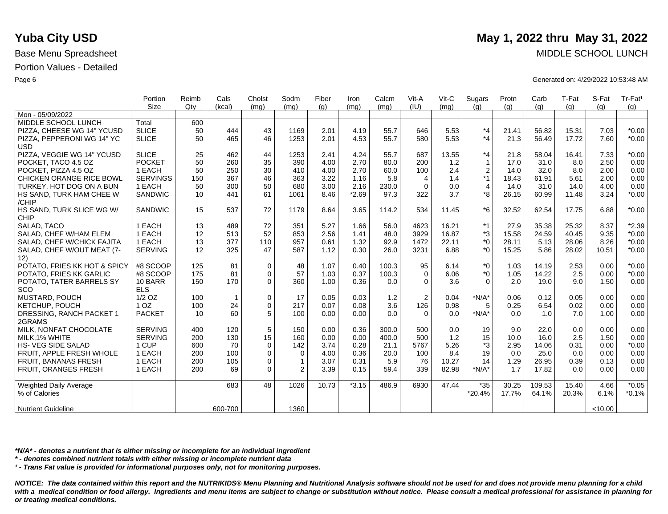|                              | Portion         | Reimb | Cals         | Cholst      | Sodm           | Fiber | Iron    | Calcm | Vit-A          | Vit-C | Sugars           | Protn | Carb   | T-Fat | S-Fat   | Tr-Fat <sup>1</sup> |
|------------------------------|-----------------|-------|--------------|-------------|----------------|-------|---------|-------|----------------|-------|------------------|-------|--------|-------|---------|---------------------|
|                              | Size            | Qtv   | (kcal)       | (mq)        | (mq)           | (q)   | (mq)    | (mq)  | (IU)           | (mq)  | (q)              | (q)   | (q)    | (q)   | (a)     | (g)                 |
| Mon - 05/09/2022             |                 |       |              |             |                |       |         |       |                |       |                  |       |        |       |         |                     |
| MIDDLE SCHOOL LUNCH          | Total           | 600   |              |             |                |       |         |       |                |       |                  |       |        |       |         |                     |
| PIZZA, CHEESE WG 14" YCUSD   | <b>SLICE</b>    | 50    | 444          | 43          | 1169           | 2.01  | 4.19    | 55.7  | 646            | 5.53  | $*_{4}$          | 21.41 | 56.82  | 15.31 | 7.03    | $*0.00$             |
| PIZZA, PEPPERONI WG 14" YC   | <b>SLICE</b>    | 50    | 465          | 46          | 1253           | 2.01  | 4.53    | 55.7  | 580            | 5.53  | *4               | 21.3  | 56.49  | 17.72 | 7.60    | $*0.00$             |
| <b>USD</b>                   |                 |       |              |             |                |       |         |       |                |       |                  |       |        |       |         |                     |
| PIZZA, VEGGIE WG 14" YCUSD   | <b>SLICE</b>    | 25    | 462          | 44          | 1253           | 2.41  | 4.24    | 55.7  | 687            | 13.55 | *4               | 21.8  | 58.04  | 16.41 | 7.33    | $*0.00$             |
| POCKET, TACO 4.5 OZ          | <b>POCKET</b>   | 50    | 260          | 35          | 390            | 4.00  | 2.70    | 80.0  | 200            | 1.2   | $\mathbf{1}$     | 17.0  | 31.0   | 8.0   | 2.50    | 0.00                |
| POCKET, PIZZA 4.5 OZ         | 1 EACH          | 50    | 250          | 30          | 410            | 4.00  | 2.70    | 60.0  | 100            | 2.4   | $\boldsymbol{2}$ | 14.0  | 32.0   | 8.0   | 2.00    | 0.00                |
| CHICKEN ORANGE RICE BOWL     | <b>SERVINGS</b> | 150   | 367          | 46          | 363            | 3.22  | 1.16    | 5.8   | 4              | 1.4   | *1               | 18.43 | 61.91  | 5.61  | 2.00    | 0.00                |
| TURKEY, HOT DOG ON A BUN     | 1 EACH          | 50    | 300          | 50          | 680            | 3.00  | 2.16    | 230.0 | $\Omega$       | 0.0   | $\overline{4}$   | 14.0  | 31.0   | 14.0  | 4.00    | 0.00                |
| HS SAND, TURK HAM CHEE W     | <b>SANDWIC</b>  | 10    | 441          | 61          | 1061           | 8.46  | $*2.69$ | 97.3  | 322            | 3.7   | *8               | 26.15 | 60.99  | 11.48 | 3.24    | $*0.00$             |
| /CHIP                        |                 |       |              |             |                |       |         |       |                |       |                  |       |        |       |         |                     |
| HS SAND, TURK SLICE WG W/    | <b>SANDWIC</b>  | 15    | 537          | 72          | 1179           | 8.64  | 3.65    | 114.2 | 534            | 11.45 | $*6$             | 32.52 | 62.54  | 17.75 | 6.88    | $*0.00$             |
| <b>CHIP</b>                  |                 |       |              |             |                |       |         |       |                |       |                  |       |        |       |         |                     |
| SALAD, TACO                  | 1 EACH          | 13    | 489          | 72          | 351            | 5.27  | 1.66    | 56.0  | 4623           | 16.21 | *1               | 27.9  | 35.38  | 25.32 | 8.37    | $*2.39$             |
| SALAD, CHEF W/HAM ELEM       | 1 EACH          | 12    | 513          | 52          | 853            | 2.56  | 1.41    | 48.0  | 3929           | 16.87 | $^{\ast}3$       | 15.58 | 24.59  | 40.45 | 9.35    | $*0.00$             |
| SALAD, CHEF W/CHICK FAJITA   | 1 EACH          | 13    | 377          | 110         | 957            | 0.61  | 1.32    | 92.9  | 1472           | 22.11 | $*_{0}$          | 28.11 | 5.13   | 28.06 | 8.26    | $*0.00$             |
| SALAD, CHEF W/OUT MEAT (7-   | <b>SERVING</b>  | 12    | 325          | 47          | 587            | 1.12  | 0.30    | 26.0  | 3231           | 6.88  | $*_{0}$          | 15.25 | 5.86   | 28.02 | 10.51   | $*0.00$             |
| 12)                          |                 |       |              |             |                |       |         |       |                |       |                  |       |        |       |         |                     |
| POTATO. FRIES KK HOT & SPICY | #8 SCOOP        | 125   | 81           | $\mathbf 0$ | 48             | 1.07  | 0.40    | 100.3 | 95             | 6.14  | $*_{0}$          | 1.03  | 14.19  | 2.53  | 0.00    | $*0.00$             |
| POTATO, FRIES KK GARLIC      | #8 SCOOP        | 175   | 81           | $\mathbf 0$ | 57             | 1.03  | 0.37    | 100.3 | $\Omega$       | 6.06  | $^*0$            | 1.05  | 14.22  | 2.5   | 0.00    | $*0.00$             |
| POTATO, TATER BARRELS SY     | 10 BARR         | 150   | 170          | $\Omega$    | 360            | 1.00  | 0.36    | 0.0   | $\Omega$       | 3.6   | $\Omega$         | 2.0   | 19.0   | 9.0   | 1.50    | 0.00                |
| SCO                          | <b>ELS</b>      |       |              |             |                |       |         |       |                |       |                  |       |        |       |         |                     |
| MUSTARD, POUCH               | $1/2$ OZ        | 100   | $\mathbf{1}$ | $\mathbf 0$ | 17             | 0.05  | 0.03    | 1.2   | $\overline{2}$ | 0.04  | $*N/A*$          | 0.06  | 0.12   | 0.05  | 0.00    | 0.00                |
| KETCHUP, POUCH               | 1 <sub>OZ</sub> | 100   | 24           | $\Omega$    | 217            | 0.07  | 0.08    | 3.6   | 126            | 0.98  | 5                | 0.25  | 6.54   | 0.02  | 0.00    | 0.00                |
| DRESSING, RANCH PACKET 1     | <b>PACKET</b>   | 10    | 60           | 5           | 100            | 0.00  | 0.00    | 0.0   | $\Omega$       | 0.0   | $*N/A*$          | 0.0   | 1.0    | 7.0   | 1.00    | 0.00                |
| 2GRAMS                       |                 |       |              |             |                |       |         |       |                |       |                  |       |        |       |         |                     |
| MILK, NONFAT CHOCOLATE       | <b>SERVING</b>  | 400   | 120          | 5           | 150            | 0.00  | 0.36    | 300.0 | 500            | 0.0   | 19               | 9.0   | 22.0   | 0.0   | 0.00    | 0.00                |
| MILK, 1% WHITE               | <b>SERVING</b>  | 200   | 130          | 15          | 160            | 0.00  | 0.00    | 400.0 | 500            | 1.2   | 15               | 10.0  | 16.0   | 2.5   | 1.50    | 0.00                |
| HS- VEG SIDE SALAD           | 1 CUP           | 600   | 70           | $\mathbf 0$ | 142            | 3.74  | 0.28    | 21.1  | 5767           | 5.26  | *3               | 2.95  | 14.06  | 0.31  | 0.00    | $*0.00$             |
| FRUIT, APPLE FRESH WHOLE     | 1 EACH          | 200   | 100          | $\mathbf 0$ | 0              | 4.00  | 0.36    | 20.0  | 100            | 8.4   | 19               | 0.0   | 25.0   | 0.0   | 0.00    | 0.00                |
| <b>FRUIT, BANANAS FRESH</b>  | 1 EACH          | 200   | 105          | $\mathbf 0$ | $\mathbf{1}$   | 3.07  | 0.31    | 5.9   | 76             | 10.27 | 14               | 1.29  | 26.95  | 0.39  | 0.13    | 0.00                |
| <b>FRUIT, ORANGES FRESH</b>  | 1 EACH          | 200   | 69           | $\mathbf 0$ | $\overline{2}$ | 3.39  | 0.15    | 59.4  | 339            | 82.98 | $*N/A*$          | 1.7   | 17.82  | 0.0   | 0.00    | 0.00                |
| Weighted Daily Average       |                 |       | 683          | 48          | 1026           | 10.73 | $*3.15$ | 486.9 | 6930           | 47.44 | $*35$            | 30.25 | 109.53 | 15.40 | 4.66    | $*0.05$             |
| % of Calories                |                 |       |              |             |                |       |         |       |                |       | $*20.4%$         | 17.7% | 64.1%  | 20.3% | 6.1%    | $*0.1%$             |
|                              |                 |       |              |             |                |       |         |       |                |       |                  |       |        |       |         |                     |
| <b>Nutrient Guideline</b>    |                 |       | 600-700      |             | 1360           |       |         |       |                |       |                  |       |        |       | < 10.00 |                     |

*\*N/A\* - denotes a nutrient that is either missing or incomplete for an individual ingredient*

*\* - denotes combined nutrient totals with either missing or incomplete nutrient data*

*¹ - Trans Fat value is provided for informational purposes only, not for monitoring purposes.*

*NOTICE: The data contained within this report and the NUTRIKIDS® Menu Planning and Nutritional Analysis software should not be used for and does not provide menu planning for a child*  with a medical condition or food allergy. Ingredients and menu items are subject to change or substitution without notice. Please consult a medical professional for assistance in planning for *or treating medical conditions.*

# **Yuba City USD** May 1, 2022 thru May 31, 2022

Base Menu Spreadsheet MIDDLE SCHOOL LUNCH

Page 6 Generated on: 4/29/2022 10:53:48 AM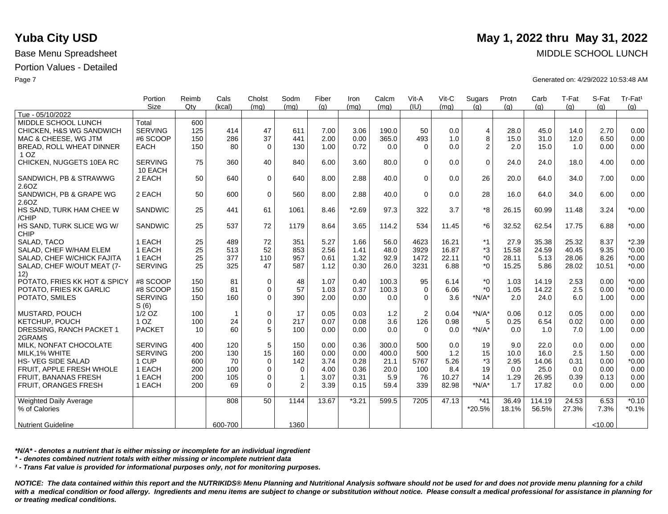|                               | Portion         | Reimb | Cals         | Cholst      | Sodm           | Fiber | Iron    | Calcm | Vit-A          | Vit-C | Sugars         | Protn | Carb   | T-Fat | S-Fat   | Tr-Fat <sup>1</sup> |
|-------------------------------|-----------------|-------|--------------|-------------|----------------|-------|---------|-------|----------------|-------|----------------|-------|--------|-------|---------|---------------------|
|                               | Size            | Qty   | (kcal)       | (mq)        | (mq)           | (q)   | (mq)    | (mq)  | (IU)           | (mq)  | (q)            | (q)   | (q)    | (q)   | (q)     | (g)                 |
| Tue - 05/10/2022              |                 |       |              |             |                |       |         |       |                |       |                |       |        |       |         |                     |
| MIDDLE SCHOOL LUNCH           | Total           | 600   |              |             |                |       |         |       |                |       |                |       |        |       |         |                     |
| CHICKEN, H&S WG SANDWICH      | <b>SERVING</b>  | 125   | 414          | 47          | 611            | 7.00  | 3.06    | 190.0 | 50             | 0.0   | $\overline{4}$ | 28.0  | 45.0   | 14.0  | 2.70    | 0.00                |
| MAC & CHEESE, WG JTM          | #6 SCOOP        | 150   | 286          | 37          | 441            | 2.00  | 0.00    | 365.0 | 493            | 1.0   | 8              | 15.0  | 31.0   | 12.0  | 6.50    | 0.00                |
| BREAD, ROLL WHEAT DINNER      | <b>EACH</b>     | 150   | 80           | $\Omega$    | 130            | 1.00  | 0.72    | 0.0   | $\Omega$       | 0.0   | 2              | 2.0   | 15.0   | 1.0   | 0.00    | 0.00                |
| 1 <sub>OZ</sub>               |                 |       |              |             |                |       |         |       |                |       |                |       |        |       |         |                     |
| CHICKEN, NUGGETS 10EA RC      | <b>SERVING</b>  | 75    | 360          | 40          | 840            | 6.00  | 3.60    | 80.0  | $\Omega$       | 0.0   | $\mathbf 0$    | 24.0  | 24.0   | 18.0  | 4.00    | 0.00                |
|                               | 10 EACH         |       |              |             |                |       |         |       |                |       |                |       |        |       |         |                     |
| SANDWICH, PB & STRAWWG        | 2 EACH          | 50    | 640          | $\mathbf 0$ | 640            | 8.00  | 2.88    | 40.0  | $\mathbf 0$    | 0.0   | 26             | 20.0  | 64.0   | 34.0  | 7.00    | 0.00                |
| 2.6OZ                         |                 |       |              |             |                |       |         |       |                |       |                |       |        |       |         |                     |
| SANDWICH, PB & GRAPE WG       | 2 EACH          | 50    | 600          | $\mathbf 0$ | 560            | 8.00  | 2.88    | 40.0  | $\Omega$       | 0.0   | 28             | 16.0  | 64.0   | 34.0  | 6.00    | 0.00                |
| 2.6OZ                         |                 |       |              |             |                |       |         |       |                |       |                |       |        |       |         |                     |
| HS SAND, TURK HAM CHEE W      | <b>SANDWIC</b>  | 25    | 441          | 61          | 1061           | 8.46  | $*2.69$ | 97.3  | 322            | 3.7   | *8             | 26.15 | 60.99  | 11.48 | 3.24    | $*0.00$             |
| /CHIP                         |                 |       |              |             |                |       |         |       |                |       |                |       |        |       |         |                     |
| HS SAND, TURK SLICE WG W/     | <b>SANDWIC</b>  | 25    | 537          | 72          | 1179           | 8.64  | 3.65    | 114.2 | 534            | 11.45 | $*6$           | 32.52 | 62.54  | 17.75 | 6.88    | $*0.00$             |
| <b>CHIP</b>                   |                 |       |              |             |                |       |         |       |                |       |                |       |        |       |         |                     |
| SALAD. TACO                   | 1 EACH          | 25    | 489          | 72          | 351            | 5.27  | 1.66    | 56.0  | 4623           | 16.21 | $*1$           | 27.9  | 35.38  | 25.32 | 8.37    | $*2.39$             |
| SALAD, CHEF W/HAM ELEM        | 1 EACH          | 25    | 513          | 52          | 853            | 2.56  | 1.41    | 48.0  | 3929           | 16.87 | *3             | 15.58 | 24.59  | 40.45 | 9.35    | $*0.00$             |
| SALAD, CHEF W/CHICK FAJITA    | 1 EACH          | 25    | 377          | 110         | 957            | 0.61  | 1.32    | 92.9  | 1472           | 22.11 | $*_{0}$        | 28.11 | 5.13   | 28.06 | 8.26    | $*0.00$             |
| SALAD, CHEF W/OUT MEAT (7-    | <b>SERVING</b>  | 25    | 325          | 47          | 587            | 1.12  | 0.30    | 26.0  | 3231           | 6.88  | $*_{0}$        | 15.25 | 5.86   | 28.02 | 10.51   | $*0.00$             |
| 12)                           |                 |       |              |             |                |       |         |       |                |       |                |       |        |       |         |                     |
| POTATO, FRIES KK HOT & SPICY  | #8 SCOOP        | 150   | 81           | $\mathbf 0$ | 48             | 1.07  | 0.40    | 100.3 | 95             | 6.14  | $*_{0}$        | 1.03  | 14.19  | 2.53  | 0.00    | $*0.00$             |
| POTATO, FRIES KK GARLIC       | #8 SCOOP        | 150   | 81           | $\mathbf 0$ | 57             | 1.03  | 0.37    | 100.3 | $\Omega$       | 6.06  | $*$ 0          | 1.05  | 14.22  | 2.5   | 0.00    | $*0.00$             |
| POTATO, SMILES                | <b>SERVING</b>  | 150   | 160          | $\Omega$    | 390            | 2.00  | 0.00    | 0.0   | $\Omega$       | 3.6   | $*N/A*$        | 2.0   | 24.0   | 6.0   | 1.00    | 0.00                |
|                               |                 |       |              |             |                |       |         |       |                |       |                |       |        |       |         |                     |
|                               | S(6)            | 100   |              |             | 17             |       | 0.03    |       |                | 0.04  |                |       |        | 0.05  |         |                     |
| <b>MUSTARD, POUCH</b>         | $1/2$ OZ        |       | $\mathbf{1}$ | $\mathbf 0$ |                | 0.05  |         | $1.2$ | $\overline{2}$ |       | $*N/A*$        | 0.06  | 0.12   |       | 0.00    | 0.00                |
| KETCHUP, POUCH                | 1 <sub>OZ</sub> | 100   | 24           | $\mathbf 0$ | 217            | 0.07  | 0.08    | 3.6   | 126            | 0.98  | 5              | 0.25  | 6.54   | 0.02  | 0.00    | 0.00                |
| DRESSING, RANCH PACKET 1      | <b>PACKET</b>   | 10    | 60           | 5           | 100            | 0.00  | 0.00    | 0.0   | $\Omega$       | 0.0   | $*N/A*$        | 0.0   | 1.0    | 7.0   | 1.00    | 0.00                |
| 2GRAMS                        |                 |       |              |             |                |       |         |       |                |       |                |       |        |       |         |                     |
| MILK. NONFAT CHOCOLATE        | <b>SERVING</b>  | 400   | 120          | 5           | 150            | 0.00  | 0.36    | 300.0 | 500            | 0.0   | 19             | 9.0   | 22.0   | 0.0   | 0.00    | 0.00                |
| MILK.1% WHITE                 | <b>SERVING</b>  | 200   | 130          | 15          | 160            | 0.00  | 0.00    | 400.0 | 500            | 1.2   | 15             | 10.0  | 16.0   | 2.5   | 1.50    | 0.00                |
| <b>HS- VEG SIDE SALAD</b>     | 1 CUP           | 600   | 70           | $\mathbf 0$ | 142            | 3.74  | 0.28    | 21.1  | 5767           | 5.26  | *3             | 2.95  | 14.06  | 0.31  | 0.00    | $*0.00$             |
| FRUIT. APPLE FRESH WHOLE      | 1 EACH          | 200   | 100          | $\mathbf 0$ | $\mathbf 0$    | 4.00  | 0.36    | 20.0  | 100            | 8.4   | 19             | 0.0   | 25.0   | 0.0   | 0.00    | 0.00                |
| FRUIT, BANANAS FRESH          | 1 EACH          | 200   | 105          | $\mathbf 0$ | $\mathbf{1}$   | 3.07  | 0.31    | 5.9   | 76             | 10.27 | 14             | 1.29  | 26.95  | 0.39  | 0.13    | 0.00                |
| FRUIT, ORANGES FRESH          | 1 EACH          | 200   | 69           | $\Omega$    | $\overline{2}$ | 3.39  | 0.15    | 59.4  | 339            | 82.98 | $*N/A*$        | 1.7   | 17.82  | 0.0   | 0.00    | 0.00                |
|                               |                 |       |              |             |                |       |         |       |                |       |                |       |        |       |         |                     |
| <b>Weighted Daily Average</b> |                 |       | 808          | 50          | 1144           | 13.67 | $*3.21$ | 599.5 | 7205           | 47.13 | $*41$          | 36.49 | 114.19 | 24.53 | 6.53    | $*0.10$             |
| % of Calories                 |                 |       |              |             |                |       |         |       |                |       | *20.5%         | 18.1% | 56.5%  | 27.3% | 7.3%    | $*0.1%$             |
|                               |                 |       |              |             |                |       |         |       |                |       |                |       |        |       |         |                     |
| <b>Nutrient Guideline</b>     |                 |       | 600-700      |             | 1360           |       |         |       |                |       |                |       |        |       | < 10.00 |                     |

*\*N/A\* - denotes a nutrient that is either missing or incomplete for an individual ingredient*

*\* - denotes combined nutrient totals with either missing or incomplete nutrient data*

*¹ - Trans Fat value is provided for informational purposes only, not for monitoring purposes.*

*NOTICE: The data contained within this report and the NUTRIKIDS® Menu Planning and Nutritional Analysis software should not be used for and does not provide menu planning for a child*  with a medical condition or food allergy. Ingredients and menu items are subject to change or substitution without notice. Please consult a medical professional for assistance in planning for *or treating medical conditions.*

# **Yuba City USD** May 1, 2022 thru May 31, 2022

Base Menu Spreadsheet MIDDLE SCHOOL LUNCH

Page 7 Generated on: 4/29/2022 10:53:48 AM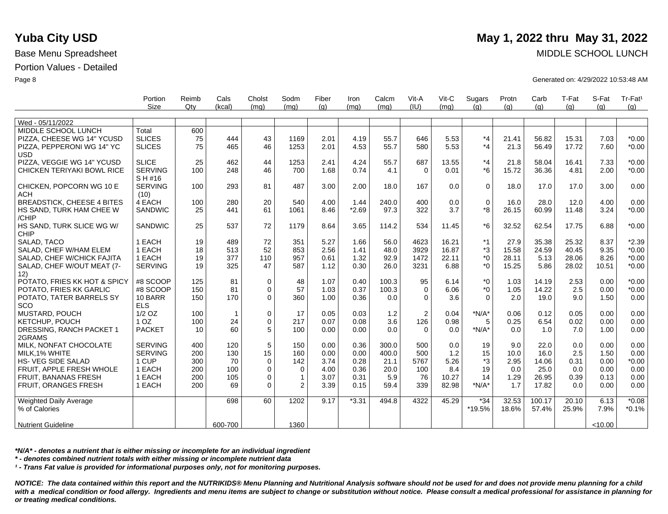|                                   | Portion<br>Size | Reimb<br>$Q$ ty | Cals<br>(kcal) | Cholst<br>(mq) | Sodm<br>(mq) | Fiber<br>(q) | Iron<br>(mq) | Calcm<br>(mq) | Vit-A<br>(IU) | Vit-C<br>(mq) | Sugars<br>(q) | Protn<br>(g) | Carb<br>(g) | T-Fat<br>(q) | S-Fat<br>(q) | Tr-Fat <sup>1</sup><br>(q) |
|-----------------------------------|-----------------|-----------------|----------------|----------------|--------------|--------------|--------------|---------------|---------------|---------------|---------------|--------------|-------------|--------------|--------------|----------------------------|
|                                   |                 |                 |                |                |              |              |              |               |               |               |               |              |             |              |              |                            |
| Wed - 05/11/2022                  |                 |                 |                |                |              |              |              |               |               |               |               |              |             |              |              |                            |
| MIDDLE SCHOOL LUNCH               | Total           | 600             |                |                |              |              |              |               |               |               |               |              |             |              |              |                            |
| PIZZA, CHEESE WG 14" YCUSD        | <b>SLICES</b>   | 75              | 444            | 43             | 1169         | 2.01         | 4.19         | 55.7          | 646           | 5.53          | $*_{4}$       | 21.41        | 56.82       | 15.31        | 7.03         | $*0.00$                    |
| PIZZA, PEPPERONI WG 14" YC        | <b>SLICES</b>   | 75              | 465            | 46             | 1253         | 2.01         | 4.53         | 55.7          | 580           | 5.53          | $*4$ .        | 21.3         | 56.49       | 17.72        | 7.60         | $*0.00$                    |
| <b>USD</b>                        |                 |                 |                |                |              |              |              |               |               |               |               |              |             |              |              |                            |
| PIZZA, VEGGIE WG 14" YCUSD        | <b>SLICE</b>    | 25              | 462            | 44             | 1253         | 2.41         | 4.24         | 55.7          | 687           | 13.55         | $*_{4}$       | 21.8         | 58.04       | 16.41        | 7.33         | $*0.00$                    |
| CHICKEN TERIYAKI BOWL RICE        | <b>SERVING</b>  | 100             | 248            | 46             | 700          | 1.68         | 0.74         | 4.1           | $\Omega$      | 0.01          | $*6$          | 15.72        | 36.36       | 4.81         | 2.00         | $*0.00$                    |
|                                   | S H #16         |                 |                |                |              |              |              |               |               |               |               |              |             |              |              |                            |
| CHICKEN, POPCORN WG 10 E          | <b>SERVING</b>  | 100             | 293            | 81             | 487          | 3.00         | 2.00         | 18.0          | 167           | 0.0           | $\Omega$      | 18.0         | 17.0        | 17.0         | 3.00         | 0.00                       |
| <b>ACH</b>                        | (10)            |                 |                |                |              |              |              |               |               |               |               |              |             |              |              |                            |
| <b>BREADSTICK, CHEESE 4 BITES</b> | 4 EACH          | 100             | 280            | 20             | 540          | 4.00         | 1.44         | 240.0         | 400           | 0.0           | $\mathbf 0$   | 16.0         | 28.0        | 12.0         | 4.00         | 0.00                       |
| HS SAND, TURK HAM CHEE W          | SANDWIC         | 25              | 441            | 61             | 1061         | 8.46         | $*2.69$      | 97.3          | 322           | 3.7           | *8            | 26.15        | 60.99       | 11.48        | 3.24         | $*0.00$                    |
| /CHIP                             |                 |                 |                |                |              |              |              |               |               |               |               |              |             |              |              |                            |
| HS SAND, TURK SLICE WG W/         | <b>SANDWIC</b>  | 25              | 537            | 72             | 1179         | 8.64         | 3.65         | 114.2         | 534           | 11.45         | $*6$          | 32.52        | 62.54       | 17.75        | 6.88         | $*0.00$                    |
| CHIP                              |                 |                 |                |                |              |              |              |               |               |               |               |              |             |              |              |                            |
| SALAD, TACO                       | 1 EACH          | 19              | 489            | 72             | 351          | 5.27         | 1.66         | 56.0          | 4623          | 16.21         | $*1$          | 27.9         | 35.38       | 25.32        | 8.37         | $*2.39$                    |
| SALAD, CHEF W/HAM ELEM            | 1 EACH          | 18              | 513            | 52             | 853          | 2.56         | 1.41         | 48.0          | 3929          | 16.87         | *3            | 15.58        | 24.59       | 40.45        | 9.35         | $*0.00$                    |
| SALAD, CHEF W/CHICK FAJITA        | 1 EACH          | 19              | 377            | 110            | 957          | 0.61         | 1.32         | 92.9          | 1472          | 22.11         | $*_{0}$       | 28.11        | 5.13        | 28.06        | 8.26         | $*0.00$                    |
| SALAD, CHEF W/OUT MEAT (7-        | <b>SERVING</b>  | 19              | 325            | 47             | 587          | 1.12         | 0.30         | 26.0          | 3231          | 6.88          | $*_{0}$       | 15.25        | 5.86        | 28.02        | 10.51        | $*0.00$                    |
| 12)                               |                 |                 |                |                |              |              |              |               |               |               |               |              |             |              |              |                            |
| POTATO, FRIES KK HOT & SPICY      | #8 SCOOP        | 125             | 81             | $\mathbf 0$    | 48           | 1.07         | 0.40         | 100.3         | 95            | 6.14          | $*_{0}$       | 1.03         | 14.19       | 2.53         | 0.00         | $*0.00$                    |
| POTATO, FRIES KK GARLIC           | #8 SCOOP        | 150             | 81             | $\pmb{0}$      | 57           | 1.03         | 0.37         | 100.3         | $\mathsf 0$   | 6.06          | $^*0$         | 1.05         | 14.22       | 2.5          | 0.00         | $*0.00$                    |
| POTATO, TATER BARRELS SY          | 10 BARR         | 150             | 170            | $\mathbf 0$    | 360          | 1.00         | 0.36         | 0.0           | $\mathbf 0$   | 3.6           | $\Omega$      | 2.0          | 19.0        | 9.0          | 1.50         | 0.00                       |
| SCO                               | <b>ELS</b>      |                 |                |                |              |              |              |               |               |               |               |              |             |              |              |                            |
| <b>MUSTARD, POUCH</b>             | $1/2$ OZ        | 100             | $\mathbf{1}$   | $\mathbf 0$    | 17           | 0.05         | 0.03         | 1.2           | 2             | 0.04          | $*N/A*$       | 0.06         | 0.12        | 0.05         | 0.00         | 0.00                       |
| <b>KETCHUP, POUCH</b>             | 1 <sub>OZ</sub> | 100             | 24             | $\mathbf 0$    | 217          | 0.07         | 0.08         | 3.6           | 126           | 0.98          | 5             | 0.25         | 6.54        | 0.02         | 0.00         | 0.00                       |
| DRESSING, RANCH PACKET 1          | <b>PACKET</b>   | 10              | 60             | 5              | 100          | 0.00         | 0.00         | 0.0           | $\Omega$      | 0.0           | $*N/A*$       | 0.0          | 1.0         | 7.0          | 1.00         | 0.00                       |
| 2GRAMS                            |                 |                 |                |                |              |              |              |               |               |               |               |              |             |              |              |                            |
| MILK. NONFAT CHOCOLATE            | <b>SERVING</b>  | 400             | 120            | 5              | 150          | 0.00         | 0.36         | 300.0         | 500           | 0.0           | 19            | 9.0          | 22.0        | 0.0          | 0.00         | 0.00                       |
| MILK, 1% WHITE                    | <b>SERVING</b>  | 200             | 130            | 15             | 160          | 0.00         | 0.00         | 400.0         | 500           | 1.2           | 15            | 10.0         | 16.0        | 2.5          | 1.50         | 0.00                       |
| <b>HS- VEG SIDE SALAD</b>         | 1 CUP           | 300             | 70             | $\mathbf 0$    | 142          | 3.74         | 0.28         | 21.1          | 5767          | 5.26          | *3            | 2.95         | 14.06       | 0.31         | 0.00         | $*0.00$                    |
| FRUIT, APPLE FRESH WHOLE          | 1 EACH          | 200             | 100            | $\mathbf 0$    | $\mathbf 0$  | 4.00         | 0.36         | 20.0          | 100           | 8.4           | 19            | 0.0          | 25.0        | 0.0          | 0.00         | 0.00                       |
| <b>FRUIT, BANANAS FRESH</b>       | 1 EACH          | 200             | 105            | $\mathbf 0$    | 1            | 3.07         | 0.31         | 5.9           | 76            | 10.27         | 14            | 1.29         | 26.95       | 0.39         | 0.13         | 0.00                       |
| <b>FRUIT, ORANGES FRESH</b>       | 1 EACH          | 200             | 69             | $\Omega$       | 2            | 3.39         | 0.15         | 59.4          | 339           | 82.98         | $*N/A*$       | 1.7          | 17.82       | 0.0          | 0.00         | 0.00                       |
| <b>Weighted Daily Average</b>     |                 |                 | 698            | 60             | 1202         | 9.17         | $*3.31$      | 494.8         | 4322          | 45.29         | $*34$         | 32.53        | 100.17      | 20.10        | 6.13         | $*0.08$                    |
| % of Calories                     |                 |                 |                |                |              |              |              |               |               |               | *19.5%        | 18.6%        | 57.4%       | 25.9%        | 7.9%         | $*0.1%$                    |
|                                   |                 |                 |                |                |              |              |              |               |               |               |               |              |             |              |              |                            |
| <b>Nutrient Guideline</b>         |                 |                 | 600-700        |                | 1360         |              |              |               |               |               |               |              |             |              | < 10.00      |                            |

*\*N/A\* - denotes a nutrient that is either missing or incomplete for an individual ingredient*

*\* - denotes combined nutrient totals with either missing or incomplete nutrient data*

*¹ - Trans Fat value is provided for informational purposes only, not for monitoring purposes.*

*NOTICE: The data contained within this report and the NUTRIKIDS® Menu Planning and Nutritional Analysis software should not be used for and does not provide menu planning for a child*  with a medical condition or food allergy. Ingredients and menu items are subject to change or substitution without notice. Please consult a medical professional for assistance in planning for *or treating medical conditions.*

## **Yuba City USD** May 1, 2022 thru May 31, 2022

Base Menu Spreadsheet MIDDLE SCHOOL LUNCH

Page 8 Generated on: 4/29/2022 10:53:48 AM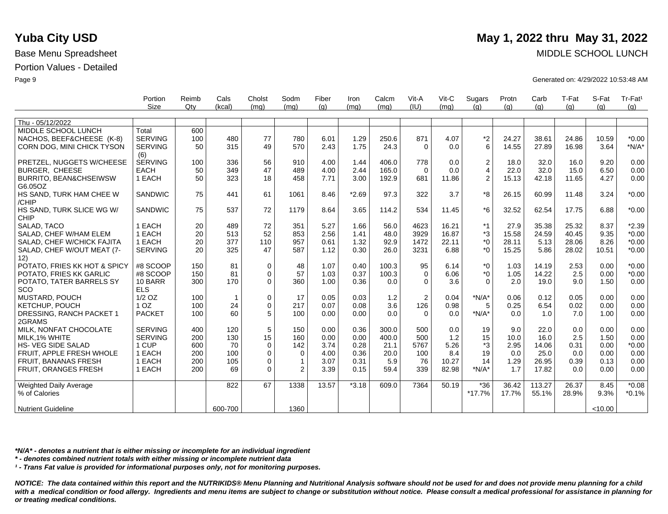|                                   | Portion<br>Size | Reimb<br>$Q$ ty | Cals<br>(kcal) | Cholst<br>(mg) | Sodm<br>(mq) | Fiber<br>(q) | Iron<br>(mq) | Calcm<br>(mq) | Vit-A<br>(IU)  | Vit-C<br>(mq) | Sugars<br>(q)  | Protn<br>(q) | Carb<br>(q) | T-Fat<br>(q) | S-Fat<br>(q) | Tr-Fat <sup>1</sup><br>(q) |
|-----------------------------------|-----------------|-----------------|----------------|----------------|--------------|--------------|--------------|---------------|----------------|---------------|----------------|--------------|-------------|--------------|--------------|----------------------------|
|                                   |                 |                 |                |                |              |              |              |               |                |               |                |              |             |              |              |                            |
| Thu - 05/12/2022                  |                 |                 |                |                |              |              |              |               |                |               |                |              |             |              |              |                            |
| MIDDLE SCHOOL LUNCH               | Total           | 600             |                |                |              |              |              |               |                |               |                |              |             |              |              |                            |
| NACHOS, BEEF&CHEESE (K-8)         | <b>SERVING</b>  | 100             | 480            | 77             | 780          | 6.01         | 1.29         | 250.6         | 871            | 4.07          | $*2$           | 24.27        | 38.61       | 24.86        | 10.59        | $*0.00$                    |
| CORN DOG, MINI CHICK TYSON        | <b>SERVING</b>  | 50              | 315            | 49             | 570          | 2.43         | 1.75         | 24.3          | $\Omega$       | 0.0           | 6              | 14.55        | 27.89       | 16.98        | 3.64         | $*N/A*$                    |
|                                   | (6)             |                 |                |                |              |              |              |               |                |               |                |              |             |              |              |                            |
| PRETZEL, NUGGETS W/CHEESE         | <b>SERVING</b>  | 100             | 336            | 56             | 910          | 4.00         | 1.44         | 406.0         | 778            | 0.0           | $\overline{c}$ | 18.0         | 32.0        | 16.0         | 9.20         | 0.00                       |
| <b>BURGER, CHEESE</b>             | <b>EACH</b>     | 50              | 349            | 47             | 489          | 4.00         | 2.44         | 165.0         | $\Omega$       | 0.0           | $\overline{4}$ | 22.0         | 32.0        | 15.0         | 6.50         | 0.00                       |
| <b>BURRITO, BEAN&amp;CHSEIWSW</b> | 1 EACH          | 50              | 323            | 18             | 458          | 7.71         | 3.00         | 192.9         | 681            | 11.86         | $\overline{c}$ | 15.13        | 42.18       | 11.65        | 4.27         | 0.00                       |
| G6.05OZ                           |                 |                 |                |                |              |              |              |               |                |               |                |              |             |              |              |                            |
| HS SAND, TURK HAM CHEE W          | SANDWIC         | 75              | 441            | 61             | 1061         | 8.46         | $*2.69$      | 97.3          | 322            | 3.7           | *8             | 26.15        | 60.99       | 11.48        | 3.24         | $*0.00$                    |
| /CHIP                             |                 |                 |                |                |              |              |              |               |                |               |                |              |             |              |              |                            |
| HS SAND, TURK SLICE WG W/         | <b>SANDWIC</b>  | 75              | 537            | 72             | 1179         | 8.64         | 3.65         | 114.2         | 534            | 11.45         | $*6$           | 32.52        | 62.54       | 17.75        | 6.88         | $*0.00$                    |
| <b>CHIP</b>                       |                 |                 |                |                |              |              |              |               |                |               |                |              |             |              |              |                            |
| SALAD, TACO                       | 1 EACH          | 20              | 489            | 72             | 351          | 5.27         | 1.66         | 56.0          | 4623           | 16.21         | $*1$           | 27.9         | 35.38       | 25.32        | 8.37         | $*2.39$                    |
| SALAD, CHEF W/HAM ELEM            | 1 EACH          | 20              | 513            | 52             | 853          | 2.56         | 1.41         | 48.0          | 3929           | 16.87         | *3             | 15.58        | 24.59       | 40.45        | 9.35         | $*0.00$                    |
| SALAD, CHEF W/CHICK FAJITA        | 1 EACH          | 20              | 377            | 110            | 957          | 0.61         | 1.32         | 92.9          | 1472           | 22.11         | $*_{0}$        | 28.11        | 5.13        | 28.06        | 8.26         | $*0.00$                    |
| SALAD, CHEF W/OUT MEAT (7-        | <b>SERVING</b>  | 20              | 325            | 47             | 587          | 1.12         | 0.30         | 26.0          | 3231           | 6.88          | $*_{0}$        | 15.25        | 5.86        | 28.02        | 10.51        | $*0.00$                    |
| 12)                               |                 |                 |                |                |              |              |              |               |                |               |                |              |             |              |              |                            |
| POTATO, FRIES KK HOT & SPICY      | #8 SCOOP        | 150             | 81             | 0              | 48           | 1.07         | 0.40         | 100.3         | 95             | 6.14          | $*_{0}$        | 1.03         | 14.19       | 2.53         | 0.00         | $*0.00$                    |
| POTATO, FRIES KK GARLIC           | #8 SCOOP        | 150             | 81             | 0              | 57           | 1.03         | 0.37         | 100.3         | $\mathbf 0$    | 6.06          | $*_{0}$        | 1.05         | 14.22       | 2.5          | 0.00         | $*0.00$                    |
| POTATO, TATER BARRELS SY          | 10 BARR         | 300             | 170            | $\Omega$       | 360          | 1.00         | 0.36         | 0.0           | $\mathbf 0$    | 3.6           | $\Omega$       | 2.0          | 19.0        | 9.0          | 1.50         | 0.00                       |
| SCO                               | <b>ELS</b>      |                 |                |                |              |              |              |               |                |               |                |              |             |              |              |                            |
| <b>MUSTARD, POUCH</b>             | $1/2$ OZ        | 100             | $\mathbf{1}$   | 0              | 17           | 0.05         | 0.03         | 1.2           | $\overline{2}$ | 0.04          | $*N/A*$        | 0.06         | 0.12        | 0.05         | 0.00         | 0.00                       |
| KETCHUP, POUCH                    | 1 OZ            | 100             | 24             | 0              | 217          | 0.07         | 0.08         | 3.6           | 126            | 0.98          | 5              | 0.25         | 6.54        | 0.02         | 0.00         | 0.00                       |
| DRESSING, RANCH PACKET 1          | <b>PACKET</b>   | 100             | 60             | 5              | 100          | 0.00         | 0.00         | 0.0           | $\Omega$       | 0.0           | $*N/A*$        | 0.0          | 1.0         | 7.0          | 1.00         | 0.00                       |
| 2GRAMS                            |                 |                 |                |                |              |              |              |               |                |               |                |              |             |              |              |                            |
| MILK. NONFAT CHOCOLATE            | <b>SERVING</b>  | 400             | 120            | 5              | 150          | 0.00         | 0.36         | 300.0         | 500            | 0.0           | 19             | 9.0          | 22.0        | 0.0          | 0.00         | 0.00                       |
| MILK, 1% WHITE                    | <b>SERVING</b>  | 200             | 130            | 15             | 160          | 0.00         | 0.00         | 400.0         | 500            | 1.2           | 15             | 10.0         | 16.0        | 2.5          | 1.50         | 0.00                       |
| <b>HS-VEG SIDE SALAD</b>          | 1 CUP           | 600             | 70             | 0              | 142          | 3.74         | 0.28         | 21.1          | 5767           | 5.26          | *3             | 2.95         | 14.06       | 0.31         | 0.00         | $*0.00$                    |
| FRUIT, APPLE FRESH WHOLE          | 1 EACH          | 200             | 100            | 0              | $\mathbf 0$  | 4.00         | 0.36         | 20.0          | 100            | 8.4           | 19             | 0.0          | 25.0        | 0.0          | 0.00         | 0.00                       |
| FRUIT, BANANAS FRESH              | 1 EACH          | 200             | 105            | 0              | $\mathbf{1}$ | 3.07         | 0.31         | 5.9           | 76             | 10.27         | 14             | 1.29         | 26.95       | 0.39         | 0.13         | 0.00                       |
| FRUIT, ORANGES FRESH              | 1 EACH          | 200             | 69             | 0              | 2            | 3.39         | 0.15         | 59.4          | 339            | 82.98         | $*N/A*$        | 1.7          | 17.82       | 0.0          | 0.00         | 0.00                       |
| <b>Weighted Daily Average</b>     |                 |                 | 822            | 67             | 1338         | 13.57        | $*3.18$      | 609.0         | 7364           | 50.19         | $*36$          | 36.42        | 113.27      | 26.37        | 8.45         | $*0.08$                    |
| % of Calories                     |                 |                 |                |                |              |              |              |               |                |               | $*17.7%$       | 17.7%        | 55.1%       | 28.9%        | 9.3%         | $*0.1%$                    |
|                                   |                 |                 |                |                |              |              |              |               |                |               |                |              |             |              |              |                            |
| <b>Nutrient Guideline</b>         |                 |                 | 600-700        |                | 1360         |              |              |               |                |               |                |              |             |              | < 10.00      |                            |

*\*N/A\* - denotes a nutrient that is either missing or incomplete for an individual ingredient*

*\* - denotes combined nutrient totals with either missing or incomplete nutrient data*

*¹ - Trans Fat value is provided for informational purposes only, not for monitoring purposes.*

*NOTICE: The data contained within this report and the NUTRIKIDS® Menu Planning and Nutritional Analysis software should not be used for and does not provide menu planning for a child*  with a medical condition or food allergy. Ingredients and menu items are subject to change or substitution without notice. Please consult a medical professional for assistance in planning for *or treating medical conditions.*

# **Yuba City USD** May 1, 2022 thru May 31, 2022

Base Menu Spreadsheet MIDDLE SCHOOL LUNCH

Page 9 Generated on: 4/29/2022 10:53:48 AM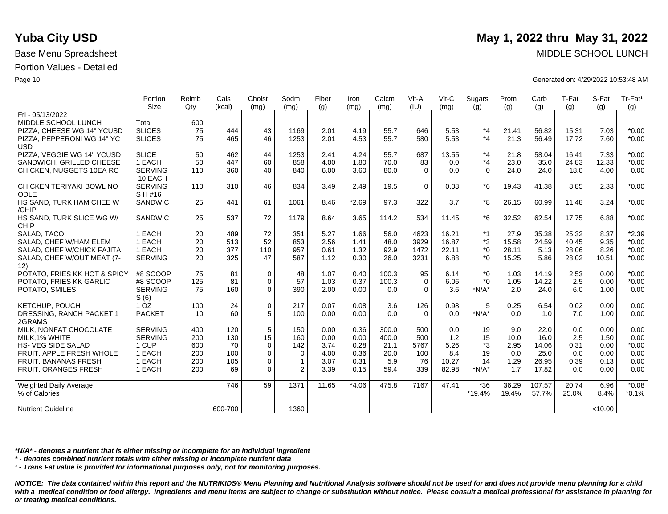|                                   | Portion         | Reimb  | Cals    | Cholst      | Sodm         | Fiber | Iron    | Calcm | Vit-A    | Vit-C | Sugars   | Protn | Carb   | T-Fat | S-Fat   | Tr-Fat <sup>1</sup> |
|-----------------------------------|-----------------|--------|---------|-------------|--------------|-------|---------|-------|----------|-------|----------|-------|--------|-------|---------|---------------------|
|                                   | Size            | $Q$ ty | (kcal)  | (mq)        | (mq)         | (q)   | (mq)    | (mq)  | (IU)     | (mq)  | (q)      | (q)   | (g)    | (g)   | (q)     | (g)                 |
| Fri - 05/13/2022                  |                 |        |         |             |              |       |         |       |          |       |          |       |        |       |         |                     |
| MIDDLE SCHOOL LUNCH               | Total           | 600    |         |             |              |       |         |       |          |       |          |       |        |       |         |                     |
| PIZZA, CHEESE WG 14" YCUSD        | <b>SLICES</b>   | 75     | 444     | 43          | 1169         | 2.01  | 4.19    | 55.7  | 646      | 5.53  | $*_{4}$  | 21.41 | 56.82  | 15.31 | 7.03    | $*0.00$             |
| PIZZA, PEPPERONI WG 14" YC        | <b>SLICES</b>   | 75     | 465     | 46          | 1253         | 2.01  | 4.53    | 55.7  | 580      | 5.53  | $*_{4}$  | 21.3  | 56.49  | 17.72 | 7.60    | $*0.00$             |
| <b>USD</b>                        |                 |        |         |             |              |       |         |       |          |       |          |       |        |       |         |                     |
| PIZZA, VEGGIE WG 14" YCUSD        | <b>SLICE</b>    | 50     | 462     | 44          | 1253         | 2.41  | 4.24    | 55.7  | 687      | 13.55 | $*_{4}$  | 21.8  | 58.04  | 16.41 | 7.33    | $*0.00$             |
| SANDWICH, GRILLED CHEESE          | 1 EACH          | 50     | 447     | 60          | 858          | 4.00  | 1.80    | 70.0  | 83       | 0.0   | $*_{4}$  | 23.0  | 35.0   | 24.83 | 12.33   | $*0.00$             |
| CHICKEN, NUGGETS 10EA RC          | <b>SERVING</b>  | 110    | 360     | 40          | 840          | 6.00  | 3.60    | 80.0  | $\Omega$ | 0.0   | $\Omega$ | 24.0  | 24.0   | 18.0  | 4.00    | 0.00                |
|                                   | 10 EACH         |        |         |             |              |       |         |       |          |       |          |       |        |       |         |                     |
| CHICKEN TERIYAKI BOWL NO          | <b>SERVING</b>  | 110    | 310     | 46          | 834          | 3.49  | 2.49    | 19.5  | $\Omega$ | 0.08  | $*6$     | 19.43 | 41.38  | 8.85  | 2.33    | $*0.00$             |
| <b>ODLE</b>                       | SH#16           |        |         |             |              |       |         |       |          |       |          |       |        |       |         |                     |
| HS SAND, TURK HAM CHEE W<br>/CHIP | SANDWIC         | 25     | 441     | 61          | 1061         | 8.46  | $*2.69$ | 97.3  | 322      | 3.7   | *8       | 26.15 | 60.99  | 11.48 | 3.24    | $*0.00$             |
| HS SAND, TURK SLICE WG W/         | <b>SANDWIC</b>  | 25     | 537     | 72          | 1179         | 8.64  | 3.65    | 114.2 | 534      | 11.45 | $*6$     | 32.52 | 62.54  | 17.75 | 6.88    | $*0.00$             |
| <b>CHIP</b>                       |                 |        |         |             |              |       |         |       |          |       |          |       |        |       |         |                     |
| SALAD, TACO                       | 1 EACH          | 20     | 489     | 72          | 351          | 5.27  | 1.66    | 56.0  | 4623     | 16.21 | $*1$     | 27.9  | 35.38  | 25.32 | 8.37    | $*2.39$             |
| SALAD, CHEF W/HAM ELEM            | 1 EACH          | 20     | 513     | 52          | 853          | 2.56  | 1.41    | 48.0  | 3929     | 16.87 | *3       | 15.58 | 24.59  | 40.45 | 9.35    | $*0.00$             |
| SALAD, CHEF W/CHICK FAJITA        | 1 EACH          | 20     | 377     | 110         | 957          | 0.61  | 1.32    | 92.9  | 1472     | 22.11 | $*_{0}$  | 28.11 | 5.13   | 28.06 | 8.26    | $*0.00$             |
| SALAD, CHEF W/OUT MEAT (7-        | <b>SERVING</b>  | 20     | 325     | 47          | 587          | 1.12  | 0.30    | 26.0  | 3231     | 6.88  | $*_{0}$  | 15.25 | 5.86   | 28.02 | 10.51   | $*0.00$             |
| 12)                               |                 |        |         |             |              |       |         |       |          |       |          |       |        |       |         |                     |
| POTATO, FRIES KK HOT & SPICY      | #8 SCOOP        | 75     | 81      | $\mathbf 0$ | 48           | 1.07  | 0.40    | 100.3 | 95       | 6.14  | $*_{0}$  | 1.03  | 14.19  | 2.53  | 0.00    | $*0.00$             |
| POTATO, FRIES KK GARLIC           | #8 SCOOP        | 125    | 81      | $\mathbf 0$ | 57           | 1.03  | 0.37    | 100.3 | $\Omega$ | 6.06  | $*$ 0    | 1.05  | 14.22  | 2.5   | 0.00    | $*0.00$             |
| POTATO, SMILES                    | <b>SERVING</b>  | 75     | 160     | $\mathbf 0$ | 390          | 2.00  | 0.00    | 0.0   | $\Omega$ | 3.6   | $*N/A*$  | 2.0   | 24.0   | 6.0   | 1.00    | 0.00                |
|                                   | S(6)            |        |         |             |              |       |         |       |          |       |          |       |        |       |         |                     |
| KETCHUP, POUCH                    | 1 <sub>OZ</sub> | 100    | 24      | $\mathbf 0$ | 217          | 0.07  | 0.08    | 3.6   | 126      | 0.98  | 5        | 0.25  | 6.54   | 0.02  | 0.00    | 0.00                |
| DRESSING, RANCH PACKET 1          | <b>PACKET</b>   | 10     | 60      | 5           | 100          | 0.00  | 0.00    | 0.0   | $\Omega$ | 0.0   | $*N/A*$  | 0.0   | 1.0    | 7.0   | 1.00    | 0.00                |
| 2GRAMS                            |                 |        |         |             |              |       |         |       |          |       |          |       |        |       |         |                     |
| MILK, NONFAT CHOCOLATE            | <b>SERVING</b>  | 400    | 120     | 5           | 150          | 0.00  | 0.36    | 300.0 | 500      | 0.0   | 19       | 9.0   | 22.0   | 0.0   | 0.00    | 0.00                |
| MILK, 1% WHITE                    | <b>SERVING</b>  | 200    | 130     | 15          | 160          | 0.00  | 0.00    | 400.0 | 500      | $1.2$ | 15       | 10.0  | 16.0   | 2.5   | 1.50    | 0.00                |
| <b>HS-VEG SIDE SALAD</b>          | 1 CUP           | 600    | 70      | $\mathbf 0$ | 142          | 3.74  | 0.28    | 21.1  | 5767     | 5.26  | *3       | 2.95  | 14.06  | 0.31  | 0.00    | $*0.00$             |
| FRUIT. APPLE FRESH WHOLE          | 1 EACH          | 200    | 100     | $\mathbf 0$ | $\mathbf 0$  | 4.00  | 0.36    | 20.0  | 100      | 8.4   | 19       | 0.0   | 25.0   | 0.0   | 0.00    | 0.00                |
| FRUIT, BANANAS FRESH              | 1 EACH          | 200    | 105     | $\mathbf 0$ | $\mathbf{1}$ | 3.07  | 0.31    | 5.9   | 76       | 10.27 | 14       | 1.29  | 26.95  | 0.39  | 0.13    | 0.00                |
| FRUIT, ORANGES FRESH              | 1 EACH          | 200    | 69      | $\Omega$    | 2            | 3.39  | 0.15    | 59.4  | 339      | 82.98 | $*N/A*$  | 1.7   | 17.82  | 0.0   | 0.00    | 0.00                |
|                                   |                 |        |         |             |              |       |         |       |          |       |          |       |        |       |         |                     |
| <b>Weighted Daily Average</b>     |                 |        | 746     | 59          | 1371         | 11.65 | $*4.06$ | 475.8 | 7167     | 47.41 | $*36$    | 36.29 | 107.57 | 20.74 | 6.96    | $*0.08$             |
| % of Calories                     |                 |        |         |             |              |       |         |       |          |       | *19.4%   | 19.4% | 57.7%  | 25.0% | 8.4%    | $*0.1%$             |
|                                   |                 |        |         |             |              |       |         |       |          |       |          |       |        |       |         |                     |
| <b>Nutrient Guideline</b>         |                 |        | 600-700 |             | 1360         |       |         |       |          |       |          |       |        |       | < 10.00 |                     |

*\*N/A\* - denotes a nutrient that is either missing or incomplete for an individual ingredient*

*\* - denotes combined nutrient totals with either missing or incomplete nutrient data*

*¹ - Trans Fat value is provided for informational purposes only, not for monitoring purposes.*

*NOTICE: The data contained within this report and the NUTRIKIDS® Menu Planning and Nutritional Analysis software should not be used for and does not provide menu planning for a child*  with a medical condition or food allergy. Ingredients and menu items are subject to change or substitution without notice. Please consult a medical professional for assistance in planning for *or treating medical conditions.*

# **Yuba City USD** May 1, 2022 thru May 31, 2022

Base Menu Spreadsheet MIDDLE SCHOOL LUNCH

Page 10 Generated on: 4/29/2022 10:53:48 AM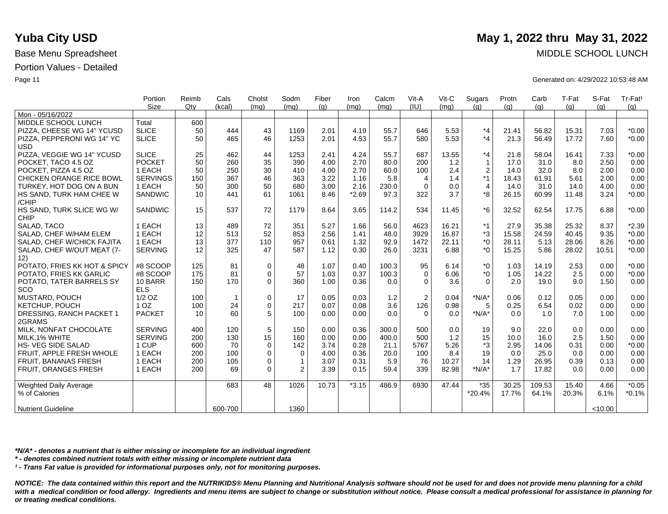|                                   | Portion<br>Size | Reimb<br>Qtv | Cals<br>(kcal) | Cholst<br>(mq) | Sodm<br>(mq) | Fiber | Iron    | Calcm | Vit-A<br>(IU)  | Vit-C<br>(mq) | Sugars           | Protn | Carb   | T-Fat | S-Fat  | Tr-Fat <sup>1</sup> |
|-----------------------------------|-----------------|--------------|----------------|----------------|--------------|-------|---------|-------|----------------|---------------|------------------|-------|--------|-------|--------|---------------------|
| Mon - 05/16/2022                  |                 |              |                |                |              | (q)   | (mq)    | (mq)  |                |               | (q)              | (q)   | (g)    | (g)   | (q)    | (g)                 |
| MIDDLE SCHOOL LUNCH               | Total           | 600          |                |                |              |       |         |       |                |               |                  |       |        |       |        |                     |
| PIZZA, CHEESE WG 14" YCUSD        | <b>SLICE</b>    | 50           | 444            | 43             | 1169         | 2.01  | 4.19    | 55.7  | 646            | 5.53          | *4               | 21.41 | 56.82  | 15.31 | 7.03   | $*0.00$             |
| PIZZA, PEPPERONI WG 14" YC        | <b>SLICE</b>    | 50           | 465            | 46             | 1253         | 2.01  | 4.53    | 55.7  | 580            | 5.53          | $*_{4}$          | 21.3  | 56.49  | 17.72 | 7.60   | $*0.00$             |
| <b>USD</b>                        |                 |              |                |                |              |       |         |       |                |               |                  |       |        |       |        |                     |
| PIZZA, VEGGIE WG 14" YCUSD        | <b>SLICE</b>    | 25           | 462            | 44             | 1253         | 2.41  | 4.24    | 55.7  | 687            | 13.55         | $*_{4}$          | 21.8  | 58.04  | 16.41 | 7.33   | $*0.00$             |
| POCKET, TACO 4.5 OZ               | <b>POCKET</b>   | 50           | 260            | 35             | 390          | 4.00  | 2.70    | 80.0  | 200            | 1.2           | $\mathbf{1}$     | 17.0  | 31.0   | 8.0   | 2.50   | 0.00                |
| POCKET, PIZZA 4.5 OZ              | 1 EACH          | 50           | 250            | 30             | 410          | 4.00  | 2.70    | 60.0  | 100            | 2.4           | $\boldsymbol{2}$ | 14.0  | 32.0   | 8.0   | 2.00   | 0.00                |
| <b>CHICKEN ORANGE RICE BOWL</b>   | <b>SERVINGS</b> | 150          | 367            | 46             | 363          | 3.22  | 1.16    | 5.8   | 4              | 1.4           | *1               | 18.43 | 61.91  | 5.61  | 2.00   | 0.00                |
| TURKEY, HOT DOG ON A BUN          | 1 EACH          | 50           | 300            | 50             | 680          | 3.00  | 2.16    | 230.0 | $\Omega$       | 0.0           | $\overline{4}$   | 14.0  | 31.0   | 14.0  | 4.00   | 0.00                |
| HS SAND, TURK HAM CHEE W<br>/CHIP | <b>SANDWIC</b>  | 10           | 441            | 61             | 1061         | 8.46  | $*2.69$ | 97.3  | 322            | 3.7           | *8               | 26.15 | 60.99  | 11.48 | 3.24   | $*0.00$             |
| HS SAND, TURK SLICE WG W/         | <b>SANDWIC</b>  | 15           | 537            | 72             | 1179         | 8.64  | 3.65    | 114.2 | 534            | 11.45         | *6               | 32.52 | 62.54  | 17.75 | 6.88   | $*0.00$             |
| <b>CHIP</b>                       |                 |              |                |                |              |       |         |       |                |               |                  |       |        |       |        |                     |
| SALAD, TACO                       | 1 EACH          | 13           | 489            | 72             | 351          | 5.27  | 1.66    | 56.0  | 4623           | 16.21         | $*1$             | 27.9  | 35.38  | 25.32 | 8.37   | $*2.39$             |
| SALAD, CHEF W/HAM ELEM            | 1 EACH          | 12           | 513            | 52             | 853          | 2.56  | 1.41    | 48.0  | 3929           | 16.87         | *3               | 15.58 | 24.59  | 40.45 | 9.35   | $*0.00$             |
| SALAD, CHEF W/CHICK FAJITA        | 1 EACH          | 13           | 377            | 110            | 957          | 0.61  | 1.32    | 92.9  | 1472           | 22.11         | *0               | 28.11 | 5.13   | 28.06 | 8.26   | $*0.00$             |
| SALAD, CHEF W/OUT MEAT (7-<br>12) | <b>SERVING</b>  | 12           | 325            | 47             | 587          | 1.12  | 0.30    | 26.0  | 3231           | 6.88          | $*0$             | 15.25 | 5.86   | 28.02 | 10.51  | $*0.00$             |
| POTATO, FRIES KK HOT & SPICY      | #8 SCOOP        | 125          | 81             | 0              | 48           | 1.07  | 0.40    | 100.3 | 95             | 6.14          | $^*0$            | 1.03  | 14.19  | 2.53  | 0.00   | $*0.00$             |
| POTATO, FRIES KK GARLIC           | #8 SCOOP        | 175          | 81             | $\mathbf 0$    | 57           | 1.03  | 0.37    | 100.3 | $\Omega$       | 6.06          | $^*0$            | 1.05  | 14.22  | 2.5   | 0.00   | $*0.00$             |
| POTATO, TATER BARRELS SY          | 10 BARR         | 150          | 170            | $\Omega$       | 360          | 1.00  | 0.36    | 0.0   | $\Omega$       | 3.6           | $\Omega$         | 2.0   | 19.0   | 9.0   | 1.50   | 0.00                |
| SCO                               | <b>ELS</b>      |              |                |                |              |       |         |       |                |               |                  |       |        |       |        |                     |
| MUSTARD, POUCH                    | $1/2$ OZ        | 100          | $\overline{1}$ | 0              | 17           | 0.05  | 0.03    | 1.2   | $\overline{2}$ | 0.04          | $*N/A*$          | 0.06  | 0.12   | 0.05  | 0.00   | 0.00                |
| KETCHUP, POUCH                    | 1 <sub>OZ</sub> | 100          | 24             | $\mathbf 0$    | 217          | 0.07  | 0.08    | 3.6   | 126            | 0.98          | 5                | 0.25  | 6.54   | 0.02  | 0.00   | 0.00                |
| DRESSING, RANCH PACKET 1          | <b>PACKET</b>   | 10           | 60             | 5              | 100          | 0.00  | 0.00    | 0.0   | $\Omega$       | 0.0           | $*N/A*$          | 0.0   | 1.0    | 7.0   | 1.00   | 0.00                |
| 2GRAMS                            |                 |              |                |                |              |       |         |       |                |               |                  |       |        |       |        |                     |
| MILK, NONFAT CHOCOLATE            | <b>SERVING</b>  | 400          | 120            | 5              | 150          | 0.00  | 0.36    | 300.0 | 500            | 0.0           | 19               | 9.0   | 22.0   | 0.0   | 0.00   | 0.00                |
| MILK, 1% WHITE                    | <b>SERVING</b>  | 200          | 130            | 15             | 160          | 0.00  | 0.00    | 400.0 | 500            | 1.2           | 15               | 10.0  | 16.0   | 2.5   | 1.50   | 0.00                |
| <b>HS-VEG SIDE SALAD</b>          | 1 CUP           | 600          | 70             | $\mathbf 0$    | 142          | 3.74  | 0.28    | 21.1  | 5767           | 5.26          | *3               | 2.95  | 14.06  | 0.31  | 0.00   | $*0.00$             |
| FRUIT, APPLE FRESH WHOLE          | 1 EACH          | 200          | 100            | 0              | 0            | 4.00  | 0.36    | 20.0  | 100            | 8.4           | 19               | 0.0   | 25.0   | 0.0   | 0.00   | 0.00                |
| FRUIT, BANANAS FRESH              | 1 EACH          | 200          | 105            | $\mathbf 0$    | $\mathbf{1}$ | 3.07  | 0.31    | 5.9   | 76             | 10.27         | 14               | 1.29  | 26.95  | 0.39  | 0.13   | 0.00                |
| <b>FRUIT, ORANGES FRESH</b>       | 1 EACH          | 200          | 69             | $\Omega$       | 2            | 3.39  | 0.15    | 59.4  | 339            | 82.98         | $*N/A*$          | 1.7   | 17.82  | 0.0   | 0.00   | 0.00                |
| <b>Weighted Daily Average</b>     |                 |              | 683            | 48             | 1026         | 10.73 | $*3.15$ | 486.9 | 6930           | 47.44         | $*35$            | 30.25 | 109.53 | 15.40 | 4.66   | $*0.05$             |
| % of Calories                     |                 |              |                |                |              |       |         |       |                |               | *20.4%           | 17.7% | 64.1%  | 20.3% | 6.1%   | $*0.1%$             |
| <b>Nutrient Guideline</b>         |                 |              | 600-700        |                | 1360         |       |         |       |                |               |                  |       |        |       | <10.00 |                     |

*\*N/A\* - denotes a nutrient that is either missing or incomplete for an individual ingredient*

*\* - denotes combined nutrient totals with either missing or incomplete nutrient data*

*¹ - Trans Fat value is provided for informational purposes only, not for monitoring purposes.*

*NOTICE: The data contained within this report and the NUTRIKIDS® Menu Planning and Nutritional Analysis software should not be used for and does not provide menu planning for a child*  with a medical condition or food allergy. Ingredients and menu items are subject to change or substitution without notice. Please consult a medical professional for assistance in planning for *or treating medical conditions.*

# **Yuba City USD** May 1, 2022 thru May 31, 2022

Base Menu Spreadsheet MIDDLE SCHOOL LUNCH

Page 11 Generated on: 4/29/2022 10:53:48 AM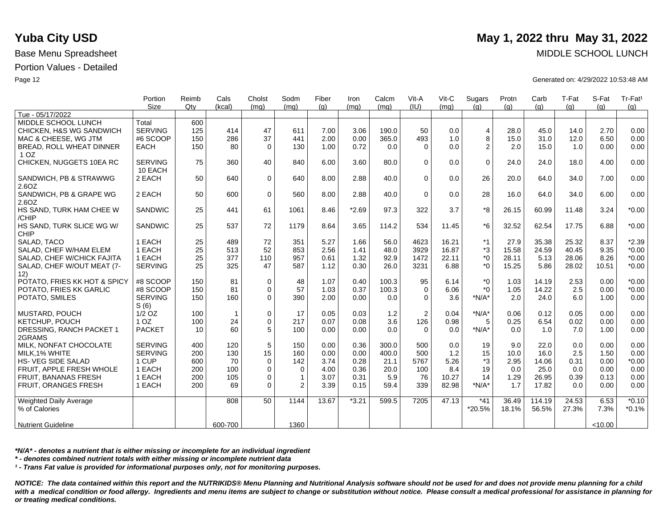|                                 | Portion         | Reimb | Cals         | Cholst      | Sodm           | Fiber | Iron    | Calcm | Vit-A          | Vit-C | Sugars         | Protn | Carb   | T-Fat | S-Fat   | Tr-Fat <sup>1</sup> |
|---------------------------------|-----------------|-------|--------------|-------------|----------------|-------|---------|-------|----------------|-------|----------------|-------|--------|-------|---------|---------------------|
| Tue - 05/17/2022                | Size            | Qty   | (kcal)       | (mq)        | (mq)           | (q)   | (mq)    | (mq)  | (IU)           | (mq)  | (q)            | (q)   | (q)    | (q)   | (q)     | (g)                 |
| MIDDLE SCHOOL LUNCH             | Total           | 600   |              |             |                |       |         |       |                |       |                |       |        |       |         |                     |
|                                 |                 |       |              |             |                |       |         |       |                |       |                |       |        |       |         |                     |
| CHICKEN, H&S WG SANDWICH        | <b>SERVING</b>  | 125   | 414          | 47          | 611            | 7.00  | 3.06    | 190.0 | 50             | 0.0   | $\overline{4}$ | 28.0  | 45.0   | 14.0  | 2.70    | 0.00                |
| MAC & CHEESE, WG JTM            | #6 SCOOP        | 150   | 286          | 37          | 441            | 2.00  | 0.00    | 365.0 | 493            | 1.0   | 8              | 15.0  | 31.0   | 12.0  | 6.50    | 0.00                |
| <b>BREAD, ROLL WHEAT DINNER</b> | <b>EACH</b>     | 150   | 80           | $\Omega$    | 130            | 1.00  | 0.72    | 0.0   | $\Omega$       | 0.0   | 2              | 2.0   | 15.0   | 1.0   | 0.00    | 0.00                |
| 1 <sub>OZ</sub>                 |                 |       |              |             |                |       |         |       |                |       |                |       |        |       |         |                     |
| CHICKEN, NUGGETS 10EA RC        | <b>SERVING</b>  | 75    | 360          | 40          | 840            | 6.00  | 3.60    | 80.0  | $\Omega$       | 0.0   | $\mathbf 0$    | 24.0  | 24.0   | 18.0  | 4.00    | 0.00                |
|                                 | 10 EACH         |       |              |             |                |       |         |       |                |       |                |       |        |       |         |                     |
| SANDWICH, PB & STRAWWG          | 2 EACH          | 50    | 640          | 0           | 640            | 8.00  | 2.88    | 40.0  | $\Omega$       | 0.0   | 26             | 20.0  | 64.0   | 34.0  | 7.00    | 0.00                |
| 2.6OZ                           |                 |       |              |             |                |       |         |       |                |       |                |       |        |       |         |                     |
| SANDWICH, PB & GRAPE WG         | 2 EACH          | 50    | 600          | $\mathbf 0$ | 560            | 8.00  | 2.88    | 40.0  | $\Omega$       | 0.0   | 28             | 16.0  | 64.0   | 34.0  | 6.00    | 0.00                |
| 2.6OZ                           |                 |       |              |             |                |       |         |       |                |       |                |       |        |       |         |                     |
| HS SAND, TURK HAM CHEE W        | SANDWIC         | 25    | 441          | 61          | 1061           | 8.46  | $*2.69$ | 97.3  | 322            | 3.7   | *8             | 26.15 | 60.99  | 11.48 | 3.24    | $*0.00$             |
| /CHIP                           |                 |       |              |             |                |       |         |       |                |       |                |       |        |       |         |                     |
| HS SAND, TURK SLICE WG W/       | SANDWIC         | 25    | 537          | 72          | 1179           | 8.64  | 3.65    | 114.2 | 534            | 11.45 | $*6$           | 32.52 | 62.54  | 17.75 | 6.88    | $*0.00$             |
| <b>CHIP</b>                     |                 |       |              |             |                |       |         |       |                |       |                |       |        |       |         |                     |
| SALAD, TACO                     | 1 EACH          | 25    | 489          | 72          | 351            | 5.27  | 1.66    | 56.0  | 4623           | 16.21 | $*1$           | 27.9  | 35.38  | 25.32 | 8.37    | $*2.39$             |
| SALAD, CHEF W/HAM ELEM          | 1 EACH          | 25    | 513          | 52          | 853            | 2.56  | 1.41    | 48.0  | 3929           | 16.87 | *3             | 15.58 | 24.59  | 40.45 | 9.35    | $*0.00$             |
| SALAD, CHEF W/CHICK FAJITA      | 1 EACH          | 25    | 377          | 110         | 957            | 0.61  | 1.32    | 92.9  | 1472           | 22.11 | $*_{0}$        | 28.11 | 5.13   | 28.06 | 8.26    | $*0.00$             |
| SALAD, CHEF W/OUT MEAT (7-      | <b>SERVING</b>  | 25    | 325          | 47          | 587            | 1.12  | 0.30    | 26.0  | 3231           | 6.88  | $*_{0}$        | 15.25 | 5.86   | 28.02 | 10.51   | $*0.00$             |
| 12)                             |                 |       |              |             |                |       |         |       |                |       |                |       |        |       |         |                     |
| POTATO, FRIES KK HOT & SPICY    | #8 SCOOP        | 150   | 81           | $\mathbf 0$ | 48             | 1.07  | 0.40    | 100.3 | 95             | 6.14  | $*_{0}$        | 1.03  | 14.19  | 2.53  | 0.00    | $*0.00$             |
| POTATO. FRIES KK GARLIC         | #8 SCOOP        | 150   | 81           | $\Omega$    | 57             | 1.03  | 0.37    | 100.3 | $\Omega$       | 6.06  | $*$ 0          | 1.05  | 14.22  | 2.5   | 0.00    | $*0.00$             |
| POTATO, SMILES                  | <b>SERVING</b>  | 150   | 160          | $\Omega$    | 390            | 2.00  | 0.00    | 0.0   | $\Omega$       | 3.6   | $*N/A*$        | 2.0   | 24.0   | 6.0   | 1.00    | 0.00                |
|                                 | S(6)            |       |              |             |                |       |         |       |                |       |                |       |        |       |         |                     |
| <b>MUSTARD, POUCH</b>           | $1/2$ OZ        | 100   | $\mathbf{1}$ | 0           | 17             | 0.05  | 0.03    | 1.2   | $\overline{2}$ | 0.04  | $*N/A*$        | 0.06  | 0.12   | 0.05  | 0.00    | 0.00                |
| KETCHUP, POUCH                  | 1 <sub>OZ</sub> | 100   | 24           | 0           | 217            | 0.07  | 0.08    | 3.6   | 126            | 0.98  | 5              | 0.25  | 6.54   | 0.02  | 0.00    | 0.00                |
| DRESSING, RANCH PACKET 1        | <b>PACKET</b>   | 10    | 60           | 5           | 100            | 0.00  | 0.00    | 0.0   | $\Omega$       | 0.0   | $*N/A*$        | 0.0   | 1.0    | 7.0   | 1.00    | 0.00                |
| 2GRAMS                          |                 |       |              |             |                |       |         |       |                |       |                |       |        |       |         |                     |
| MILK, NONFAT CHOCOLATE          | <b>SERVING</b>  | 400   | 120          | 5           | 150            | 0.00  | 0.36    | 300.0 | 500            | 0.0   | 19             | 9.0   | 22.0   | 0.0   | 0.00    | 0.00                |
| MILK.1% WHITE                   | <b>SERVING</b>  | 200   | 130          | 15          | 160            | 0.00  | 0.00    | 400.0 | 500            | 1.2   | 15             | 10.0  | 16.0   | 2.5   | 1.50    | 0.00                |
| <b>HS- VEG SIDE SALAD</b>       | 1 CUP           | 600   | 70           | $\mathbf 0$ | 142            | 3.74  | 0.28    | 21.1  | 5767           | 5.26  | *3             | 2.95  | 14.06  | 0.31  | 0.00    | $*0.00$             |
| FRUIT, APPLE FRESH WHOLE        | 1 EACH          | 200   | 100          | 0           | $\mathbf 0$    | 4.00  | 0.36    | 20.0  | 100            | 8.4   | 19             | 0.0   | 25.0   | 0.0   | 0.00    | 0.00                |
| <b>FRUIT, BANANAS FRESH</b>     | 1 EACH          | 200   | 105          | 0           | $\overline{1}$ | 3.07  | 0.31    | 5.9   | 76             | 10.27 | 14             | 1.29  | 26.95  | 0.39  | 0.13    | 0.00                |
| FRUIT, ORANGES FRESH            | 1 EACH          | 200   | 69           | $\Omega$    | 2              | 3.39  | 0.15    | 59.4  | 339            | 82.98 | $*N/A*$        | 1.7   | 17.82  | 0.0   | 0.00    | 0.00                |
|                                 |                 |       |              |             |                |       |         |       |                |       |                |       |        |       |         |                     |
| Weighted Daily Average          |                 |       | 808          | 50          | 1144           | 13.67 | $*3.21$ | 599.5 | 7205           | 47.13 | $*41$          | 36.49 | 114.19 | 24.53 | 6.53    | $*0.10$             |
| % of Calories                   |                 |       |              |             |                |       |         |       |                |       | *20.5%         | 18.1% | 56.5%  | 27.3% | 7.3%    | $*0.1%$             |
|                                 |                 |       |              |             |                |       |         |       |                |       |                |       |        |       |         |                     |
| <b>Nutrient Guideline</b>       |                 |       | 600-700      |             | 1360           |       |         |       |                |       |                |       |        |       | < 10.00 |                     |
|                                 |                 |       |              |             |                |       |         |       |                |       |                |       |        |       |         |                     |

*\*N/A\* - denotes a nutrient that is either missing or incomplete for an individual ingredient*

*\* - denotes combined nutrient totals with either missing or incomplete nutrient data*

*¹ - Trans Fat value is provided for informational purposes only, not for monitoring purposes.*

*NOTICE: The data contained within this report and the NUTRIKIDS® Menu Planning and Nutritional Analysis software should not be used for and does not provide menu planning for a child*  with a medical condition or food allergy. Ingredients and menu items are subject to change or substitution without notice. Please consult a medical professional for assistance in planning for *or treating medical conditions.*

# **Yuba City USD** May 1, 2022 thru May 31, 2022

Base Menu Spreadsheet MIDDLE SCHOOL LUNCH

Page 12 Generated on: 4/29/2022 10:53:48 AM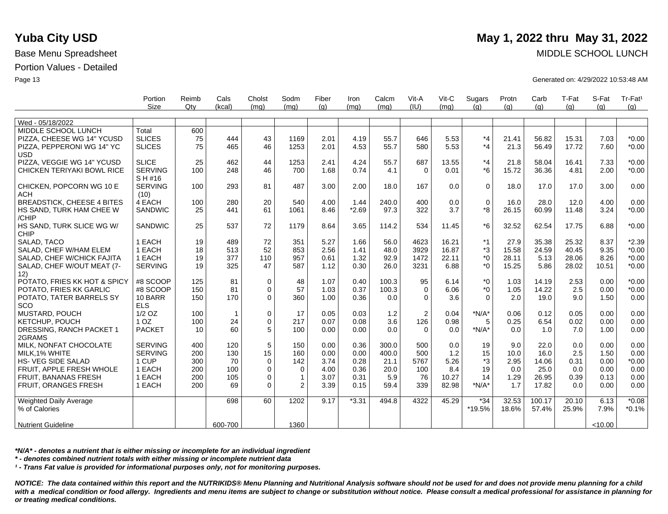|                                          | Portion                   | Reimb | Cals         | Cholst      | Sodm         | Fiber | Iron    | Calcm | Vit-A          | Vit-C | Sugars      | Protn | Carb   | T-Fat | S-Fat   | Tr-Fat <sup>1</sup> |
|------------------------------------------|---------------------------|-------|--------------|-------------|--------------|-------|---------|-------|----------------|-------|-------------|-------|--------|-------|---------|---------------------|
|                                          | Size                      | Qtv   | (kcal)       | (mq)        | (mq)         | (q)   | (mq)    | (mq)  | (IU)           | (mq)  | (q)         | (q)   | (q)    | (q)   | (q)     | (a)                 |
|                                          |                           |       |              |             |              |       |         |       |                |       |             |       |        |       |         |                     |
| Wed - 05/18/2022                         |                           |       |              |             |              |       |         |       |                |       |             |       |        |       |         |                     |
| MIDDLE SCHOOL LUNCH                      | Total                     | 600   |              |             |              |       |         |       |                |       |             |       |        |       |         |                     |
| PIZZA, CHEESE WG 14" YCUSD               | <b>SLICES</b>             | 75    | 444          | 43          | 1169         | 2.01  | 4.19    | 55.7  | 646            | 5.53  | $*_{4}$     | 21.41 | 56.82  | 15.31 | 7.03    | $*0.00$             |
| PIZZA, PEPPERONI WG 14" YC<br><b>USD</b> | <b>SLICES</b>             | 75    | 465          | 46          | 1253         | 2.01  | 4.53    | 55.7  | 580            | 5.53  | $*_{4}$     | 21.3  | 56.49  | 17.72 | 7.60    | $*0.00$             |
| PIZZA, VEGGIE WG 14" YCUSD               | <b>SLICE</b>              | 25    | 462          | 44          | 1253         | 2.41  | 4.24    | 55.7  | 687            | 13.55 | $*_{4}$     | 21.8  | 58.04  | 16.41 | 7.33    | $*0.00$             |
| CHICKEN TERIYAKI BOWL RICE               | <b>SERVING</b><br>S H #16 | 100   | 248          | 46          | 700          | 1.68  | 0.74    | 4.1   | $\Omega$       | 0.01  | $*6$        | 15.72 | 36.36  | 4.81  | 2.00    | $*0.00$             |
| CHICKEN, POPCORN WG 10 E<br><b>ACH</b>   | <b>SERVING</b><br>(10)    | 100   | 293          | 81          | 487          | 3.00  | 2.00    | 18.0  | 167            | 0.0   | $\mathbf 0$ | 18.0  | 17.0   | 17.0  | 3.00    | 0.00                |
| <b>BREADSTICK, CHEESE 4 BITES</b>        | 4 EACH                    | 100   | 280          | 20          | 540          | 4.00  | 1.44    | 240.0 | 400            | 0.0   | $\mathbf 0$ | 16.0  | 28.0   | 12.0  | 4.00    | 0.00                |
| HS SAND, TURK HAM CHEE W<br>/CHIP        | SANDWIC                   | 25    | 441          | 61          | 1061         | 8.46  | $*2.69$ | 97.3  | 322            | 3.7   | *8          | 26.15 | 60.99  | 11.48 | 3.24    | $*0.00$             |
| HS SAND, TURK SLICE WG W/<br><b>CHIP</b> | <b>SANDWIC</b>            | 25    | 537          | 72          | 1179         | 8.64  | 3.65    | 114.2 | 534            | 11.45 | $*6$        | 32.52 | 62.54  | 17.75 | 6.88    | $*0.00$             |
| SALAD, TACO                              | 1 EACH                    | 19    | 489          | 72          | 351          | 5.27  | 1.66    | 56.0  | 4623           | 16.21 | $*1$        | 27.9  | 35.38  | 25.32 | 8.37    | $*2.39$             |
| SALAD, CHEF W/HAM ELEM                   | 1 EACH                    | 18    | 513          | 52          | 853          | 2.56  | 1.41    | 48.0  | 3929           | 16.87 | $*3$        | 15.58 | 24.59  | 40.45 | 9.35    | $*0.00$             |
| SALAD, CHEF W/CHICK FAJITA               | 1 EACH                    | 19    | 377          | 110         | 957          | 0.61  | 1.32    | 92.9  | 1472           | 22.11 | $*_{0}$     | 28.11 | 5.13   | 28.06 | 8.26    | $*0.00$             |
| SALAD, CHEF W/OUT MEAT (7-<br>12)        | <b>SERVING</b>            | 19    | 325          | 47          | 587          | 1.12  | 0.30    | 26.0  | 3231           | 6.88  | $*_{0}$     | 15.25 | 5.86   | 28.02 | 10.51   | $*0.00$             |
| POTATO, FRIES KK HOT & SPICY             | #8 SCOOP                  | 125   | 81           | $\mathbf 0$ | 48           | 1.07  | 0.40    | 100.3 | 95             | 6.14  | $*_{0}$     | 1.03  | 14.19  | 2.53  | 0.00    | $*0.00$             |
| POTATO. FRIES KK GARLIC                  | #8 SCOOP                  | 150   | 81           | 0           | 57           | 1.03  | 0.37    | 100.3 | $\mathbf 0$    | 6.06  | $*_{0}$     | 1.05  | 14.22  | 2.5   | 0.00    | $*0.00$             |
| POTATO, TATER BARRELS SY<br>SCO          | 10 BARR<br><b>ELS</b>     | 150   | 170          | 0           | 360          | 1.00  | 0.36    | 0.0   | $\Omega$       | 3.6   | $\Omega$    | 2.0   | 19.0   | 9.0   | 1.50    | 0.00                |
| MUSTARD, POUCH                           | $1/2$ OZ                  | 100   | $\mathbf{1}$ | 0           | 17           | 0.05  | 0.03    | $1.2$ | $\overline{2}$ | 0.04  | $*N/A*$     | 0.06  | 0.12   | 0.05  | 0.00    | 0.00                |
| KETCHUP, POUCH                           | 1 <sub>OZ</sub>           | 100   | 24           | 0           | 217          | 0.07  | 0.08    | 3.6   | 126            | 0.98  | 5           | 0.25  | 6.54   | 0.02  | 0.00    | 0.00                |
| DRESSING, RANCH PACKET 1<br>2GRAMS       | <b>PACKET</b>             | 10    | 60           | 5           | 100          | 0.00  | 0.00    | 0.0   | $\Omega$       | 0.0   | $*N/A*$     | 0.0   | 1.0    | 7.0   | 1.00    | 0.00                |
| MILK. NONFAT CHOCOLATE                   | <b>SERVING</b>            | 400   | 120          | 5           | 150          | 0.00  | 0.36    | 300.0 | 500            | 0.0   | 19          | 9.0   | 22.0   | 0.0   | 0.00    | 0.00                |
| MILK, 1% WHITE                           | <b>SERVING</b>            | 200   | 130          | 15          | 160          | 0.00  | 0.00    | 400.0 | 500            | 1.2   | 15          | 10.0  | 16.0   | 2.5   | 1.50    | 0.00                |
| HS- VEG SIDE SALAD                       | 1 CUP                     | 300   | 70           | $\mathbf 0$ | 142          | 3.74  | 0.28    | 21.1  | 5767           | 5.26  | *3          | 2.95  | 14.06  | 0.31  | 0.00    | $*0.00$             |
| FRUIT. APPLE FRESH WHOLE                 | 1 EACH                    | 200   | 100          | 0           | $\mathbf 0$  | 4.00  | 0.36    | 20.0  | 100            | 8.4   | 19          | 0.0   | 25.0   | 0.0   | 0.00    | 0.00                |
| FRUIT, BANANAS FRESH                     | 1 EACH                    | 200   | 105          | 0           | $\mathbf{1}$ | 3.07  | 0.31    | 5.9   | 76             | 10.27 | 14          | 1.29  | 26.95  | 0.39  | 0.13    | 0.00                |
| FRUIT, ORANGES FRESH                     | 1 EACH                    | 200   | 69           | $\Omega$    | 2            | 3.39  | 0.15    | 59.4  | 339            | 82.98 | $*N/A*$     | 1.7   | 17.82  | 0.0   | 0.00    | 0.00                |
| Weighted Daily Average                   |                           |       | 698          | 60          | 1202         | 9.17  | $*3.31$ | 494.8 | 4322           | 45.29 | $*34$       | 32.53 | 100.17 | 20.10 | 6.13    | $*0.08$             |
| % of Calories                            |                           |       |              |             |              |       |         |       |                |       | *19.5%      | 18.6% | 57.4%  | 25.9% | 7.9%    | $*0.1%$             |
| <b>Nutrient Guideline</b>                |                           |       | 600-700      |             | 1360         |       |         |       |                |       |             |       |        |       | < 10.00 |                     |

*\*N/A\* - denotes a nutrient that is either missing or incomplete for an individual ingredient*

*\* - denotes combined nutrient totals with either missing or incomplete nutrient data*

*¹ - Trans Fat value is provided for informational purposes only, not for monitoring purposes.*

*NOTICE: The data contained within this report and the NUTRIKIDS® Menu Planning and Nutritional Analysis software should not be used for and does not provide menu planning for a child*  with a medical condition or food allergy. Ingredients and menu items are subject to change or substitution without notice. Please consult a medical professional for assistance in planning for *or treating medical conditions.*

## **Yuba City USD** May 1, 2022 thru May 31, 2022

Base Menu Spreadsheet MIDDLE SCHOOL LUNCH

Page 13 Generated on: 4/29/2022 10:53:48 AM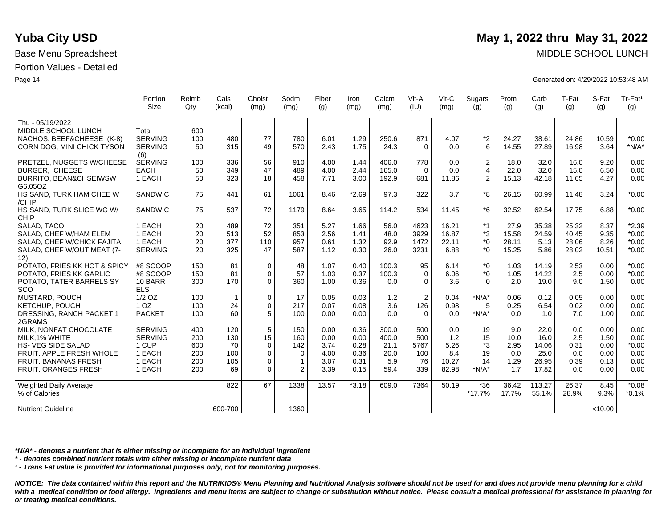|                               | Portion         | Reimb | Cals         | Cholst       | Sodm           | Fiber | Iron    | Calcm | Vit-A          | Vit-C | Sugars         | Protn | Carb   | T-Fat | S-Fat   | Tr-Fat <sup>1</sup> |
|-------------------------------|-----------------|-------|--------------|--------------|----------------|-------|---------|-------|----------------|-------|----------------|-------|--------|-------|---------|---------------------|
|                               | Size            | Qtv   | (kcal)       | (mq)         | (mq)           | (q)   | (mq)    | (mq)  | (IU)           | (mq)  | (q)            | (q)   | (g)    | (q)   | (q)     | (q)                 |
|                               |                 |       |              |              |                |       |         |       |                |       |                |       |        |       |         |                     |
| Thu - 05/19/2022              |                 |       |              |              |                |       |         |       |                |       |                |       |        |       |         |                     |
| MIDDLE SCHOOL LUNCH           | Total           | 600   |              |              |                |       |         |       |                |       |                |       |        |       |         |                     |
| NACHOS, BEEF&CHEESE (K-8)     | <b>SERVING</b>  | 100   | 480          | 77           | 780            | 6.01  | 1.29    | 250.6 | 871            | 4.07  | $*2$           | 24.27 | 38.61  | 24.86 | 10.59   | $*0.00$             |
| CORN DOG, MINI CHICK TYSON    | <b>SERVING</b>  | 50    | 315          | 49           | 570            | 2.43  | 1.75    | 24.3  | $\Omega$       | 0.0   | 6              | 14.55 | 27.89  | 16.98 | 3.64    | $*N/A*$             |
|                               | (6)             |       |              |              |                |       |         |       |                |       |                |       |        |       |         |                     |
| PRETZEL, NUGGETS W/CHEESE     | <b>SERVING</b>  | 100   | 336          | 56           | 910            | 4.00  | 1.44    | 406.0 | 778            | 0.0   | $\mathbf{2}$   | 18.0  | 32.0   | 16.0  | 9.20    | 0.00                |
| BURGER, CHEESE                | <b>EACH</b>     | 50    | 349          | 47           | 489            | 4.00  | 2.44    | 165.0 | $\Omega$       | 0.0   | $\overline{4}$ | 22.0  | 32.0   | 15.0  | 6.50    | 0.00                |
| BURRITO, BEAN&CHSEIWSW        | 1 EACH          | 50    | 323          | 18           | 458            | 7.71  | 3.00    | 192.9 | 681            | 11.86 | $\mathbf{2}$   | 15.13 | 42.18  | 11.65 | 4.27    | 0.00                |
| G6.05OZ                       |                 |       |              |              |                |       |         |       |                |       |                |       |        |       |         |                     |
| HS SAND, TURK HAM CHEE W      | <b>SANDWIC</b>  | 75    | 441          | 61           | 1061           | 8.46  | $*2.69$ | 97.3  | 322            | 3.7   | *8             | 26.15 | 60.99  | 11.48 | 3.24    | $*0.00$             |
| /CHIP                         |                 |       |              |              |                |       |         |       |                |       |                |       |        |       |         |                     |
| HS SAND, TURK SLICE WG W/     | <b>SANDWIC</b>  | 75    | 537          | 72           | 1179           | 8.64  | 3.65    | 114.2 | 534            | 11.45 | *6             | 32.52 | 62.54  | 17.75 | 6.88    | $*0.00$             |
| <b>CHIP</b>                   |                 |       |              |              |                |       |         |       |                |       |                |       |        |       |         |                     |
| SALAD. TACO                   | 1 EACH          | 20    | 489          | 72           | 351            | 5.27  | 1.66    | 56.0  | 4623           | 16.21 | $*1$           | 27.9  | 35.38  | 25.32 | 8.37    | $*2.39$             |
| SALAD, CHEF W/HAM ELEM        | 1 EACH          | 20    | 513          | 52           | 853            | 2.56  | 1.41    | 48.0  | 3929           | 16.87 | $*3$           | 15.58 | 24.59  | 40.45 | 9.35    | $*0.00$             |
| SALAD, CHEF W/CHICK FAJITA    | 1 EACH          | 20    | 377          | 110          | 957            | 0.61  | 1.32    | 92.9  | 1472           | 22.11 | $*_{0}$        | 28.11 | 5.13   | 28.06 | 8.26    | $*0.00$             |
| SALAD, CHEF W/OUT MEAT (7-    | <b>SERVING</b>  | 20    | 325          | 47           | 587            | 1.12  | 0.30    | 26.0  | 3231           | 6.88  | $*_{0}$        | 15.25 | 5.86   | 28.02 | 10.51   | $*0.00$             |
| 12)                           |                 |       |              |              |                |       |         |       |                |       |                |       |        |       |         |                     |
| POTATO, FRIES KK HOT & SPICY  | #8 SCOOP        | 150   | 81           | $\mathbf 0$  | 48             | 1.07  | 0.40    | 100.3 | 95             | 6.14  | $*_{0}$        | 1.03  | 14.19  | 2.53  | 0.00    | $*0.00$             |
| POTATO, FRIES KK GARLIC       | #8 SCOOP        | 150   | 81           | $\mathbf{0}$ | 57             | 1.03  | 0.37    | 100.3 | $\Omega$       | 6.06  | $*_{0}$        | 1.05  | 14.22  | 2.5   | 0.00    | $*0.00$             |
| POTATO, TATER BARRELS SY      | 10 BARR         | 300   | 170          | $\Omega$     | 360            | 1.00  | 0.36    | 0.0   | $\Omega$       | 3.6   | $\Omega$       | 2.0   | 19.0   | 9.0   | 1.50    | 0.00                |
| SCO                           | <b>ELS</b>      |       |              |              |                |       |         |       |                |       |                |       |        |       |         |                     |
| <b>MUSTARD, POUCH</b>         | $1/2$ OZ        | 100   | $\mathbf{1}$ | 0            | 17             | 0.05  | 0.03    | 1.2   | $\overline{2}$ | 0.04  | $*N/A*$        | 0.06  | 0.12   | 0.05  | 0.00    | 0.00                |
| <b>KETCHUP, POUCH</b>         | 1 <sub>OZ</sub> | 100   | 24           | $\mathbf 0$  | 217            | 0.07  | 0.08    | 3.6   | 126            | 0.98  | 5              | 0.25  | 6.54   | 0.02  | 0.00    | 0.00                |
| DRESSING, RANCH PACKET 1      | <b>PACKET</b>   | 100   | 60           | 5            | 100            | 0.00  | 0.00    | 0.0   | $\Omega$       | 0.0   | $*N/A*$        | 0.0   | 1.0    | 7.0   | 1.00    | 0.00                |
| 2GRAMS                        |                 |       |              |              |                |       |         |       |                |       |                |       |        |       |         |                     |
| MILK, NONFAT CHOCOLATE        | <b>SERVING</b>  | 400   | 120          | 5            | 150            | 0.00  | 0.36    | 300.0 | 500            | 0.0   | 19             | 9.0   | 22.0   | 0.0   | 0.00    | 0.00                |
| MILK, 1% WHITE                | <b>SERVING</b>  | 200   | 130          | 15           | 160            | 0.00  | 0.00    | 400.0 | 500            | 1.2   | 15             | 10.0  | 16.0   | 2.5   | 1.50    | 0.00                |
| <b>HS-VEG SIDE SALAD</b>      | 1 CUP           | 600   | 70           | $\mathbf 0$  | 142            | 3.74  | 0.28    | 21.1  | 5767           | 5.26  | *3             | 2.95  | 14.06  | 0.31  | 0.00    | $*0.00$             |
| FRUIT, APPLE FRESH WHOLE      | 1 EACH          | 200   | 100          | 0            | 0              | 4.00  | 0.36    | 20.0  | 100            | 8.4   | 19             | 0.0   | 25.0   | 0.0   | 0.00    | 0.00                |
| FRUIT, BANANAS FRESH          | 1 EACH          | 200   | 105          | 0            | $\mathbf{1}$   | 3.07  | 0.31    | 5.9   | 76             | 10.27 | 14             | 1.29  | 26.95  | 0.39  | 0.13    | 0.00                |
| FRUIT, ORANGES FRESH          | 1 EACH          | 200   | 69           | $\Omega$     | $\overline{2}$ | 3.39  | 0.15    | 59.4  | 339            | 82.98 | $*N/A*$        | 1.7   | 17.82  | 0.0   | 0.00    | 0.00                |
|                               |                 |       |              |              |                |       |         |       |                |       |                |       |        |       |         |                     |
| <b>Weighted Daily Average</b> |                 |       | 822          | 67           | 1338           | 13.57 | $*3.18$ | 609.0 | 7364           | 50.19 | $*36$          | 36.42 | 113.27 | 26.37 | 8.45    | $*0.08$             |
| % of Calories                 |                 |       |              |              |                |       |         |       |                |       | $*17.7%$       | 17.7% | 55.1%  | 28.9% | 9.3%    | $*0.1%$             |
|                               |                 |       |              |              |                |       |         |       |                |       |                |       |        |       |         |                     |
| <b>Nutrient Guideline</b>     |                 |       | 600-700      |              | 1360           |       |         |       |                |       |                |       |        |       | < 10.00 |                     |

Base Menu Spreadsheet MIDDLE SCHOOL LUNCH

Page 14 Generated on: 4/29/2022 10:53:48 AM

*\*N/A\* - denotes a nutrient that is either missing or incomplete for an individual ingredient*

*\* - denotes combined nutrient totals with either missing or incomplete nutrient data*

*¹ - Trans Fat value is provided for informational purposes only, not for monitoring purposes.*

*NOTICE: The data contained within this report and the NUTRIKIDS® Menu Planning and Nutritional Analysis software should not be used for and does not provide menu planning for a child*  with a medical condition or food allergy. Ingredients and menu items are subject to change or substitution without notice. Please consult a medical professional for assistance in planning for *or treating medical conditions.*

# **Yuba City USD** May 1, 2022 thru May 31, 2022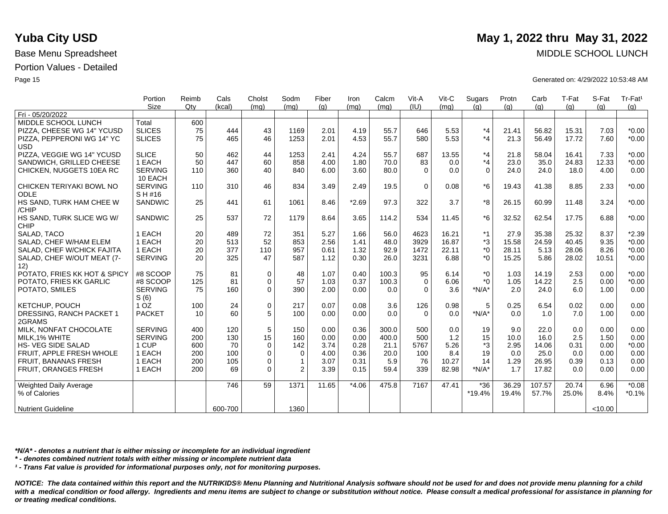|                               | Portion         | Reimb  | Cals    | Cholst      | Sodm         | Fiber | Iron    | Calcm | Vit-A    | Vit-C | Sugars   | Protn | Carb   | T-Fat | S-Fat   | Tr-Fat <sup>1</sup> |
|-------------------------------|-----------------|--------|---------|-------------|--------------|-------|---------|-------|----------|-------|----------|-------|--------|-------|---------|---------------------|
|                               | Size            | $Q$ ty | (kcal)  | (mq)        | (mq)         | (q)   | (mq)    | (mq)  | (IU)     | (mq)  | (q)      | (q)   | (g)    | (g)   | (q)     | (g)                 |
| Fri - 05/20/2022              |                 |        |         |             |              |       |         |       |          |       |          |       |        |       |         |                     |
| MIDDLE SCHOOL LUNCH           | Total           | 600    |         |             |              |       |         |       |          |       |          |       |        |       |         |                     |
| PIZZA, CHEESE WG 14" YCUSD    | <b>SLICES</b>   | 75     | 444     | 43          | 1169         | 2.01  | 4.19    | 55.7  | 646      | 5.53  | $*_{4}$  | 21.41 | 56.82  | 15.31 | 7.03    | $*0.00$             |
| PIZZA, PEPPERONI WG 14" YC    | <b>SLICES</b>   | 75     | 465     | 46          | 1253         | 2.01  | 4.53    | 55.7  | 580      | 5.53  | $*_{4}$  | 21.3  | 56.49  | 17.72 | 7.60    | $*0.00$             |
| <b>USD</b>                    |                 |        |         |             |              |       |         |       |          |       |          |       |        |       |         |                     |
| PIZZA, VEGGIE WG 14" YCUSD    | <b>SLICE</b>    | 50     | 462     | 44          | 1253         | 2.41  | 4.24    | 55.7  | 687      | 13.55 | $*_{4}$  | 21.8  | 58.04  | 16.41 | 7.33    | $*0.00$             |
| SANDWICH, GRILLED CHEESE      | 1 EACH          | 50     | 447     | 60          | 858          | 4.00  | 1.80    | 70.0  | 83       | 0.0   | $*_{4}$  | 23.0  | 35.0   | 24.83 | 12.33   | $*0.00$             |
| CHICKEN, NUGGETS 10EA RC      | <b>SERVING</b>  | 110    | 360     | 40          | 840          | 6.00  | 3.60    | 80.0  | $\Omega$ | 0.0   | $\Omega$ | 24.0  | 24.0   | 18.0  | 4.00    | 0.00                |
|                               | 10 EACH         |        |         |             |              |       |         |       |          |       |          |       |        |       |         |                     |
| CHICKEN TERIYAKI BOWL NO      | <b>SERVING</b>  | 110    | 310     | 46          | 834          | 3.49  | 2.49    | 19.5  | $\Omega$ | 0.08  | $*6$     | 19.43 | 41.38  | 8.85  | 2.33    | $*0.00$             |
| <b>ODLE</b>                   | SH#16           |        |         |             |              |       |         |       |          |       |          |       |        |       |         |                     |
| HS SAND, TURK HAM CHEE W      | SANDWIC         | 25     | 441     | 61          | 1061         | 8.46  | $*2.69$ | 97.3  | 322      | 3.7   | *8       | 26.15 | 60.99  | 11.48 | 3.24    | $*0.00$             |
| /CHIP                         |                 |        |         |             |              |       |         |       |          |       |          |       |        |       |         |                     |
| HS SAND, TURK SLICE WG W/     | <b>SANDWIC</b>  | 25     | 537     | 72          | 1179         | 8.64  | 3.65    | 114.2 | 534      | 11.45 | $*6$     | 32.52 | 62.54  | 17.75 | 6.88    | $*0.00$             |
| <b>CHIP</b>                   |                 |        |         |             |              |       |         |       |          |       |          |       |        |       |         |                     |
| SALAD, TACO                   | 1 EACH          | 20     | 489     | 72          | 351          | 5.27  | 1.66    | 56.0  | 4623     | 16.21 | $*1$     | 27.9  | 35.38  | 25.32 | 8.37    | $*2.39$             |
| SALAD, CHEF W/HAM ELEM        | 1 EACH          | 20     | 513     | 52          | 853          | 2.56  | 1.41    | 48.0  | 3929     | 16.87 | *3       | 15.58 | 24.59  | 40.45 | 9.35    | $*0.00$             |
| SALAD, CHEF W/CHICK FAJITA    | 1 EACH          | 20     | 377     | 110         | 957          | 0.61  | 1.32    | 92.9  | 1472     | 22.11 | $*0$     | 28.11 | 5.13   | 28.06 | 8.26    | $*0.00$             |
| SALAD, CHEF W/OUT MEAT (7-    | <b>SERVING</b>  | 20     | 325     | 47          | 587          | 1.12  | 0.30    | 26.0  | 3231     | 6.88  | $*_{0}$  | 15.25 | 5.86   | 28.02 | 10.51   | $*0.00$             |
| 12)                           |                 |        |         |             |              |       |         |       |          |       |          |       |        |       |         |                     |
| POTATO, FRIES KK HOT & SPICY  | #8 SCOOP        | 75     | 81      | $\mathbf 0$ | 48           | 1.07  | 0.40    | 100.3 | 95       | 6.14  | $*0$     | 1.03  | 14.19  | 2.53  | 0.00    | $*0.00$             |
| POTATO, FRIES KK GARLIC       | #8 SCOOP        | 125    | 81      | $\mathbf 0$ | 57           | 1.03  | 0.37    | 100.3 | $\Omega$ | 6.06  | $*$ 0    | 1.05  | 14.22  | 2.5   | 0.00    | $*0.00$             |
| POTATO, SMILES                | <b>SERVING</b>  | 75     | 160     | $\mathbf 0$ | 390          | 2.00  | 0.00    | 0.0   | $\Omega$ | 3.6   | $*N/A*$  | 2.0   | 24.0   | 6.0   | 1.00    | 0.00                |
|                               | S(6)            |        |         |             |              |       |         |       |          |       |          |       |        |       |         |                     |
| KETCHUP, POUCH                | 1 <sub>OZ</sub> | 100    | 24      | $\mathbf 0$ | 217          | 0.07  | 0.08    | 3.6   | 126      | 0.98  | 5        | 0.25  | 6.54   | 0.02  | 0.00    | 0.00                |
| DRESSING, RANCH PACKET 1      | <b>PACKET</b>   | 10     | 60      | 5           | 100          | 0.00  | 0.00    | 0.0   | $\Omega$ | 0.0   | $*N/A*$  | 0.0   | 1.0    | 7.0   | 1.00    | 0.00                |
| 2GRAMS                        |                 |        |         |             |              |       |         |       |          |       |          |       |        |       |         |                     |
| MILK, NONFAT CHOCOLATE        | <b>SERVING</b>  | 400    | 120     | 5           | 150          | 0.00  | 0.36    | 300.0 | 500      | 0.0   | 19       | 9.0   | 22.0   | 0.0   | 0.00    | 0.00                |
| MILK, 1% WHITE                | <b>SERVING</b>  | 200    | 130     | 15          | 160          | 0.00  | 0.00    | 400.0 | 500      | $1.2$ | 15       | 10.0  | 16.0   | 2.5   | 1.50    | 0.00                |
| <b>HS-VEG SIDE SALAD</b>      | 1 CUP           | 600    | 70      | $\mathbf 0$ | 142          | 3.74  | 0.28    | 21.1  | 5767     | 5.26  | *3       | 2.95  | 14.06  | 0.31  | 0.00    | $*0.00$             |
| FRUIT. APPLE FRESH WHOLE      | 1 EACH          | 200    | 100     | $\mathbf 0$ | $\mathbf 0$  | 4.00  | 0.36    | 20.0  | 100      | 8.4   | 19       | 0.0   | 25.0   | 0.0   | 0.00    | 0.00                |
| FRUIT, BANANAS FRESH          | 1 EACH          | 200    | 105     | $\mathbf 0$ | $\mathbf{1}$ | 3.07  | 0.31    | 5.9   | 76       | 10.27 | 14       | 1.29  | 26.95  | 0.39  | 0.13    | 0.00                |
| FRUIT, ORANGES FRESH          | 1 EACH          | 200    | 69      | $\Omega$    | 2            | 3.39  | 0.15    | 59.4  | 339      | 82.98 | $*N/A*$  | 1.7   | 17.82  | 0.0   | 0.00    | 0.00                |
|                               |                 |        |         |             |              |       |         |       |          |       |          |       |        |       |         |                     |
| <b>Weighted Daily Average</b> |                 |        | 746     | 59          | 1371         | 11.65 | $*4.06$ | 475.8 | 7167     | 47.41 | $*36$    | 36.29 | 107.57 | 20.74 | 6.96    | $*0.08$             |
| % of Calories                 |                 |        |         |             |              |       |         |       |          |       | *19.4%   | 19.4% | 57.7%  | 25.0% | 8.4%    | $*0.1%$             |
|                               |                 |        |         |             |              |       |         |       |          |       |          |       |        |       |         |                     |
| <b>Nutrient Guideline</b>     |                 |        | 600-700 |             | 1360         |       |         |       |          |       |          |       |        |       | < 10.00 |                     |

*\*N/A\* - denotes a nutrient that is either missing or incomplete for an individual ingredient*

*\* - denotes combined nutrient totals with either missing or incomplete nutrient data*

*¹ - Trans Fat value is provided for informational purposes only, not for monitoring purposes.*

*NOTICE: The data contained within this report and the NUTRIKIDS® Menu Planning and Nutritional Analysis software should not be used for and does not provide menu planning for a child*  with a medical condition or food allergy. Ingredients and menu items are subject to change or substitution without notice. Please consult a medical professional for assistance in planning for *or treating medical conditions.*

# **Yuba City USD** May 1, 2022 thru May 31, 2022

Base Menu Spreadsheet MIDDLE SCHOOL LUNCH

Page 15 Generated on: 4/29/2022 10:53:48 AM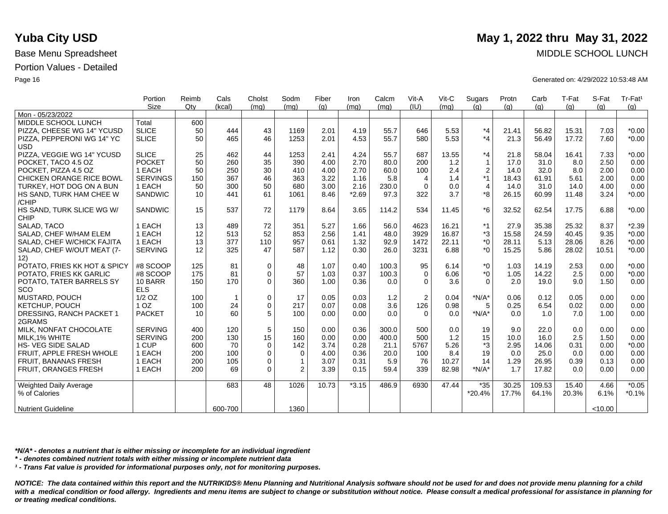|                                   | Portion<br><b>Size</b> | Reimb<br>$Q$ ty | Cals<br>(kcal) | Cholst<br>(mq) | Sodm<br>(mq)  | Fiber<br>(g) | Iron<br>(mq) | Calcm<br>(mg) | Vit-A<br>(IU)  | Vit-C<br>(mq) | Sugars<br>(q)    | Protn<br>(g) | Carb<br>(g) | T-Fat<br>(q) | S-Fat<br>(q) | Tr-Fat <sup>1</sup><br>(g) |
|-----------------------------------|------------------------|-----------------|----------------|----------------|---------------|--------------|--------------|---------------|----------------|---------------|------------------|--------------|-------------|--------------|--------------|----------------------------|
| Mon - 05/23/2022                  |                        |                 |                |                |               |              |              |               |                |               |                  |              |             |              |              |                            |
| MIDDLE SCHOOL LUNCH               | Total                  | 600             |                |                |               |              |              |               |                |               |                  |              |             |              |              |                            |
| PIZZA, CHEESE WG 14" YCUSD        | <b>SLICE</b>           | 50              | 444            | 43             | 1169          | 2.01         | 4.19         | 55.7          | 646            | 5.53          | $*_{4}$          | 21.41        | 56.82       | 15.31        | 7.03         | $*0.00$                    |
| PIZZA, PEPPERONI WG 14" YC        | <b>SLICE</b>           | 50              | 465            | 46             | 1253          | 2.01         | 4.53         | 55.7          | 580            | 5.53          | $*_{4}$          | 21.3         | 56.49       | 17.72        | 7.60         | $*0.00$                    |
| <b>USD</b>                        |                        |                 |                |                |               |              |              |               |                |               |                  |              |             |              |              |                            |
| PIZZA, VEGGIE WG 14" YCUSD        | <b>SLICE</b>           | 25              | 462            | 44             | 1253          | 2.41         | 4.24         | 55.7          | 687            | 13.55         | $*_{4}$          | 21.8         | 58.04       | 16.41        | 7.33         | $*0.00$                    |
| POCKET, TACO 4.5 OZ               | <b>POCKET</b>          | 50              | 260            | 35             | 390           | 4.00         | 2.70         | 80.0          | 200            | 1.2           | $\mathbf{1}$     | 17.0         | 31.0        | 8.0          | 2.50         | 0.00                       |
| POCKET, PIZZA 4.5 OZ              | 1 EACH                 | 50              | 250            | 30             | 410           | 4.00         | 2.70         | 60.0          | 100            | 2.4           | $\boldsymbol{2}$ | 14.0         | 32.0        | 8.0          | 2.00         | 0.00                       |
| CHICKEN ORANGE RICE BOWL          | <b>SERVINGS</b>        | 150             | 367            | 46             | 363           | 3.22         | 1.16         | 5.8           | $\overline{4}$ | 1.4           | *1               | 18.43        | 61.91       | 5.61         | 2.00         | 0.00                       |
| TURKEY, HOT DOG ON A BUN          | 1 EACH                 | 50              | 300            | 50             | 680           | 3.00         | 2.16         | 230.0         | $\Omega$       | 0.0           | $\overline{4}$   | 14.0         | 31.0        | 14.0         | 4.00         | 0.00                       |
| HS SAND, TURK HAM CHEE W<br>/CHIP | <b>SANDWIC</b>         | 10              | 441            | 61             | 1061          | 8.46         | $*2.69$      | 97.3          | 322            | 3.7           | *8               | 26.15        | 60.99       | 11.48        | 3.24         | $*0.00$                    |
| HS SAND, TURK SLICE WG W/         | <b>SANDWIC</b>         | 15              | 537            | 72             | 1179          | 8.64         | 3.65         | 114.2         | 534            | 11.45         | *6               | 32.52        | 62.54       | 17.75        | 6.88         | $*0.00$                    |
| <b>CHIP</b>                       |                        |                 |                |                |               |              |              |               |                |               |                  |              |             |              |              |                            |
| SALAD, TACO                       | 1 EACH                 | 13              | 489            | 72             | 351           | 5.27         | 1.66         | 56.0          | 4623           | 16.21         | *1               | 27.9         | 35.38       | 25.32        | 8.37         | $*2.39$                    |
| SALAD, CHEF W/HAM ELEM            | 1 EACH                 | 12              | 513            | 52             | 853           | 2.56         | 1.41         | 48.0          | 3929           | 16.87         | *3               | 15.58        | 24.59       | 40.45        | 9.35         | $*0.00$                    |
| SALAD, CHEF W/CHICK FAJITA        | 1 EACH                 | 13              | 377            | 110            | 957           | 0.61         | 1.32         | 92.9          | 1472           | 22.11         | $^*0$            | 28.11        | 5.13        | 28.06        | 8.26         | $*0.00$                    |
| SALAD, CHEF W/OUT MEAT (7-<br>12) | <b>SERVING</b>         | 12              | 325            | 47             | 587           | 1.12         | 0.30         | 26.0          | 3231           | 6.88          | $*_{0}$          | 15.25        | 5.86        | 28.02        | 10.51        | $*0.00$                    |
| POTATO, FRIES KK HOT & SPICY      | #8 SCOOP               | 125             | 81             | 0              | 48            | 1.07         | 0.40         | 100.3         | 95             | 6.14          | $^*0$            | 1.03         | 14.19       | 2.53         | 0.00         | $*0.00$                    |
| POTATO, FRIES KK GARLIC           | #8 SCOOP               | 175             | 81             | $\mathbf 0$    | 57            | 1.03         | 0.37         | 100.3         | $\Omega$       | 6.06          | $^*$ 0           | 1.05         | 14.22       | 2.5          | 0.00         | $*0.00$                    |
| POTATO, TATER BARRELS SY          | 10 BARR                | 150             | 170            | $\Omega$       | 360           | 1.00         | 0.36         | 0.0           | $\Omega$       | 3.6           | $\Omega$         | 2.0          | 19.0        | 9.0          | 1.50         | 0.00                       |
| SCO                               | <b>ELS</b>             |                 |                |                |               |              |              |               |                |               |                  |              |             |              |              |                            |
| MUSTARD, POUCH                    | $1/2$ OZ               | 100             | $\overline{1}$ | 0              | 17            | 0.05         | 0.03         | 1.2           | $\overline{2}$ | 0.04          | $*N/A*$          | 0.06         | 0.12        | 0.05         | 0.00         | 0.00                       |
| KETCHUP, POUCH                    | 1 <sub>OZ</sub>        | 100             | 24             | $\mathbf 0$    | 217           | 0.07         | 0.08         | 3.6           | 126            | 0.98          | 5                | 0.25         | 6.54        | 0.02         | 0.00         | 0.00                       |
| DRESSING, RANCH PACKET 1          | <b>PACKET</b>          | 10              | 60             | 5              | 100           | 0.00         | 0.00         | 0.0           | $\Omega$       | 0.0           | $*N/A*$          | 0.0          | 1.0         | 7.0          | 1.00         | 0.00                       |
| 2GRAMS                            |                        |                 |                |                |               |              |              |               |                |               |                  |              |             |              |              |                            |
| MILK, NONFAT CHOCOLATE            | <b>SERVING</b>         | 400             | 120            | 5              | 150           | 0.00         | 0.36         | 300.0         | 500            | 0.0           | 19               | 9.0          | 22.0        | 0.0          | 0.00         | 0.00                       |
| MILK, 1% WHITE                    | <b>SERVING</b>         | 200             | 130            | 15             | 160           | 0.00         | 0.00         | 400.0         | 500            | 1.2           | 15               | 10.0         | 16.0        | 2.5          | 1.50         | 0.00                       |
| <b>HS-VEG SIDE SALAD</b>          | 1 CUP                  | 600             | 70             | $\mathbf 0$    | 142           | 3.74         | 0.28         | 21.1          | 5767           | 5.26          | *3               | 2.95         | 14.06       | 0.31         | 0.00         | $*0.00$                    |
| FRUIT, APPLE FRESH WHOLE          | 1 EACH                 | 200             | 100            | $\mathbf 0$    | $\mathbf 0$   | 4.00         | 0.36         | 20.0          | 100            | 8.4           | 19               | 0.0          | 25.0        | 0.0          | 0.00         | 0.00                       |
| FRUIT, BANANAS FRESH              | 1 EACH                 | 200             | 105            | 0              | $\mathbf{1}$  | 3.07         | 0.31         | 5.9           | 76             | 10.27         | 14               | 1.29         | 26.95       | 0.39         | 0.13         | 0.00                       |
| <b>FRUIT, ORANGES FRESH</b>       | 1 EACH                 | 200             | 69             | $\Omega$       | $\mathcal{P}$ | 3.39         | 0.15         | 59.4          | 339            | 82.98         | $*N/A*$          | 1.7          | 17.82       | 0.0          | 0.00         | 0.00                       |
| <b>Weighted Daily Average</b>     |                        |                 | 683            | 48             | 1026          | 10.73        | $*3.15$      | 486.9         | 6930           | 47.44         | $*35$            | 30.25        | 109.53      | 15.40        | 4.66         | $*0.05$                    |
| % of Calories                     |                        |                 |                |                |               |              |              |               |                |               | $*20.4%$         | 17.7%        | 64.1%       | 20.3%        | 6.1%         | $*0.1%$                    |
| <b>Nutrient Guideline</b>         |                        |                 | 600-700        |                | 1360          |              |              |               |                |               |                  |              |             |              | < 10.00      |                            |

*\*N/A\* - denotes a nutrient that is either missing or incomplete for an individual ingredient*

*\* - denotes combined nutrient totals with either missing or incomplete nutrient data*

*¹ - Trans Fat value is provided for informational purposes only, not for monitoring purposes.*

*NOTICE: The data contained within this report and the NUTRIKIDS® Menu Planning and Nutritional Analysis software should not be used for and does not provide menu planning for a child*  with a medical condition or food allergy. Ingredients and menu items are subject to change or substitution without notice. Please consult a medical professional for assistance in planning for *or treating medical conditions.*

# **Yuba City USD** May 1, 2022 thru May 31, 2022

Base Menu Spreadsheet MIDDLE SCHOOL LUNCH

Page 16 Generated on: 4/29/2022 10:53:48 AM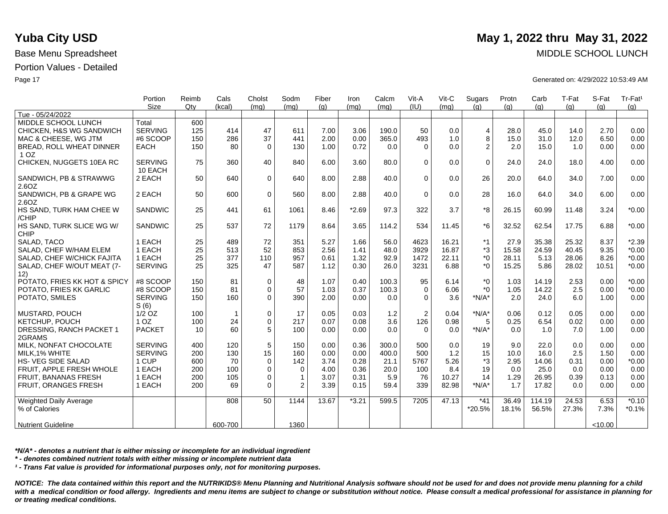|                                 | Portion         | Reimb | Cals         | Cholst      | Sodm           | Fiber | Iron    | Calcm | Vit-A          | $V$ it-C | Sugars         | Protn | Carb   | T-Fat | S-Fat   | Tr-Fat <sup>1</sup> |
|---------------------------------|-----------------|-------|--------------|-------------|----------------|-------|---------|-------|----------------|----------|----------------|-------|--------|-------|---------|---------------------|
| Tue - 05/24/2022                | Size            | Qty   | (kcal)       | (mq)        | (mq)           | (q)   | (mq)    | (mq)  | (IU)           | (mq)     | (q)            | (a)   | (q)    | (q)   | (q)     | (g)                 |
| MIDDLE SCHOOL LUNCH             | Total           | 600   |              |             |                |       |         |       |                |          |                |       |        |       |         |                     |
|                                 |                 |       |              |             |                |       |         |       |                |          |                |       |        |       |         |                     |
| CHICKEN, H&S WG SANDWICH        | <b>SERVING</b>  | 125   | 414          | 47          | 611            | 7.00  | 3.06    | 190.0 | 50             | 0.0      | $\overline{4}$ | 28.0  | 45.0   | 14.0  | 2.70    | 0.00                |
| MAC & CHEESE, WG JTM            | #6 SCOOP        | 150   | 286          | 37          | 441            | 2.00  | 0.00    | 365.0 | 493            | 1.0      | 8              | 15.0  | 31.0   | 12.0  | 6.50    | 0.00                |
| <b>BREAD, ROLL WHEAT DINNER</b> | <b>EACH</b>     | 150   | 80           | $\Omega$    | 130            | 1.00  | 0.72    | 0.0   | $\Omega$       | 0.0      | 2              | 2.0   | 15.0   | 1.0   | 0.00    | 0.00                |
| 1 <sub>OZ</sub>                 |                 |       |              |             |                |       |         |       |                |          |                |       |        |       |         |                     |
| CHICKEN, NUGGETS 10EA RC        | <b>SERVING</b>  | 75    | 360          | 40          | 840            | 6.00  | 3.60    | 80.0  | $\mathbf 0$    | 0.0      | $\Omega$       | 24.0  | 24.0   | 18.0  | 4.00    | 0.00                |
|                                 | 10 EACH         |       |              |             |                |       |         |       |                |          |                |       |        |       |         |                     |
| SANDWICH, PB & STRAWWG          | 2 EACH          | 50    | 640          | $\mathbf 0$ | 640            | 8.00  | 2.88    | 40.0  | $\mathbf 0$    | 0.0      | 26             | 20.0  | 64.0   | 34.0  | 7.00    | 0.00                |
| 2.6OZ                           |                 |       |              |             |                |       |         |       |                |          |                |       |        |       |         |                     |
| SANDWICH, PB & GRAPE WG         | 2 EACH          | 50    | 600          | $\mathbf 0$ | 560            | 8.00  | 2.88    | 40.0  | $\Omega$       | 0.0      | 28             | 16.0  | 64.0   | 34.0  | 6.00    | 0.00                |
| 2.6OZ                           |                 |       |              |             |                |       |         |       |                |          |                |       |        |       |         |                     |
| HS SAND, TURK HAM CHEE W        | SANDWIC         | 25    | 441          | 61          | 1061           | 8.46  | $*2.69$ | 97.3  | 322            | 3.7      | *8             | 26.15 | 60.99  | 11.48 | 3.24    | $*0.00$             |
| /CHIP                           |                 |       |              |             |                |       |         |       |                |          |                |       |        |       |         |                     |
| HS SAND, TURK SLICE WG W/       | SANDWIC         | 25    | 537          | 72          | 1179           | 8.64  | 3.65    | 114.2 | 534            | 11.45    | $*6$           | 32.52 | 62.54  | 17.75 | 6.88    | $*0.00$             |
| <b>CHIP</b>                     |                 |       |              |             |                |       |         |       |                |          |                |       |        |       |         |                     |
| SALAD, TACO                     | 1 EACH          | 25    | 489          | 72          | 351            | 5.27  | 1.66    | 56.0  | 4623           | 16.21    | $*1$           | 27.9  | 35.38  | 25.32 | 8.37    | $*2.39$             |
| SALAD, CHEF W/HAM ELEM          | 1 EACH          | 25    | 513          | 52          | 853            | 2.56  | 1.41    | 48.0  | 3929           | 16.87    | *3             | 15.58 | 24.59  | 40.45 | 9.35    | $*0.00$             |
| SALAD, CHEF W/CHICK FAJITA      | 1 EACH          | 25    | 377          | 110         | 957            | 0.61  | 1.32    | 92.9  | 1472           | 22.11    | $*_{0}$        | 28.11 | 5.13   | 28.06 | 8.26    | $*0.00$             |
| SALAD, CHEF W/OUT MEAT (7-      | <b>SERVING</b>  | 25    | 325          | 47          | 587            | 1.12  | 0.30    | 26.0  | 3231           | 6.88     | $*_{0}$        | 15.25 | 5.86   | 28.02 | 10.51   | $*0.00$             |
| 12)                             |                 |       |              |             |                |       |         |       |                |          |                |       |        |       |         |                     |
| POTATO, FRIES KK HOT & SPICY    | #8 SCOOP        | 150   | 81           | 0           | 48             | 1.07  | 0.40    | 100.3 | 95             | 6.14     | $*_{0}$        | 1.03  | 14.19  | 2.53  | 0.00    | $*0.00$             |
| POTATO. FRIES KK GARLIC         | #8 SCOOP        | 150   | 81           | $\Omega$    | 57             | 1.03  | 0.37    | 100.3 | $\mathbf 0$    | 6.06     | $*$ 0          | 1.05  | 14.22  | 2.5   | 0.00    | $*0.00$             |
| POTATO, SMILES                  | <b>SERVING</b>  | 150   | 160          | $\Omega$    | 390            | 2.00  | 0.00    | 0.0   | $\Omega$       | 3.6      | $*N/A*$        | 2.0   | 24.0   | 6.0   | 1.00    | 0.00                |
|                                 | S(6)            |       |              |             |                |       |         |       |                |          |                |       |        |       |         |                     |
| MUSTARD, POUCH                  | $1/2$ OZ        | 100   | $\mathbf{1}$ | $\mathbf 0$ | 17             | 0.05  | 0.03    | 1.2   | $\overline{2}$ | 0.04     | $N/A^*$        | 0.06  | 0.12   | 0.05  | 0.00    | 0.00                |
| KETCHUP, POUCH                  | 1 <sub>OZ</sub> | 100   | 24           | $\mathbf 0$ | 217            | 0.07  | 0.08    | 3.6   | 126            | 0.98     | 5              | 0.25  | 6.54   | 0.02  | 0.00    | 0.00                |
| DRESSING, RANCH PACKET 1        | <b>PACKET</b>   | 10    | 60           | 5           | 100            | 0.00  | 0.00    | 0.0   | $\Omega$       | 0.0      | $*N/A*$        | 0.0   | 1.0    | 7.0   | 1.00    | 0.00                |
| 2GRAMS                          |                 |       |              |             |                |       |         |       |                |          |                |       |        |       |         |                     |
| MILK, NONFAT CHOCOLATE          | <b>SERVING</b>  | 400   | 120          | 5           | 150            | 0.00  | 0.36    | 300.0 | 500            | 0.0      | 19             | 9.0   | 22.0   | 0.0   | 0.00    | 0.00                |
| MILK.1% WHITE                   | <b>SERVING</b>  | 200   | 130          | 15          | 160            | 0.00  | 0.00    | 400.0 | 500            | 1.2      | 15             | 10.0  | 16.0   | 2.5   | 1.50    | 0.00                |
| <b>HS- VEG SIDE SALAD</b>       | 1 CUP           | 600   | 70           | $\Omega$    | 142            | 3.74  | 0.28    | 21.1  | 5767           | 5.26     | *3             | 2.95  | 14.06  | 0.31  | 0.00    | $*0.00$             |
| FRUIT, APPLE FRESH WHOLE        | 1 EACH          | 200   | 100          | $\Omega$    | $\mathbf 0$    | 4.00  | 0.36    | 20.0  | 100            | 8.4      | 19             | 0.0   | 25.0   | 0.0   | 0.00    | 0.00                |
| <b>FRUIT, BANANAS FRESH</b>     | 1 EACH          | 200   | 105          | $\Omega$    | $\mathbf{1}$   | 3.07  | 0.31    | 5.9   | 76             | 10.27    | 14             | 1.29  | 26.95  | 0.39  | 0.13    | 0.00                |
| FRUIT, ORANGES FRESH            | 1 EACH          | 200   | 69           | $\Omega$    | $\overline{2}$ | 3.39  | 0.15    | 59.4  | 339            | 82.98    | $*N/A*$        | 1.7   | 17.82  | 0.0   | 0.00    | 0.00                |
|                                 |                 |       |              |             |                |       |         |       |                |          |                |       |        |       |         |                     |
| Weighted Daily Average          |                 |       | 808          | 50          | 1144           | 13.67 | $*3.21$ | 599.5 | 7205           | 47.13    | $*41$          | 36.49 | 114.19 | 24.53 | 6.53    | $*0.10$             |
| % of Calories                   |                 |       |              |             |                |       |         |       |                |          | *20.5%         | 18.1% | 56.5%  | 27.3% | 7.3%    | $*0.1%$             |
|                                 |                 |       |              |             |                |       |         |       |                |          |                |       |        |       |         |                     |
| <b>Nutrient Guideline</b>       |                 |       | 600-700      |             | 1360           |       |         |       |                |          |                |       |        |       | < 10.00 |                     |

*\*N/A\* - denotes a nutrient that is either missing or incomplete for an individual ingredient*

*\* - denotes combined nutrient totals with either missing or incomplete nutrient data*

*¹ - Trans Fat value is provided for informational purposes only, not for monitoring purposes.*

*NOTICE: The data contained within this report and the NUTRIKIDS® Menu Planning and Nutritional Analysis software should not be used for and does not provide menu planning for a child*  with a medical condition or food allergy. Ingredients and menu items are subject to change or substitution without notice. Please consult a medical professional for assistance in planning for *or treating medical conditions.*

# **Yuba City USD** May 1, 2022 thru May 31, 2022

Base Menu Spreadsheet MIDDLE SCHOOL LUNCH

Page 17 Generated on: 4/29/2022 10:53:49 AM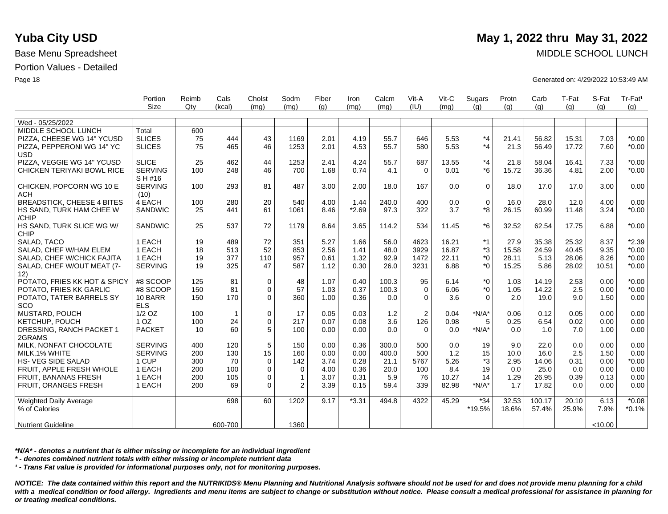|                                          | Portion                   | Reimb | Cals         | Cholst      | Sodm         | Fiber | Iron    | Calcm | Vit-A          | Vit-C | Sugars      | Protn | Carb   | T-Fat | S-Fat   | Tr-Fat <sup>1</sup> |
|------------------------------------------|---------------------------|-------|--------------|-------------|--------------|-------|---------|-------|----------------|-------|-------------|-------|--------|-------|---------|---------------------|
|                                          | Size                      | Qtv   | (kcal)       | (mq)        | (mq)         | (q)   | (mq)    | (mq)  | (IU)           | (mq)  | (q)         | (q)   | (q)    | (q)   | (q)     | (a)                 |
|                                          |                           |       |              |             |              |       |         |       |                |       |             |       |        |       |         |                     |
| Wed - 05/25/2022                         |                           |       |              |             |              |       |         |       |                |       |             |       |        |       |         |                     |
| MIDDLE SCHOOL LUNCH                      | Total                     | 600   |              |             |              |       |         |       |                |       |             |       |        |       |         |                     |
| PIZZA, CHEESE WG 14" YCUSD               | <b>SLICES</b>             | 75    | 444          | 43          | 1169         | 2.01  | 4.19    | 55.7  | 646            | 5.53  | $*_{4}$     | 21.41 | 56.82  | 15.31 | 7.03    | $*0.00$             |
| PIZZA, PEPPERONI WG 14" YC<br><b>USD</b> | <b>SLICES</b>             | 75    | 465          | 46          | 1253         | 2.01  | 4.53    | 55.7  | 580            | 5.53  | $*_{4}$     | 21.3  | 56.49  | 17.72 | 7.60    | $*0.00$             |
| PIZZA, VEGGIE WG 14" YCUSD               | <b>SLICE</b>              | 25    | 462          | 44          | 1253         | 2.41  | 4.24    | 55.7  | 687            | 13.55 | $*_{4}$     | 21.8  | 58.04  | 16.41 | 7.33    | $*0.00$             |
| CHICKEN TERIYAKI BOWL RICE               | <b>SERVING</b><br>S H #16 | 100   | 248          | 46          | 700          | 1.68  | 0.74    | 4.1   | $\Omega$       | 0.01  | $*6$        | 15.72 | 36.36  | 4.81  | 2.00    | $*0.00$             |
| CHICKEN, POPCORN WG 10 E<br><b>ACH</b>   | <b>SERVING</b><br>(10)    | 100   | 293          | 81          | 487          | 3.00  | 2.00    | 18.0  | 167            | 0.0   | $\mathbf 0$ | 18.0  | 17.0   | 17.0  | 3.00    | 0.00                |
| <b>BREADSTICK, CHEESE 4 BITES</b>        | 4 EACH                    | 100   | 280          | 20          | 540          | 4.00  | 1.44    | 240.0 | 400            | 0.0   | $\mathbf 0$ | 16.0  | 28.0   | 12.0  | 4.00    | 0.00                |
| HS SAND, TURK HAM CHEE W<br>/CHIP        | <b>SANDWIC</b>            | 25    | 441          | 61          | 1061         | 8.46  | $*2.69$ | 97.3  | 322            | 3.7   | *8          | 26.15 | 60.99  | 11.48 | 3.24    | $*0.00$             |
| HS SAND, TURK SLICE WG W/<br>CHIP        | <b>SANDWIC</b>            | 25    | 537          | 72          | 1179         | 8.64  | 3.65    | 114.2 | 534            | 11.45 | $*6$        | 32.52 | 62.54  | 17.75 | 6.88    | $*0.00$             |
| SALAD, TACO                              | 1 EACH                    | 19    | 489          | 72          | 351          | 5.27  | 1.66    | 56.0  | 4623           | 16.21 | $*1$        | 27.9  | 35.38  | 25.32 | 8.37    | $*2.39$             |
| SALAD, CHEF W/HAM ELEM                   | 1 EACH                    | 18    | 513          | 52          | 853          | 2.56  | 1.41    | 48.0  | 3929           | 16.87 | $*3$        | 15.58 | 24.59  | 40.45 | 9.35    | $*0.00$             |
| SALAD, CHEF W/CHICK FAJITA               | 1 EACH                    | 19    | 377          | 110         | 957          | 0.61  | 1.32    | 92.9  | 1472           | 22.11 | $*_{0}$     | 28.11 | 5.13   | 28.06 | 8.26    | $*0.00$             |
| SALAD, CHEF W/OUT MEAT (7-<br>12)        | <b>SERVING</b>            | 19    | 325          | 47          | 587          | 1.12  | 0.30    | 26.0  | 3231           | 6.88  | $*_{0}$     | 15.25 | 5.86   | 28.02 | 10.51   | $*0.00$             |
| POTATO, FRIES KK HOT & SPICY             | #8 SCOOP                  | 125   | 81           | $\mathbf 0$ | 48           | 1.07  | 0.40    | 100.3 | 95             | 6.14  | $*_{0}$     | 1.03  | 14.19  | 2.53  | 0.00    | $*0.00$             |
| POTATO. FRIES KK GARLIC                  | #8 SCOOP                  | 150   | 81           | 0           | 57           | 1.03  | 0.37    | 100.3 | $\mathbf 0$    | 6.06  | $*_{0}$     | 1.05  | 14.22  | 2.5   | 0.00    | $*0.00$             |
| POTATO, TATER BARRELS SY<br>SCO          | 10 BARR<br><b>ELS</b>     | 150   | 170          | 0           | 360          | 1.00  | 0.36    | 0.0   | $\Omega$       | 3.6   | $\Omega$    | 2.0   | 19.0   | 9.0   | 1.50    | 0.00                |
| MUSTARD, POUCH                           | $1/2$ OZ                  | 100   | $\mathbf{1}$ | 0           | 17           | 0.05  | 0.03    | $1.2$ | $\overline{2}$ | 0.04  | $*N/A*$     | 0.06  | 0.12   | 0.05  | 0.00    | 0.00                |
| KETCHUP, POUCH                           | 1 <sub>OZ</sub>           | 100   | 24           | 0           | 217          | 0.07  | 0.08    | 3.6   | 126            | 0.98  | 5           | 0.25  | 6.54   | 0.02  | 0.00    | 0.00                |
| DRESSING, RANCH PACKET 1<br>2GRAMS       | <b>PACKET</b>             | 10    | 60           | 5           | 100          | 0.00  | 0.00    | 0.0   | $\Omega$       | 0.0   | $*N/A*$     | 0.0   | 1.0    | 7.0   | 1.00    | 0.00                |
| MILK. NONFAT CHOCOLATE                   | <b>SERVING</b>            | 400   | 120          | 5           | 150          | 0.00  | 0.36    | 300.0 | 500            | 0.0   | 19          | 9.0   | 22.0   | 0.0   | 0.00    | 0.00                |
| MILK, 1% WHITE                           | <b>SERVING</b>            | 200   | 130          | 15          | 160          | 0.00  | 0.00    | 400.0 | 500            | 1.2   | 15          | 10.0  | 16.0   | 2.5   | 1.50    | 0.00                |
| HS- VEG SIDE SALAD                       | 1 CUP                     | 300   | 70           | $\mathbf 0$ | 142          | 3.74  | 0.28    | 21.1  | 5767           | 5.26  | *3          | 2.95  | 14.06  | 0.31  | 0.00    | $*0.00$             |
| FRUIT. APPLE FRESH WHOLE                 | 1 EACH                    | 200   | 100          | 0           | $\mathbf 0$  | 4.00  | 0.36    | 20.0  | 100            | 8.4   | 19          | 0.0   | 25.0   | 0.0   | 0.00    | 0.00                |
| FRUIT, BANANAS FRESH                     | 1 EACH                    | 200   | 105          | 0           | $\mathbf{1}$ | 3.07  | 0.31    | 5.9   | 76             | 10.27 | 14          | 1.29  | 26.95  | 0.39  | 0.13    | 0.00                |
| FRUIT, ORANGES FRESH                     | 1 EACH                    | 200   | 69           | $\Omega$    | 2            | 3.39  | 0.15    | 59.4  | 339            | 82.98 | $*N/A*$     | 1.7   | 17.82  | 0.0   | 0.00    | 0.00                |
| Weighted Daily Average                   |                           |       | 698          | 60          | 1202         | 9.17  | $*3.31$ | 494.8 | 4322           | 45.29 | $*34$       | 32.53 | 100.17 | 20.10 | 6.13    | $*0.08$             |
| % of Calories                            |                           |       |              |             |              |       |         |       |                |       | *19.5%      | 18.6% | 57.4%  | 25.9% | 7.9%    | $*0.1%$             |
| <b>Nutrient Guideline</b>                |                           |       | 600-700      |             | 1360         |       |         |       |                |       |             |       |        |       | < 10.00 |                     |

*\*N/A\* - denotes a nutrient that is either missing or incomplete for an individual ingredient*

*\* - denotes combined nutrient totals with either missing or incomplete nutrient data*

*¹ - Trans Fat value is provided for informational purposes only, not for monitoring purposes.*

*NOTICE: The data contained within this report and the NUTRIKIDS® Menu Planning and Nutritional Analysis software should not be used for and does not provide menu planning for a child*  with a medical condition or food allergy. Ingredients and menu items are subject to change or substitution without notice. Please consult a medical professional for assistance in planning for *or treating medical conditions.*

## **Yuba City USD** May 1, 2022 thru May 31, 2022

Base Menu Spreadsheet MIDDLE SCHOOL LUNCH

Page 18 Generated on: 4/29/2022 10:53:49 AM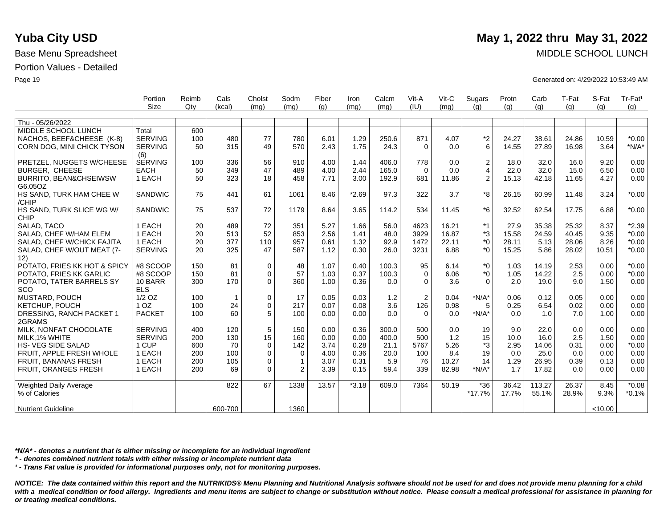|                                   | Portion               | Reimb | Cals           | Cholst      | Sodm           | Fiber | Iron    | Calcm | Vit-A          | Vit-C | Sugars         | Protn | Carb   | T-Fat | S-Fat   | Tr-Fat <sup>1</sup> |
|-----------------------------------|-----------------------|-------|----------------|-------------|----------------|-------|---------|-------|----------------|-------|----------------|-------|--------|-------|---------|---------------------|
|                                   | <b>Size</b>           | Qtv   | (kcal)         | (mq)        | (mq)           | (q)   | (mq)    | (mq)  | (IU)           | (mq)  | (a)            | (q)   | (g)    | (q)   | (q)     | (q)                 |
| Thu - 05/26/2022                  |                       |       |                |             |                |       |         |       |                |       |                |       |        |       |         |                     |
| MIDDLE SCHOOL LUNCH               | Total                 | 600   |                |             |                |       |         |       |                |       |                |       |        |       |         |                     |
| NACHOS, BEEF&CHEESE (K-8)         | <b>SERVING</b>        | 100   | 480            | 77          | 780            | 6.01  | 1.29    | 250.6 | 871            | 4.07  |                | 24.27 | 38.61  | 24.86 | 10.59   | $*0.00$             |
|                                   | <b>SERVING</b>        | 50    | 315            | 49          | 570            | 2.43  | 1.75    | 24.3  | $\Omega$       | 0.0   | *2<br>6        |       | 27.89  | 16.98 | 3.64    | $*N/A*$             |
| CORN DOG, MINI CHICK TYSON        |                       |       |                |             |                |       |         |       |                |       |                | 14.55 |        |       |         |                     |
| PRETZEL, NUGGETS W/CHEESE         | (6)<br><b>SERVING</b> |       | 336            | 56          | 910            | 4.00  | 1.44    | 406.0 | 778            | 0.0   | 2              |       | 32.0   | 16.0  | 9.20    | 0.00                |
|                                   |                       | 100   | 349            | 47          | 489            | 4.00  | 2.44    | 165.0 |                | 0.0   | $\overline{4}$ | 18.0  |        | 15.0  | 6.50    |                     |
| BURGER, CHEESE                    | <b>EACH</b>           | 50    |                |             |                |       |         |       | $\Omega$       |       |                | 22.0  | 32.0   |       |         | 0.00                |
| BURRITO, BEAN&CHSEIWSW            | 1 EACH                | 50    | 323            | 18          | 458            | 7.71  | 3.00    | 192.9 | 681            | 11.86 | $\overline{2}$ | 15.13 | 42.18  | 11.65 | 4.27    | 0.00                |
| G6.05OZ                           |                       |       |                |             |                |       |         |       |                |       |                |       |        |       |         |                     |
| HS SAND, TURK HAM CHEE W<br>/CHIP | SANDWIC               | 75    | 441            | 61          | 1061           | 8.46  | $*2.69$ | 97.3  | 322            | 3.7   | *8             | 26.15 | 60.99  | 11.48 | 3.24    | $*0.00$             |
| HS SAND, TURK SLICE WG W/         | <b>SANDWIC</b>        | 75    | 537            | 72          | 1179           | 8.64  | 3.65    | 114.2 | 534            | 11.45 | $*6$           | 32.52 | 62.54  | 17.75 | 6.88    | $*0.00$             |
| <b>CHIP</b>                       |                       |       |                |             |                |       |         |       |                |       |                |       |        |       |         |                     |
| SALAD, TACO                       | 1 EACH                | 20    | 489            | 72          | 351            | 5.27  | 1.66    | 56.0  | 4623           | 16.21 | $*1$           | 27.9  | 35.38  | 25.32 | 8.37    | $*2.39$             |
| SALAD, CHEF W/HAM ELEM            | 1 EACH                | 20    | 513            | 52          | 853            | 2.56  | 1.41    | 48.0  | 3929           | 16.87 | $*3$           | 15.58 | 24.59  | 40.45 | 9.35    | $*0.00$             |
| SALAD, CHEF W/CHICK FAJITA        | 1 EACH                | 20    | 377            | 110         | 957            | 0.61  | 1.32    | 92.9  | 1472           | 22.11 | $*_{0}$        | 28.11 | 5.13   | 28.06 | 8.26    | $*0.00$             |
| SALAD, CHEF W/OUT MEAT (7-        | <b>SERVING</b>        | 20    | 325            | 47          | 587            | 1.12  | 0.30    | 26.0  | 3231           | 6.88  | $*_{0}$        | 15.25 | 5.86   | 28.02 | 10.51   | $*0.00$             |
| 12)                               |                       |       |                |             |                |       |         |       |                |       |                |       |        |       |         |                     |
| POTATO, FRIES KK HOT & SPICY      | #8 SCOOP              | 150   | 81             | $\mathbf 0$ | 48             | 1.07  | 0.40    | 100.3 | 95             | 6.14  | *0             | 1.03  | 14.19  | 2.53  | 0.00    | $*0.00$             |
| POTATO, FRIES KK GARLIC           | #8 SCOOP              | 150   | 81             | $\mathbf 0$ | 57             | 1.03  | 0.37    | 100.3 | $\Omega$       | 6.06  | $*_{0}$        | 1.05  | 14.22  | 2.5   | 0.00    | $*0.00$             |
| POTATO, TATER BARRELS SY          | 10 BARR               | 300   | 170            | $\Omega$    | 360            | 1.00  | 0.36    | 0.0   | $\Omega$       | 3.6   | $\Omega$       | 2.0   | 19.0   | 9.0   | 1.50    | 0.00                |
| SCO                               | <b>ELS</b>            |       |                |             |                |       |         |       |                |       |                |       |        |       |         |                     |
| MUSTARD, POUCH                    | $1/2$ OZ              | 100   | $\overline{1}$ | $\mathbf 0$ | 17             | 0.05  | 0.03    | 1.2   | $\overline{2}$ | 0.04  | $*N/A*$        | 0.06  | 0.12   | 0.05  | 0.00    | 0.00                |
| KETCHUP, POUCH                    | 1 <sub>OZ</sub>       | 100   | 24             | $\mathbf 0$ | 217            | 0.07  | 0.08    | 3.6   | 126            | 0.98  | 5              | 0.25  | 6.54   | 0.02  | 0.00    | 0.00                |
| DRESSING, RANCH PACKET 1          | <b>PACKET</b>         | 100   | 60             | 5           | 100            | 0.00  | 0.00    | 0.0   | $\Omega$       | 0.0   | $*N/A*$        | 0.0   | 1.0    | 7.0   | 1.00    | 0.00                |
| 2GRAMS                            |                       |       |                |             |                |       |         |       |                |       |                |       |        |       |         |                     |
| MILK, NONFAT CHOCOLATE            | <b>SERVING</b>        | 400   | 120            | 5           | 150            | 0.00  | 0.36    | 300.0 | 500            | 0.0   | 19             | 9.0   | 22.0   | 0.0   | 0.00    | 0.00                |
| MILK, 1% WHITE                    | <b>SERVING</b>        | 200   | 130            | 15          | 160            | 0.00  | 0.00    | 400.0 | 500            | 1.2   | 15             | 10.0  | 16.0   | 2.5   | 1.50    | 0.00                |
| <b>HS- VEG SIDE SALAD</b>         | 1 CUP                 | 600   | 70             | $\mathbf 0$ | 142            | 3.74  | 0.28    | 21.1  | 5767           | 5.26  | *3             | 2.95  | 14.06  | 0.31  | 0.00    | $*0.00$             |
| FRUIT, APPLE FRESH WHOLE          | 1 EACH                | 200   | 100            | 0           | $\mathbf 0$    | 4.00  | 0.36    | 20.0  | 100            | 8.4   | 19             | 0.0   | 25.0   | 0.0   | 0.00    | 0.00                |
| FRUIT, BANANAS FRESH              | 1 EACH                | 200   | 105            | $\mathbf 0$ | $\mathbf{1}$   | 3.07  | 0.31    | 5.9   | 76             | 10.27 | 14             | 1.29  | 26.95  | 0.39  | 0.13    | 0.00                |
| <b>FRUIT, ORANGES FRESH</b>       | 1 EACH                | 200   | 69             | $\Omega$    | $\overline{2}$ | 3.39  | 0.15    | 59.4  | 339            | 82.98 | $*N/A*$        | 1.7   | 17.82  | 0.0   | 0.00    | 0.00                |
|                                   |                       |       |                |             |                |       |         |       |                |       |                |       |        |       |         |                     |
| <b>Weighted Daily Average</b>     |                       |       | 822            | 67          | 1338           | 13.57 | $*3.18$ | 609.0 | 7364           | 50.19 | $*36$          | 36.42 | 113.27 | 26.37 | 8.45    | $*0.08$             |
| % of Calories                     |                       |       |                |             |                |       |         |       |                |       | $*17.7%$       | 17.7% | 55.1%  | 28.9% | 9.3%    | $*0.1%$             |
| <b>Nutrient Guideline</b>         |                       |       | 600-700        |             | 1360           |       |         |       |                |       |                |       |        |       | < 10.00 |                     |

**Yuba City USD** May 1, 2022 thru May 31, 2022

Base Menu Spreadsheet MIDDLE SCHOOL LUNCH

Page 19 Generated on: 4/29/2022 10:53:49 AM

*\*N/A\* - denotes a nutrient that is either missing or incomplete for an individual ingredient*

*\* - denotes combined nutrient totals with either missing or incomplete nutrient data*

*¹ - Trans Fat value is provided for informational purposes only, not for monitoring purposes.*

*NOTICE: The data contained within this report and the NUTRIKIDS® Menu Planning and Nutritional Analysis software should not be used for and does not provide menu planning for a child*  with a medical condition or food allergy. Ingredients and menu items are subject to change or substitution without notice. Please consult a medical professional for assistance in planning for *or treating medical conditions.*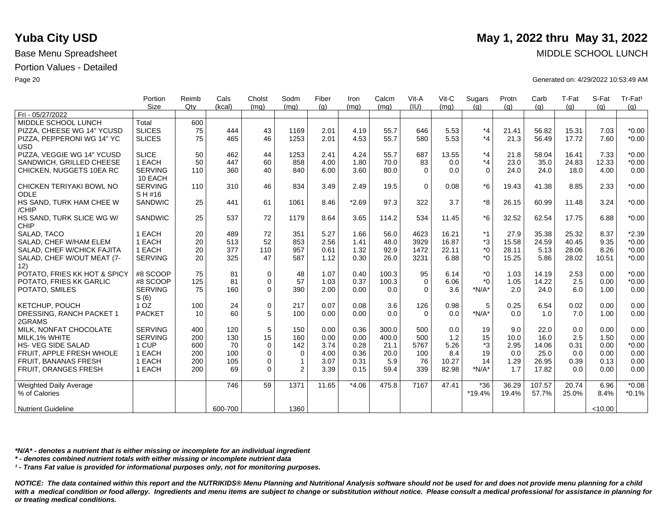|                                    | Portion                   | Reimb  | Cals    | Cholst       | Sodm         | Fiber | Iron    | Calcm | Vit-A    | Vit-C | Sugars   | Protn | Carb   | T-Fat | S-Fat   | Tr-Fat <sup>1</sup> |
|------------------------------------|---------------------------|--------|---------|--------------|--------------|-------|---------|-------|----------|-------|----------|-------|--------|-------|---------|---------------------|
|                                    | Size                      | $Q$ ty | (kcal)  | (mq)         | (mq)         | (q)   | (mq)    | (mq)  | (IU)     | (mq)  | (q)      | (q)   | (g)    | (g)   | (q)     | (g)                 |
| Fri - 05/27/2022                   |                           |        |         |              |              |       |         |       |          |       |          |       |        |       |         |                     |
| MIDDLE SCHOOL LUNCH                | Total                     | 600    |         |              |              |       |         |       |          |       |          |       |        |       |         |                     |
| PIZZA, CHEESE WG 14" YCUSD         | <b>SLICES</b>             | 75     | 444     | 43           | 1169         | 2.01  | 4.19    | 55.7  | 646      | 5.53  | $*_{4}$  | 21.41 | 56.82  | 15.31 | 7.03    | $*0.00$             |
| PIZZA, PEPPERONI WG 14" YC         | <b>SLICES</b>             | 75     | 465     | 46           | 1253         | 2.01  | 4.53    | 55.7  | 580      | 5.53  | $*_{4}$  | 21.3  | 56.49  | 17.72 | 7.60    | $*0.00$             |
| <b>USD</b>                         |                           |        |         |              |              |       |         |       |          |       |          |       |        |       |         |                     |
| PIZZA, VEGGIE WG 14" YCUSD         | <b>SLICE</b>              | 50     | 462     | 44           | 1253         | 2.41  | 4.24    | 55.7  | 687      | 13.55 | $*_{4}$  | 21.8  | 58.04  | 16.41 | 7.33    | $*0.00$             |
| SANDWICH, GRILLED CHEESE           | 1 EACH                    | 50     | 447     | 60           | 858          | 4.00  | 1.80    | 70.0  | 83       | 0.0   | $*_{4}$  | 23.0  | 35.0   | 24.83 | 12.33   | $*0.00$             |
| CHICKEN, NUGGETS 10EA RC           | <b>SERVING</b><br>10 EACH | 110    | 360     | 40           | 840          | 6.00  | 3.60    | 80.0  | $\Omega$ | 0.0   | $\Omega$ | 24.0  | 24.0   | 18.0  | 4.00    | 0.00                |
| CHICKEN TERIYAKI BOWL NO           | <b>SERVING</b>            | 110    | 310     | 46           | 834          | 3.49  | 2.49    | 19.5  | $\Omega$ | 0.08  | $*6$     | 19.43 | 41.38  | 8.85  | 2.33    | $*0.00$             |
| <b>ODLE</b>                        | SH#16                     |        |         |              |              |       |         |       |          |       |          |       |        |       |         |                     |
| HS SAND, TURK HAM CHEE W<br>/CHIP  | SANDWIC                   | 25     | 441     | 61           | 1061         | 8.46  | $*2.69$ | 97.3  | 322      | 3.7   | *8       | 26.15 | 60.99  | 11.48 | 3.24    | $*0.00$             |
| HS SAND, TURK SLICE WG W/          | <b>SANDWIC</b>            | 25     | 537     | 72           | 1179         | 8.64  | 3.65    | 114.2 | 534      | 11.45 | $*6$     | 32.52 | 62.54  | 17.75 | 6.88    | $*0.00$             |
| <b>CHIP</b>                        |                           |        |         |              |              |       |         |       |          |       |          |       |        |       |         |                     |
| SALAD, TACO                        | 1 EACH                    | 20     | 489     | 72           | 351          | 5.27  | 1.66    | 56.0  | 4623     | 16.21 | $*1$     | 27.9  | 35.38  | 25.32 | 8.37    | $*2.39$             |
| SALAD, CHEF W/HAM ELEM             | 1 EACH                    | 20     | 513     | 52           | 853          | 2.56  | 1.41    | 48.0  | 3929     | 16.87 | *3       | 15.58 | 24.59  | 40.45 | 9.35    | $*0.00$             |
| SALAD, CHEF W/CHICK FAJITA         | 1 EACH                    | 20     | 377     | 110          | 957          | 0.61  | 1.32    | 92.9  | 1472     | 22.11 | $*0$     | 28.11 | 5.13   | 28.06 | 8.26    | $*0.00$             |
| SALAD, CHEF W/OUT MEAT (7-<br>12)  | <b>SERVING</b>            | 20     | 325     | 47           | 587          | 1.12  | 0.30    | 26.0  | 3231     | 6.88  | $*_{0}$  | 15.25 | 5.86   | 28.02 | 10.51   | $*0.00$             |
| POTATO, FRIES KK HOT & SPICY       | #8 SCOOP                  | 75     | 81      | $\mathbf 0$  | 48           | 1.07  | 0.40    | 100.3 | 95       | 6.14  | $*0$     | 1.03  | 14.19  | 2.53  | 0.00    | $*0.00$             |
| POTATO, FRIES KK GARLIC            | #8 SCOOP                  | 125    | 81      | $\mathbf 0$  | 57           | 1.03  | 0.37    | 100.3 | $\Omega$ | 6.06  | $*$ 0    | 1.05  | 14.22  | 2.5   | 0.00    | $*0.00$             |
| POTATO, SMILES                     | <b>SERVING</b><br>S(6)    | 75     | 160     | $\mathbf 0$  | 390          | 2.00  | 0.00    | 0.0   | $\Omega$ | 3.6   | $*N/A*$  | 2.0   | 24.0   | 6.0   | 1.00    | 0.00                |
| KETCHUP, POUCH                     | 1 <sub>OZ</sub>           | 100    | 24      | $\mathbf 0$  | 217          | 0.07  | 0.08    | 3.6   | 126      | 0.98  | 5        | 0.25  | 6.54   | 0.02  | 0.00    | 0.00                |
| DRESSING, RANCH PACKET 1<br>2GRAMS | <b>PACKET</b>             | 10     | 60      | 5            | 100          | 0.00  | 0.00    | 0.0   | $\Omega$ | 0.0   | $*N/A*$  | 0.0   | 1.0    | 7.0   | 1.00    | 0.00                |
| MILK, NONFAT CHOCOLATE             | <b>SERVING</b>            | 400    | 120     | 5            | 150          | 0.00  | 0.36    | 300.0 | 500      | 0.0   | 19       | 9.0   | 22.0   | 0.0   | 0.00    | 0.00                |
| MILK, 1% WHITE                     | <b>SERVING</b>            | 200    | 130     | 15           | 160          | 0.00  | 0.00    | 400.0 | 500      | $1.2$ | 15       | 10.0  | 16.0   | 2.5   | 1.50    | 0.00                |
| <b>HS-VEG SIDE SALAD</b>           | 1 CUP                     | 600    | 70      | $\mathbf 0$  | 142          | 3.74  | 0.28    | 21.1  | 5767     | 5.26  | *3       | 2.95  | 14.06  | 0.31  | 0.00    | $*0.00$             |
| FRUIT. APPLE FRESH WHOLE           | 1 EACH                    | 200    | 100     | $\mathbf{0}$ | $\mathbf 0$  | 4.00  | 0.36    | 20.0  | 100      | 8.4   | 19       | 0.0   | 25.0   | 0.0   | 0.00    | 0.00                |
| FRUIT, BANANAS FRESH               | 1 EACH                    | 200    | 105     | $\mathbf 0$  | $\mathbf{1}$ | 3.07  | 0.31    | 5.9   | 76       | 10.27 | 14       | 1.29  | 26.95  | 0.39  | 0.13    | 0.00                |
| FRUIT, ORANGES FRESH               | 1 EACH                    | 200    | 69      | $\Omega$     | 2            | 3.39  | 0.15    | 59.4  | 339      | 82.98 | $*N/A*$  | 1.7   | 17.82  | 0.0   | 0.00    | 0.00                |
|                                    |                           |        |         |              |              |       |         |       |          |       |          |       |        |       |         |                     |
| <b>Weighted Daily Average</b>      |                           |        | 746     | 59           | 1371         | 11.65 | $*4.06$ | 475.8 | 7167     | 47.41 | $*36$    | 36.29 | 107.57 | 20.74 | 6.96    | $*0.08$             |
| % of Calories                      |                           |        |         |              |              |       |         |       |          |       | *19.4%   | 19.4% | 57.7%  | 25.0% | 8.4%    | $*0.1%$             |
| <b>Nutrient Guideline</b>          |                           |        | 600-700 |              | 1360         |       |         |       |          |       |          |       |        |       | < 10.00 |                     |

*\*N/A\* - denotes a nutrient that is either missing or incomplete for an individual ingredient*

*\* - denotes combined nutrient totals with either missing or incomplete nutrient data*

*¹ - Trans Fat value is provided for informational purposes only, not for monitoring purposes.*

*NOTICE: The data contained within this report and the NUTRIKIDS® Menu Planning and Nutritional Analysis software should not be used for and does not provide menu planning for a child*  with a medical condition or food allergy. Ingredients and menu items are subject to change or substitution without notice. Please consult a medical professional for assistance in planning for *or treating medical conditions.*

# **Yuba City USD** May 1, 2022 thru May 31, 2022

Base Menu Spreadsheet MIDDLE SCHOOL LUNCH

Page 20 Generated on: 4/29/2022 10:53:49 AM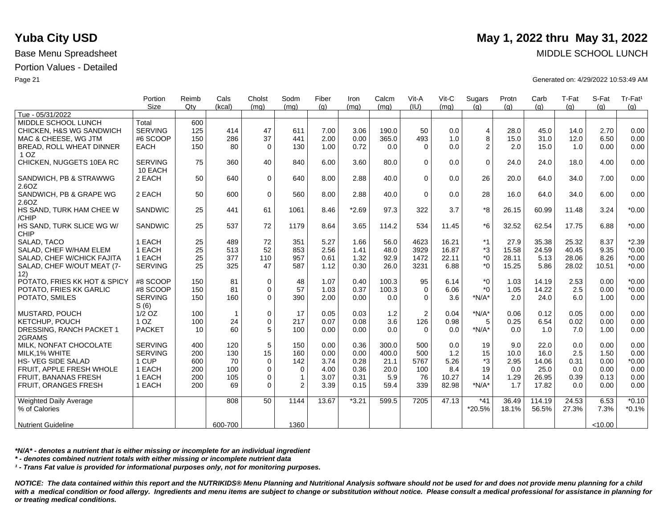|                                             | Portion                   | Reimb | Cals           | Cholst       | Sodm           | Fiber | Iron    | Calcm | Vit-A    | $V$ it-C | Sugars                  | Protn | Carb   | T-Fat | S-Fat   | Tr-Fat <sup>1</sup> |
|---------------------------------------------|---------------------------|-------|----------------|--------------|----------------|-------|---------|-------|----------|----------|-------------------------|-------|--------|-------|---------|---------------------|
| Tue - 05/31/2022                            | <b>Size</b>               | Qty   | (kcal)         | (mq)         | (mq)           | (q)   | (mq)    | (mq)  | (IU)     | (mq)     | (q)                     | (q)   | (q)    | (q)   | (q)     | (g)                 |
|                                             |                           |       |                |              |                |       |         |       |          |          |                         |       |        |       |         |                     |
| MIDDLE SCHOOL LUNCH                         | Total                     | 600   |                |              |                |       |         |       |          |          |                         |       |        |       |         |                     |
| CHICKEN, H&S WG SANDWICH                    | <b>SERVING</b>            | 125   | 414            | 47           | 611            | 7.00  | 3.06    | 190.0 | 50       | 0.0      | $\overline{\mathbf{4}}$ | 28.0  | 45.0   | 14.0  | 2.70    | 0.00                |
| MAC & CHEESE, WG JTM                        | #6 SCOOP                  | 150   | 286            | 37           | 441            | 2.00  | 0.00    | 365.0 | 493      | 1.0      | 8                       | 15.0  | 31.0   | 12.0  | 6.50    | 0.00                |
| BREAD, ROLL WHEAT DINNER<br>1 <sub>OZ</sub> | <b>EACH</b>               | 150   | 80             | $\mathbf 0$  | 130            | 1.00  | 0.72    | 0.0   | $\Omega$ | 0.0      | $\overline{2}$          | 2.0   | 15.0   | 1.0   | 0.00    | 0.00                |
| CHICKEN, NUGGETS 10EA RC                    | <b>SERVING</b><br>10 EACH | 75    | 360            | 40           | 840            | 6.00  | 3.60    | 80.0  | $\Omega$ | 0.0      | $\mathbf 0$             | 24.0  | 24.0   | 18.0  | 4.00    | 0.00                |
| SANDWICH, PB & STRAWWG<br>2.6OZ             | 2 EACH                    | 50    | 640            | $\mathbf{0}$ | 640            | 8.00  | 2.88    | 40.0  | $\Omega$ | 0.0      | 26                      | 20.0  | 64.0   | 34.0  | 7.00    | 0.00                |
| SANDWICH, PB & GRAPE WG<br>2.6OZ            | 2 EACH                    | 50    | 600            | $\mathbf 0$  | 560            | 8.00  | 2.88    | 40.0  | $\Omega$ | 0.0      | 28                      | 16.0  | 64.0   | 34.0  | 6.00    | 0.00                |
| HS SAND, TURK HAM CHEE W<br>/CHIP           | <b>SANDWIC</b>            | 25    | 441            | 61           | 1061           | 8.46  | $*2.69$ | 97.3  | 322      | 3.7      | *8                      | 26.15 | 60.99  | 11.48 | 3.24    | $*0.00$             |
| HS SAND, TURK SLICE WG W/<br>CHIP           | <b>SANDWIC</b>            | 25    | 537            | 72           | 1179           | 8.64  | 3.65    | 114.2 | 534      | 11.45    | *6                      | 32.52 | 62.54  | 17.75 | 6.88    | $*0.00$             |
| SALAD, TACO                                 | 1 EACH                    | 25    | 489            | 72           | 351            | 5.27  | 1.66    | 56.0  | 4623     | 16.21    | *1                      | 27.9  | 35.38  | 25.32 | 8.37    | $*2.39$             |
| SALAD, CHEF W/HAM ELEM                      | 1 EACH                    | 25    | 513            | 52           | 853            | 2.56  | 1.41    | 48.0  | 3929     | 16.87    | *3                      | 15.58 | 24.59  | 40.45 | 9.35    | $*0.00$             |
| SALAD, CHEF W/CHICK FAJITA                  | 1 EACH                    | 25    | 377            | 110          | 957            | 0.61  | 1.32    | 92.9  | 1472     | 22.11    | $^*0$                   | 28.11 | 5.13   | 28.06 | 8.26    | $*0.00$             |
| SALAD, CHEF W/OUT MEAT (7-<br>12)           | <b>SERVING</b>            | 25    | 325            | 47           | 587            | 1.12  | 0.30    | 26.0  | 3231     | 6.88     | *0                      | 15.25 | 5.86   | 28.02 | 10.51   | $*0.00$             |
| POTATO, FRIES KK HOT & SPICY                | #8 SCOOP                  | 150   | 81             | 0            | 48             | 1.07  | 0.40    | 100.3 | 95       | 6.14     | $*_{0}$                 | 1.03  | 14.19  | 2.53  | 0.00    | $*0.00$             |
| POTATO. FRIES KK GARLIC                     | #8 SCOOP                  | 150   | 81             | $\mathbf 0$  | 57             | 1.03  | 0.37    | 100.3 | $\Omega$ | 6.06     | $*$ 0                   | 1.05  | 14.22  | 2.5   | 0.00    | $*0.00$             |
| POTATO, SMILES                              | <b>SERVING</b><br>S(6)    | 150   | 160            | $\Omega$     | 390            | 2.00  | 0.00    | 0.0   | $\Omega$ | 3.6      | $*N/A*$                 | 2.0   | 24.0   | 6.0   | 1.00    | 0.00                |
| <b>MUSTARD, POUCH</b>                       | $1/2$ OZ                  | 100   | $\overline{1}$ | 0            | 17             | 0.05  | 0.03    | 1.2   | 2        | 0.04     | $*N/A*$                 | 0.06  | 0.12   | 0.05  | 0.00    | 0.00                |
| KETCHUP, POUCH                              | 1 <sub>OZ</sub>           | 100   | 24             | 0            | 217            | 0.07  | 0.08    | 3.6   | 126      | 0.98     | 5                       | 0.25  | 6.54   | 0.02  | 0.00    | 0.00                |
| DRESSING, RANCH PACKET 1<br>2GRAMS          | <b>PACKET</b>             | 10    | 60             | 5            | 100            | 0.00  | 0.00    | 0.0   | $\Omega$ | 0.0      | $*N/A*$                 | 0.0   | 1.0    | 7.0   | 1.00    | 0.00                |
| MILK, NONFAT CHOCOLATE                      | <b>SERVING</b>            | 400   | 120            | 5            | 150            | 0.00  | 0.36    | 300.0 | 500      | 0.0      | 19                      | 9.0   | 22.0   | 0.0   | 0.00    | 0.00                |
| MILK.1% WHITE                               | <b>SERVING</b>            | 200   | 130            | 15           | 160            | 0.00  | 0.00    | 400.0 | 500      | 1.2      | 15                      | 10.0  | 16.0   | 2.5   | 1.50    | 0.00                |
| <b>HS- VEG SIDE SALAD</b>                   | 1 CUP                     | 600   | 70             | $\mathbf 0$  | 142            | 3.74  | 0.28    | 21.1  | 5767     | 5.26     | *3                      | 2.95  | 14.06  | 0.31  | 0.00    | $*0.00$             |
| FRUIT, APPLE FRESH WHOLE                    | 1 EACH                    | 200   | 100            | $\mathbf{0}$ | $\mathbf 0$    | 4.00  | 0.36    | 20.0  | 100      | 8.4      | 19                      | 0.0   | 25.0   | 0.0   | 0.00    | 0.00                |
| <b>FRUIT, BANANAS FRESH</b>                 | 1 EACH                    | 200   | 105            | $\mathbf{0}$ | $\mathbf{1}$   | 3.07  | 0.31    | 5.9   | 76       | 10.27    | 14                      | 1.29  | 26.95  | 0.39  | 0.13    | 0.00                |
| FRUIT, ORANGES FRESH                        | 1 EACH                    | 200   | 69             | $\Omega$     | $\overline{2}$ | 3.39  | 0.15    | 59.4  | 339      | 82.98    | $*N/A*$                 | 1.7   | 17.82  | 0.0   | 0.00    | 0.00                |
| Weighted Daily Average                      |                           |       | 808            | 50           | 1144           | 13.67 | $*3.21$ | 599.5 | 7205     | 47.13    | $*41$                   | 36.49 | 114.19 | 24.53 | 6.53    | $*0.10$             |
| % of Calories                               |                           |       |                |              |                |       |         |       |          |          | *20.5%                  | 18.1% | 56.5%  | 27.3% | 7.3%    | $*0.1%$             |
| <b>Nutrient Guideline</b>                   |                           |       | 600-700        |              | 1360           |       |         |       |          |          |                         |       |        |       | < 10.00 |                     |

*\*N/A\* - denotes a nutrient that is either missing or incomplete for an individual ingredient*

*\* - denotes combined nutrient totals with either missing or incomplete nutrient data*

*¹ - Trans Fat value is provided for informational purposes only, not for monitoring purposes.*

*NOTICE: The data contained within this report and the NUTRIKIDS® Menu Planning and Nutritional Analysis software should not be used for and does not provide menu planning for a child*  with a medical condition or food allergy. Ingredients and menu items are subject to change or substitution without notice. Please consult a medical professional for assistance in planning for *or treating medical conditions.*

# **Yuba City USD** May 1, 2022 thru May 31, 2022

Base Menu Spreadsheet MIDDLE SCHOOL LUNCH

Page 21 Generated on: 4/29/2022 10:53:49 AM